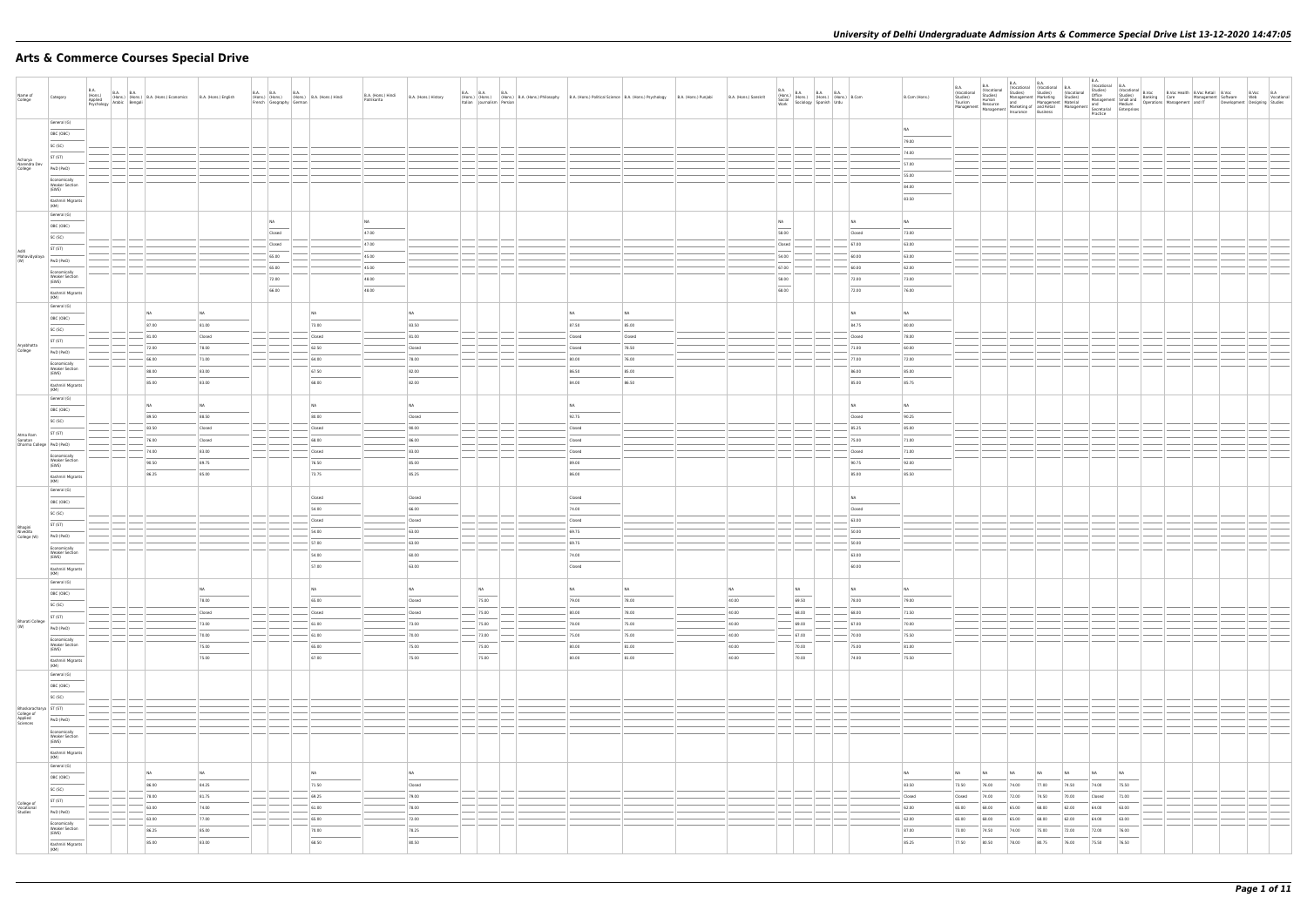## **Arts & Commerce Courses Special Drive**

| Name of<br>College                                          | Category                                                                                                                                                                                                                                                                                                                                                                                                                                                                                                                     | B.A.<br>(Hons.)<br>Applied<br>Psychology | B.A.<br>(Hons.) (Hons.) B.A. (Hons.) Economics<br>ay Arabic Bengali | B.A. (Hons.) English |                          | B.A. (Hons.) B.A. B.A. (Hons.) B.A. (Hons.) Hindi<br>French Geography German B.A. (Hons.) Hindi<br>French Geography German | B.A. (Hons.) Hindi<br>Patrikarita | B.A. (Hons.) History    |           | <b>B.A. B.A. B.A.</b>             |                  | (Hons.) (Hons.) (Hons.) B.A. (Hons.) Philosophy B.A. (Hons.) Political Science B.A. (Hons.) Psychology<br>Italian Journalism Persian | B.A. (Hons.) Punjabi | B.A. (Hons.) Sanskrit    |                                         | B.A. (Hons.) B.A. B.A. B.A. (Hons.) B.Com<br>Social (Hons.) (Hons.) (Hons.) B.Com<br>Work Sociology Spanish Urdu |                    | B.Com (Hons.)   |                 |                |                |                |                |                      |                |  | B.Voc B.A<br>nt Software Web Vocational<br>Development Designing Studies |  |
|-------------------------------------------------------------|------------------------------------------------------------------------------------------------------------------------------------------------------------------------------------------------------------------------------------------------------------------------------------------------------------------------------------------------------------------------------------------------------------------------------------------------------------------------------------------------------------------------------|------------------------------------------|---------------------------------------------------------------------|----------------------|--------------------------|----------------------------------------------------------------------------------------------------------------------------|-----------------------------------|-------------------------|-----------|-----------------------------------|------------------|--------------------------------------------------------------------------------------------------------------------------------------|----------------------|--------------------------|-----------------------------------------|------------------------------------------------------------------------------------------------------------------|--------------------|-----------------|-----------------|----------------|----------------|----------------|----------------|----------------------|----------------|--|--------------------------------------------------------------------------|--|
|                                                             | General (G)<br>OBC (OBC)                                                                                                                                                                                                                                                                                                                                                                                                                                                                                                     |                                          |                                                                     |                      |                          |                                                                                                                            |                                   |                         |           |                                   |                  |                                                                                                                                      |                      |                          |                                         |                                                                                                                  |                    | NA.<br>79.00    |                 |                |                |                |                |                      |                |  |                                                                          |  |
|                                                             | SC (SC)<br>ST (ST)                                                                                                                                                                                                                                                                                                                                                                                                                                                                                                           |                                          |                                                                     |                      |                          |                                                                                                                            |                                   |                         |           |                                   |                  |                                                                                                                                      |                      |                          |                                         |                                                                                                                  |                    | 74.00           |                 |                |                |                |                |                      |                |  |                                                                          |  |
| Acharya<br>Narendra Dev<br>College                          | PwD (PwD)                                                                                                                                                                                                                                                                                                                                                                                                                                                                                                                    |                                          |                                                                     |                      |                          |                                                                                                                            |                                   |                         |           |                                   |                  |                                                                                                                                      |                      |                          |                                         |                                                                                                                  |                    | 57.00<br>55.00  |                 |                |                |                |                |                      |                |  |                                                                          |  |
|                                                             | Economically<br><b>Weaker Section</b><br>(EWS)<br>$\frac{1}{2} \left( \frac{1}{2} \right) \left( \frac{1}{2} \right) \left( \frac{1}{2} \right) \left( \frac{1}{2} \right) \left( \frac{1}{2} \right) \left( \frac{1}{2} \right) \left( \frac{1}{2} \right) \left( \frac{1}{2} \right) \left( \frac{1}{2} \right) \left( \frac{1}{2} \right) \left( \frac{1}{2} \right) \left( \frac{1}{2} \right) \left( \frac{1}{2} \right) \left( \frac{1}{2} \right) \left( \frac{1}{2} \right) \left( \frac{1}{2} \right) \left( \frac$ |                                          |                                                                     |                      |                          |                                                                                                                            |                                   |                         |           |                                   |                  |                                                                                                                                      |                      |                          |                                         |                                                                                                                  |                    | 84.00           |                 |                |                |                |                |                      |                |  |                                                                          |  |
|                                                             | Kashmiri Migrants<br>(KM)<br>General (G)                                                                                                                                                                                                                                                                                                                                                                                                                                                                                     |                                          |                                                                     |                      |                          |                                                                                                                            |                                   |                         |           |                                   |                  |                                                                                                                                      |                      |                          |                                         |                                                                                                                  |                    | 83.50           |                 |                |                |                |                |                      |                |  |                                                                          |  |
|                                                             | OBC (OBC)                                                                                                                                                                                                                                                                                                                                                                                                                                                                                                                    |                                          |                                                                     |                      | NA<br>Closed             |                                                                                                                            | NA<br>47.00                       |                         |           |                                   |                  |                                                                                                                                      |                      |                          | NA<br>$\overline{\phantom{a}}$<br>58.00 |                                                                                                                  | NA<br>Closed       | NA.<br>73.00    |                 |                |                |                |                |                      |                |  |                                                                          |  |
|                                                             | SC (SC)<br>ST (ST)                                                                                                                                                                                                                                                                                                                                                                                                                                                                                                           |                                          |                                                                     |                      | Closed                   |                                                                                                                            | 47.00                             |                         |           |                                   |                  |                                                                                                                                      |                      |                          | Closed                                  |                                                                                                                  | $- 67.00$          | 63.00           |                 |                |                |                |                |                      |                |  |                                                                          |  |
| Mahavidyalaya<br>(W)                                        | PwD (PwD)                                                                                                                                                                                                                                                                                                                                                                                                                                                                                                                    |                                          |                                                                     |                      | 65.00<br>65.00           |                                                                                                                            | 45.00<br>45.00                    |                         |           |                                   |                  |                                                                                                                                      |                      |                          | 54.00<br>67.00                          |                                                                                                                  | 60.00<br>60.00     | 63.00<br>62.00  |                 |                |                |                |                |                      |                |  |                                                                          |  |
|                                                             | Economically<br><b>Weaker Section</b><br>(EWS)                                                                                                                                                                                                                                                                                                                                                                                                                                                                               |                                          |                                                                     |                      | 72.00<br>66.00           |                                                                                                                            | 48.00<br>48.00                    |                         |           |                                   |                  |                                                                                                                                      |                      |                          | 58.00<br>68.00                          |                                                                                                                  | 72.00<br>72.00     | 73.00<br>76.00  |                 |                |                |                |                |                      |                |  |                                                                          |  |
|                                                             | Kashmiri Migrants<br>(KM)<br>General (G)                                                                                                                                                                                                                                                                                                                                                                                                                                                                                     |                                          |                                                                     |                      |                          |                                                                                                                            |                                   |                         |           |                                   |                  |                                                                                                                                      |                      |                          |                                         |                                                                                                                  |                    |                 |                 |                |                |                |                |                      |                |  |                                                                          |  |
|                                                             | OBC (OBC)                                                                                                                                                                                                                                                                                                                                                                                                                                                                                                                    |                                          | NA<br>87.00                                                         | NA<br>81.00          |                          | NA<br>73.00                                                                                                                |                                   | N <sub>A</sub><br>83.50 |           |                                   | NA<br>87.50      | NA<br>85.00                                                                                                                          |                      |                          |                                         |                                                                                                                  | NA<br>84.75        | NA.<br>80.00    |                 |                |                |                |                |                      |                |  |                                                                          |  |
|                                                             | SC (SC)<br>ST (ST)                                                                                                                                                                                                                                                                                                                                                                                                                                                                                                           |                                          | 81.00                                                               | Closed               |                          | Closed                                                                                                                     |                                   | 81.00                   |           |                                   | Closed           | Closed                                                                                                                               |                      |                          |                                         |                                                                                                                  | Closed             | 78.00           |                 |                |                |                |                |                      |                |  |                                                                          |  |
| Aryabhatta<br>College                                       | PwD (PwD)                                                                                                                                                                                                                                                                                                                                                                                                                                                                                                                    |                                          | 72.00<br>66.00                                                      | 78.00<br>71.00       |                          | 62.50<br>64.00                                                                                                             |                                   | Closed<br>78.00         |           |                                   | Closed<br>80.00  | 78.50<br>76.00                                                                                                                       |                      |                          |                                         |                                                                                                                  | 71.00<br>$-77.00$  | 60.00<br>72.00  |                 |                |                |                |                |                      |                |  |                                                                          |  |
|                                                             | Economically<br><b>Weaker Section</b><br>(EWS)                                                                                                                                                                                                                                                                                                                                                                                                                                                                               |                                          | 88.00<br>85.00                                                      | 83.00<br>83.00       |                          | 67.50<br>68.00                                                                                                             |                                   | 82.00<br>82.00          |           |                                   | 86.50<br>84.00   | 85.00<br>86.50                                                                                                                       |                      |                          |                                         |                                                                                                                  | 86.00<br>85.00     | 85.00<br>85.75  |                 |                |                |                |                |                      |                |  |                                                                          |  |
|                                                             | Kashmiri Migrants<br>(KM)<br>General (G)                                                                                                                                                                                                                                                                                                                                                                                                                                                                                     |                                          |                                                                     |                      |                          |                                                                                                                            |                                   |                         |           |                                   |                  |                                                                                                                                      |                      |                          |                                         |                                                                                                                  |                    |                 |                 |                |                |                |                |                      |                |  |                                                                          |  |
|                                                             | OBC (OBC)                                                                                                                                                                                                                                                                                                                                                                                                                                                                                                                    |                                          | NA<br>89.50                                                         | NA<br>88.50          |                          | NA<br>80.00                                                                                                                |                                   | NA<br>Closed            |           |                                   | NA<br>92.75      |                                                                                                                                      |                      |                          |                                         |                                                                                                                  | NA<br>Closed       | NA.<br>90.25    |                 |                |                |                |                |                      |                |  |                                                                          |  |
|                                                             | SC (SC)<br>ST (ST)                                                                                                                                                                                                                                                                                                                                                                                                                                                                                                           |                                          | 83.50                                                               | Closed               |                          | Closed                                                                                                                     |                                   | 90.00                   |           |                                   | Closed           |                                                                                                                                      |                      |                          |                                         |                                                                                                                  | 85.25              | 85.00           |                 |                |                |                |                |                      |                |  |                                                                          |  |
| Atma Ram<br>Sanatan<br>Dharma College PWD (PWD)             | Economically                                                                                                                                                                                                                                                                                                                                                                                                                                                                                                                 |                                          | 76.00<br>74.00                                                      | Closed<br>83.00      |                          | 68.00<br>Closed                                                                                                            |                                   | 86.00<br>83.00          |           |                                   | Closed<br>Closed |                                                                                                                                      |                      |                          |                                         |                                                                                                                  | 75.00<br>Closed    | 71.00<br>71.00  |                 |                |                |                |                |                      |                |  |                                                                          |  |
|                                                             | <b>Weaker Section</b><br>(EWS)                                                                                                                                                                                                                                                                                                                                                                                                                                                                                               |                                          | 90.50<br>86.25                                                      | 89.75<br>85.00       |                          | 76.50<br>73.75                                                                                                             |                                   | 85.00<br>85.25          |           |                                   | 89.00<br>86.00   |                                                                                                                                      |                      |                          |                                         |                                                                                                                  | 90.75<br>85.00     | 92.00<br>85.50  |                 |                |                |                |                |                      |                |  |                                                                          |  |
|                                                             | Kashmiri Migrants<br>(KM)<br>General (G)                                                                                                                                                                                                                                                                                                                                                                                                                                                                                     |                                          |                                                                     |                      |                          |                                                                                                                            |                                   |                         |           |                                   |                  |                                                                                                                                      |                      |                          |                                         |                                                                                                                  |                    |                 |                 |                |                |                |                |                      |                |  |                                                                          |  |
|                                                             | OBC (OBC)<br>SC (SC)                                                                                                                                                                                                                                                                                                                                                                                                                                                                                                         |                                          |                                                                     |                      |                          | Closed<br>54.00                                                                                                            |                                   | Closed<br>66.00         |           |                                   | Closed<br>74.00  |                                                                                                                                      |                      |                          |                                         |                                                                                                                  | NA<br>Closed       |                 |                 |                |                |                |                |                      |                |  |                                                                          |  |
|                                                             | ST (ST)                                                                                                                                                                                                                                                                                                                                                                                                                                                                                                                      |                                          |                                                                     |                      |                          | Closed                                                                                                                     |                                   | Closed<br>63.00         |           |                                   | Closed<br>69.75  |                                                                                                                                      |                      |                          |                                         |                                                                                                                  | 63.00              |                 |                 |                |                |                |                |                      |                |  |                                                                          |  |
| Bhagini<br>Nivedita<br>College (W)                          | PwD (PwD)<br>Economically                                                                                                                                                                                                                                                                                                                                                                                                                                                                                                    |                                          |                                                                     |                      |                          | 54.00<br>57.00                                                                                                             |                                   | 63.00                   |           |                                   | 69.75            |                                                                                                                                      |                      |                          |                                         |                                                                                                                  | 50.00<br>50.00     |                 |                 |                |                |                |                |                      |                |  |                                                                          |  |
|                                                             | <b>Weaker Section</b><br>(EWS)<br>Kashmiri Migrants                                                                                                                                                                                                                                                                                                                                                                                                                                                                          |                                          |                                                                     |                      |                          | 54.00<br>57.00                                                                                                             |                                   | 60.00<br>63.00          |           |                                   | 74.00<br>Closed  |                                                                                                                                      |                      |                          |                                         |                                                                                                                  | 63.00<br>60.00     |                 |                 |                |                |                |                |                      |                |  |                                                                          |  |
|                                                             | (KM)<br>General (G)                                                                                                                                                                                                                                                                                                                                                                                                                                                                                                          |                                          |                                                                     |                      |                          |                                                                                                                            |                                   |                         |           |                                   |                  |                                                                                                                                      |                      |                          |                                         |                                                                                                                  |                    |                 |                 |                |                |                |                |                      |                |  |                                                                          |  |
|                                                             | OBC (OBC)<br>SC (SC)                                                                                                                                                                                                                                                                                                                                                                                                                                                                                                         |                                          |                                                                     | <b>NA</b><br>78.00   |                          | NA<br>65.00                                                                                                                |                                   | NA<br>Closed            | <b>NA</b> | $\overline{\phantom{a}}$<br>75.00 | NA<br>79.00      | NA<br>78.00                                                                                                                          |                      | NA<br>40.00              |                                         | NA<br>$\sim$<br>69.50                                                                                            | <b>NA</b><br>78.00 | NA<br>79.00     |                 |                |                |                |                |                      |                |  |                                                                          |  |
| <b>Bharati College</b>                                      | ST (ST)                                                                                                                                                                                                                                                                                                                                                                                                                                                                                                                      |                                          |                                                                     | Closed<br>73.00      |                          | Closed<br>61.00                                                                                                            |                                   | Closed<br>73.00         |           | 75.00<br>75.00                    | 80.00<br>78.00   | 78.00<br>75.00                                                                                                                       |                      | 40.00<br>40.00           |                                         | 68.00<br>69.00                                                                                                   | 68.00<br>67.00     | 71.50<br>70.00  |                 |                |                |                |                |                      |                |  |                                                                          |  |
| (W)                                                         | PwD (PwD)<br>Economically<br>Weaker Section                                                                                                                                                                                                                                                                                                                                                                                                                                                                                  |                                          |                                                                     | 70.00                | $\overline{\phantom{a}}$ | 61.00                                                                                                                      |                                   | 70.00                   | $73.00$   |                                   | 75.00            | 75.00                                                                                                                                |                      | 40.00                    |                                         | $-67.00$                                                                                                         | 70.00              | 75.50           |                 |                |                |                |                |                      |                |  |                                                                          |  |
|                                                             | (EWS)<br>Kashmiri Migrants<br>(KM)                                                                                                                                                                                                                                                                                                                                                                                                                                                                                           |                                          |                                                                     | 75.00<br>75.00       |                          | 65.00<br>67.00                                                                                                             |                                   | 75.00<br>75.00          |           | 75.00<br>$\sim$<br>75.00          | 80.00<br>80.00   | 81.00<br>81.00                                                                                                                       |                      | 40.00<br>$\sim$<br>40.00 |                                         | 70.00<br>$\sim$<br>70.00                                                                                         | 75.00<br>74.00     | 81.00<br>75.50  |                 |                |                |                |                |                      |                |  |                                                                          |  |
|                                                             | General (G)                                                                                                                                                                                                                                                                                                                                                                                                                                                                                                                  |                                          |                                                                     |                      |                          |                                                                                                                            |                                   |                         |           |                                   |                  |                                                                                                                                      |                      |                          |                                         |                                                                                                                  |                    |                 |                 |                |                |                |                |                      |                |  |                                                                          |  |
|                                                             | OBC (OBC)<br>SC (SC)                                                                                                                                                                                                                                                                                                                                                                                                                                                                                                         |                                          |                                                                     |                      |                          |                                                                                                                            |                                   |                         |           |                                   |                  |                                                                                                                                      |                      |                          |                                         |                                                                                                                  |                    |                 |                 |                |                |                |                |                      |                |  |                                                                          |  |
| Bhaskaracharya ST (ST)<br>College of<br>Applied<br>Sciences |                                                                                                                                                                                                                                                                                                                                                                                                                                                                                                                              | $ -$                                     |                                                                     |                      |                          |                                                                                                                            |                                   |                         |           |                                   |                  |                                                                                                                                      |                      |                          |                                         |                                                                                                                  |                    |                 |                 |                |                |                |                |                      |                |  |                                                                          |  |
|                                                             | PwD (PwD)<br>Economically<br><b>Weaker Section</b>                                                                                                                                                                                                                                                                                                                                                                                                                                                                           |                                          |                                                                     |                      |                          |                                                                                                                            |                                   |                         |           |                                   |                  |                                                                                                                                      |                      |                          |                                         |                                                                                                                  |                    |                 |                 |                |                |                |                |                      |                |  |                                                                          |  |
|                                                             | (EWS)<br>Kashmiri Migrants                                                                                                                                                                                                                                                                                                                                                                                                                                                                                                   |                                          |                                                                     |                      |                          |                                                                                                                            |                                   |                         |           |                                   |                  |                                                                                                                                      |                      |                          |                                         |                                                                                                                  |                    |                 |                 |                |                |                |                |                      |                |  |                                                                          |  |
|                                                             | (KM)<br>General (G)                                                                                                                                                                                                                                                                                                                                                                                                                                                                                                          |                                          | NA                                                                  | NA                   |                          | NA                                                                                                                         |                                   | <b>NA</b>               |           |                                   |                  |                                                                                                                                      |                      |                          |                                         |                                                                                                                  |                    | NA.             | NA              | NA             | N <sub>A</sub> | NA<br>NA       |                | NA<br>N <sub>A</sub> |                |  |                                                                          |  |
|                                                             | OBC (OBC)<br>SC (SC)                                                                                                                                                                                                                                                                                                                                                                                                                                                                                                         |                                          | 86.00                                                               | 84.25                |                          | 71.50                                                                                                                      |                                   | Closed                  |           |                                   |                  |                                                                                                                                      |                      |                          |                                         |                                                                                                                  |                    | 83.50           | 73.50           | 76.00          | 74.00          | 77.00          | 74.50          | 74.00                | 75.50          |  |                                                                          |  |
| College of<br>Vocational<br>Studies                         | ST (ST)                                                                                                                                                                                                                                                                                                                                                                                                                                                                                                                      |                                          | 78.00<br>63.00                                                      | 81.75<br>74.00       |                          | 69.25<br>61.00                                                                                                             |                                   | 79.00<br>78.00          |           |                                   |                  |                                                                                                                                      |                      |                          |                                         |                                                                                                                  |                    | Closed<br>62.00 | Closed<br>65.00 | 74.00<br>68.00 | 72.00<br>65.00 | 74.50<br>68.00 | 70.00<br>62.00 | Closed<br>64.00      | 71.00<br>63.00 |  |                                                                          |  |
|                                                             | PwD (PwD)                                                                                                                                                                                                                                                                                                                                                                                                                                                                                                                    |                                          | 63.00                                                               | 77.00                | $\qquad \qquad -$        | 65.00                                                                                                                      |                                   | 72.00                   |           |                                   |                  |                                                                                                                                      |                      |                          |                                         |                                                                                                                  |                    | 62.00           | 65.00           | 68.00          | 65.00          | 68.00          | 62.00          | 64.00                | 63.00          |  |                                                                          |  |
|                                                             | Economically<br><b>Weaker Section</b><br>(EWS)                                                                                                                                                                                                                                                                                                                                                                                                                                                                               |                                          | 86.25                                                               | 85.00                |                          | 70.00                                                                                                                      |                                   | 78.25                   |           |                                   |                  |                                                                                                                                      |                      |                          |                                         |                                                                                                                  |                    | 87.00           | 73.00           | 74.50          | 74.00          | 75.00          | 72.00          | 72.00                | 76.00          |  |                                                                          |  |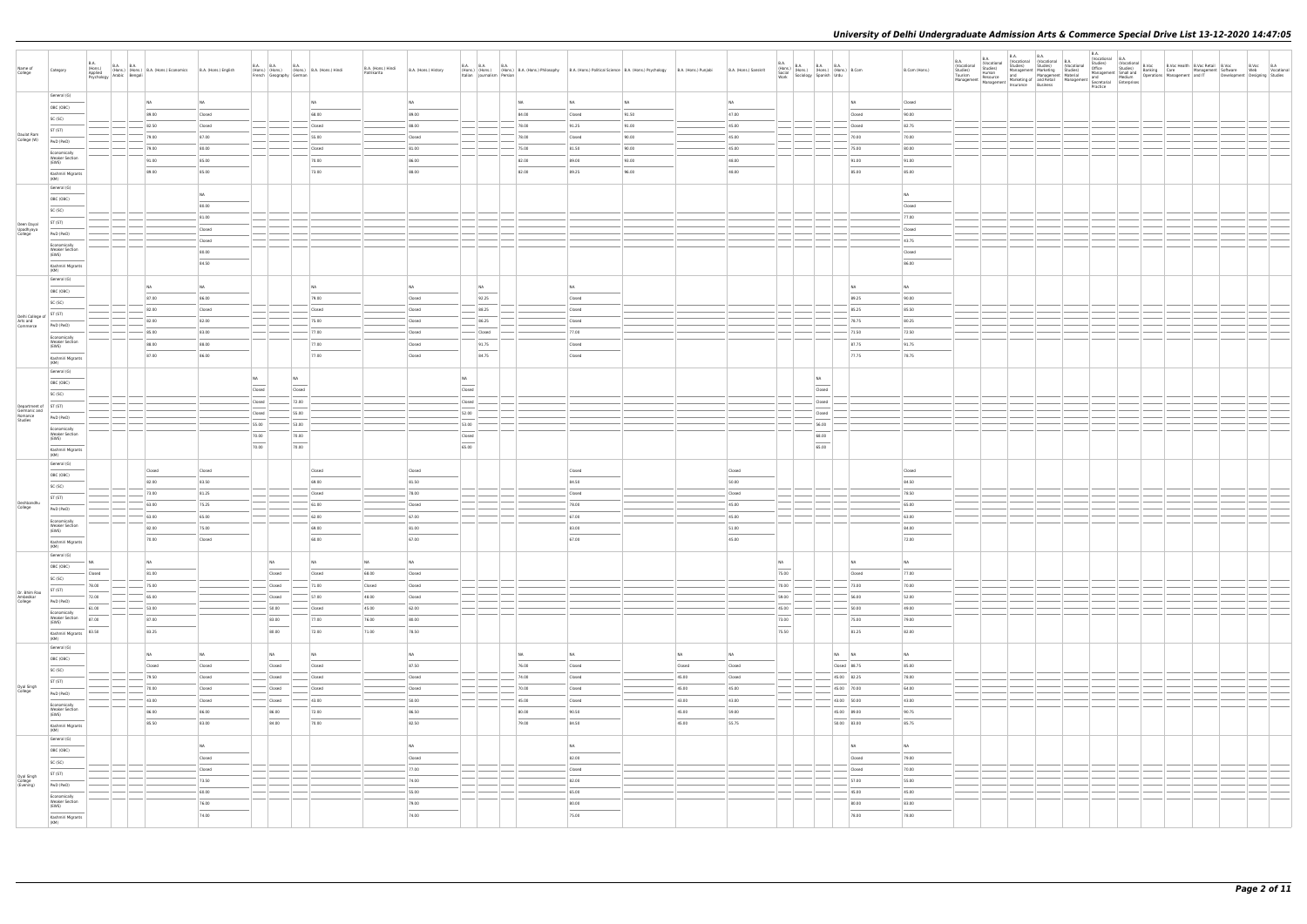| Name of<br>College                               | Category                                               | B.A.<br>(Hons.)<br>Applied<br>Applied<br>Psychology Arabic Bengali | B.A. B.A. (Hons.) B.A. (Hons.) Economics | B.A. (Hons.) English     | French Geography German    |                | B.A. B.A. B.A. B.A. (Hons.) B.A. (Hons.) Hindi | B.A. (Hons.) Hindi<br>Patrikarita | B.A. (Hons.) History                       | Italian Journalism Persian                                                                                                                                                                                                                                                                                                                                                                                                                                                          |                |                | B.A. B.A. B.A. B.A. (Hons.) B.A. (Hons.) Philosophy B.A. (Hons.) Political Science B.A. (Hons.) Psychology B.A. (Hons.) Punjabi |                | B.A. (Hons.) Sanskrit | B.A.<br>B.A. (Hons.) B.A. B.A. B.A. (Hons.) B.Com<br>Social (Hons.) (Hons.) (Hons.) B.Com<br>Work Sociology Spanish Urdu<br>Work |                 |                            | B.Com (Hons.)   | <b>B.A.</b><br>(Vocational<br>Studies)<br>Tourism<br>Management | Vocational<br>Studies)<br>Human<br>nt Resource | B.A.<br>B.A. | B.A. |  |  |  |
|--------------------------------------------------|--------------------------------------------------------|--------------------------------------------------------------------|------------------------------------------|--------------------------|----------------------------|----------------|------------------------------------------------|-----------------------------------|--------------------------------------------|-------------------------------------------------------------------------------------------------------------------------------------------------------------------------------------------------------------------------------------------------------------------------------------------------------------------------------------------------------------------------------------------------------------------------------------------------------------------------------------|----------------|----------------|---------------------------------------------------------------------------------------------------------------------------------|----------------|-----------------------|----------------------------------------------------------------------------------------------------------------------------------|-----------------|----------------------------|-----------------|-----------------------------------------------------------------|------------------------------------------------|--------------|------|--|--|--|
|                                                  | General (G)                                            |                                                                    | NA                                       | NA                       |                            |                | NA                                             |                                   | NA                                         |                                                                                                                                                                                                                                                                                                                                                                                                                                                                                     | NA             |                | NA                                                                                                                              |                | NA                    |                                                                                                                                  |                 |                            | Closed          |                                                                 |                                                |              |      |  |  |  |
|                                                  | OBC (OBC)                                              |                                                                    | 89.00                                    | Closed                   |                            |                | 68.00                                          |                                   | 89.00                                      |                                                                                                                                                                                                                                                                                                                                                                                                                                                                                     | 84.00          | Closed         | 91.50                                                                                                                           |                | 47.00                 |                                                                                                                                  |                 | Closed                     | 90.00           |                                                                 |                                                |              |      |  |  |  |
|                                                  | SC (SC)                                                |                                                                    | 82.50                                    | Closed                   |                            |                | Closed                                         |                                   | 88.00                                      |                                                                                                                                                                                                                                                                                                                                                                                                                                                                                     | 78.00          | 91.25          | 91.00                                                                                                                           |                | 45.00                 |                                                                                                                                  |                 | Closed                     | 82.75           |                                                                 |                                                |              |      |  |  |  |
| Daulat Ram<br>College (W)                        | ST (ST)                                                |                                                                    | 79.00                                    | 87.00                    |                            |                | 55.00                                          |                                   | Closed                                     |                                                                                                                                                                                                                                                                                                                                                                                                                                                                                     | 78.00          | Closed         | 90.00                                                                                                                           |                | 45.00                 |                                                                                                                                  |                 | 70.00                      | 70.00           |                                                                 |                                                |              |      |  |  |  |
|                                                  | PwD (PwD)<br>Economically                              |                                                                    | 79.00                                    | 80.00                    |                            |                | Closed                                         |                                   | 81.00                                      |                                                                                                                                                                                                                                                                                                                                                                                                                                                                                     | 75.00          | 81.50          | 90.00                                                                                                                           |                | 45.00                 |                                                                                                                                  |                 | 75.00                      | 80.00           |                                                                 |                                                |              |      |  |  |  |
|                                                  | <b>Weaker Section</b><br>(EWS)                         |                                                                    | 91.00                                    | 85.00                    |                            |                | 70.00                                          |                                   | 86.00                                      |                                                                                                                                                                                                                                                                                                                                                                                                                                                                                     | 82.00          | 89.00          | 93.00                                                                                                                           |                | 48.00                 |                                                                                                                                  |                 | 91.00                      | 91.00           |                                                                 |                                                |              |      |  |  |  |
|                                                  | Kashmiri Migrants<br>(KM)                              |                                                                    | 89.00                                    | 85.00                    |                            |                | 73.00                                          |                                   | 88.00                                      |                                                                                                                                                                                                                                                                                                                                                                                                                                                                                     | 82.00          | 89.25          | 96.00                                                                                                                           |                | 48.00                 |                                                                                                                                  |                 | 85.00                      | 85.00           |                                                                 |                                                |              |      |  |  |  |
|                                                  | General (G)                                            |                                                                    |                                          |                          |                            |                |                                                |                                   |                                            |                                                                                                                                                                                                                                                                                                                                                                                                                                                                                     |                |                |                                                                                                                                 |                |                       |                                                                                                                                  |                 |                            |                 |                                                                 |                                                |              |      |  |  |  |
|                                                  | OBC (OBC)                                              |                                                                    |                                          | <b>NA</b>                |                            |                |                                                |                                   |                                            |                                                                                                                                                                                                                                                                                                                                                                                                                                                                                     |                |                |                                                                                                                                 |                |                       |                                                                                                                                  |                 |                            | NA              |                                                                 |                                                |              |      |  |  |  |
|                                                  | SC (SC)                                                |                                                                    |                                          | 80.00                    |                            |                |                                                |                                   |                                            |                                                                                                                                                                                                                                                                                                                                                                                                                                                                                     |                |                |                                                                                                                                 |                |                       |                                                                                                                                  |                 |                            | Closed          |                                                                 |                                                |              |      |  |  |  |
| Deen Dayal                                       | ST (ST)                                                |                                                                    |                                          | 81.00                    |                            |                |                                                |                                   |                                            |                                                                                                                                                                                                                                                                                                                                                                                                                                                                                     |                |                |                                                                                                                                 |                |                       |                                                                                                                                  |                 |                            | 77.00           |                                                                 |                                                |              |      |  |  |  |
| Upadhyaya<br>College                             | PwD (PwD)                                              |                                                                    |                                          | Closed                   |                            |                |                                                |                                   |                                            |                                                                                                                                                                                                                                                                                                                                                                                                                                                                                     |                |                |                                                                                                                                 |                |                       |                                                                                                                                  |                 |                            | Closed          |                                                                 |                                                |              |      |  |  |  |
|                                                  | Economically<br><b>Weaker Section</b>                  |                                                                    |                                          | Closed<br>80.00          |                            |                |                                                |                                   |                                            |                                                                                                                                                                                                                                                                                                                                                                                                                                                                                     |                |                |                                                                                                                                 |                |                       |                                                                                                                                  |                 |                            | 43.75<br>Closed |                                                                 |                                                |              |      |  |  |  |
|                                                  | (EWS)                                                  |                                                                    |                                          | 84.50                    |                            |                |                                                |                                   |                                            |                                                                                                                                                                                                                                                                                                                                                                                                                                                                                     |                |                |                                                                                                                                 |                |                       |                                                                                                                                  |                 |                            | 86.00           |                                                                 |                                                |              |      |  |  |  |
|                                                  | Kashmiri Migrants<br>(KM)                              |                                                                    |                                          |                          |                            |                |                                                |                                   |                                            |                                                                                                                                                                                                                                                                                                                                                                                                                                                                                     |                |                |                                                                                                                                 |                |                       |                                                                                                                                  |                 |                            |                 |                                                                 |                                                |              |      |  |  |  |
|                                                  | General (G)                                            |                                                                    | NA                                       | NA                       |                            |                | <b>NA</b>                                      |                                   | NA                                         | N <sub>A</sub>                                                                                                                                                                                                                                                                                                                                                                                                                                                                      |                | NA             |                                                                                                                                 |                |                       |                                                                                                                                  |                 | NA                         | NA              |                                                                 |                                                |              |      |  |  |  |
|                                                  | OBC (OBC)                                              |                                                                    | 87.00                                    | 86.00                    |                            |                | 79.00                                          |                                   | Closed                                     | $\frac{1}{2} \left( \frac{1}{2} \right) \left( \frac{1}{2} \right) \left( \frac{1}{2} \right) \left( \frac{1}{2} \right) \left( \frac{1}{2} \right) \left( \frac{1}{2} \right) \left( \frac{1}{2} \right) \left( \frac{1}{2} \right) \left( \frac{1}{2} \right) \left( \frac{1}{2} \right) \left( \frac{1}{2} \right) \left( \frac{1}{2} \right) \left( \frac{1}{2} \right) \left( \frac{1}{2} \right) \left( \frac{1}{2} \right) \left( \frac{1}{2} \right) \left( \frac$<br>92.25 |                | Closed         |                                                                                                                                 |                |                       |                                                                                                                                  |                 | 89.25                      | 90.00           |                                                                 |                                                |              |      |  |  |  |
|                                                  | SC (SC)                                                |                                                                    | 82.00                                    | Closed                   |                            |                | Closed                                         |                                   | Closed                                     | 88.25                                                                                                                                                                                                                                                                                                                                                                                                                                                                               |                | Closed         |                                                                                                                                 |                |                       |                                                                                                                                  |                 | 85.25                      | 85.50           |                                                                 |                                                |              |      |  |  |  |
| Delhi College of ST (ST)<br>Arts and<br>Commerce | PwD (PwD)                                              |                                                                    | 82.00                                    | 82.00                    |                            |                | 75.00                                          |                                   | Closed                                     | 86.25                                                                                                                                                                                                                                                                                                                                                                                                                                                                               |                | Closed         |                                                                                                                                 |                |                       |                                                                                                                                  |                 | 78.75                      | 80.25           |                                                                 |                                                |              |      |  |  |  |
|                                                  | Economically                                           |                                                                    | 85.00                                    | 83.00                    |                            |                | 77.00                                          |                                   | Closed                                     | Closed                                                                                                                                                                                                                                                                                                                                                                                                                                                                              |                | 77.00          |                                                                                                                                 |                |                       |                                                                                                                                  |                 | 71.50                      | 72.50           |                                                                 |                                                |              |      |  |  |  |
|                                                  | <b>Weaker Section</b><br>(EWS)                         |                                                                    | 88.00                                    | 88.00                    |                            |                | 77.00                                          |                                   | Closed                                     | 91.75                                                                                                                                                                                                                                                                                                                                                                                                                                                                               |                | Closed         |                                                                                                                                 |                |                       |                                                                                                                                  |                 | 87.75                      | 91.75           |                                                                 |                                                |              |      |  |  |  |
|                                                  | $\frac{1}{2}$<br>Kashmiri Migrants<br>(KM)             |                                                                    | 87.00                                    | 86.00                    |                            |                | 77.00                                          |                                   | Closed                                     | 84.75                                                                                                                                                                                                                                                                                                                                                                                                                                                                               |                | Closed         |                                                                                                                                 |                |                       |                                                                                                                                  |                 | 77.75                      | 78.75           |                                                                 |                                                |              |      |  |  |  |
|                                                  | General (G)                                            |                                                                    |                                          |                          |                            |                |                                                |                                   |                                            |                                                                                                                                                                                                                                                                                                                                                                                                                                                                                     |                |                |                                                                                                                                 |                |                       |                                                                                                                                  |                 |                            |                 |                                                                 |                                                |              |      |  |  |  |
|                                                  | OBC (OBC)                                              |                                                                    |                                          |                          | NA                         | NA             |                                                |                                   |                                            | NA<br>$ $ $-$                                                                                                                                                                                                                                                                                                                                                                                                                                                                       |                |                |                                                                                                                                 |                |                       |                                                                                                                                  | NA              |                            |                 |                                                                 |                                                |              |      |  |  |  |
|                                                  | SC (SC)                                                |                                                                    |                                          |                          | Closed                     | Closed         |                                                |                                   |                                            | Closed                                                                                                                                                                                                                                                                                                                                                                                                                                                                              |                |                |                                                                                                                                 |                |                       |                                                                                                                                  | Closed          |                            |                 |                                                                 |                                                |              |      |  |  |  |
| Department of ST (ST)                            |                                                        |                                                                    |                                          |                          | Closed                     | 72.00<br>55.00 |                                                |                                   |                                            | Closed<br>52.00                                                                                                                                                                                                                                                                                                                                                                                                                                                                     |                |                |                                                                                                                                 |                |                       |                                                                                                                                  | Closed          |                            |                 |                                                                 |                                                |              |      |  |  |  |
| Germanic and<br>Romance<br>Studies               | PwD (PwD)                                              |                                                                    |                                          |                          | Closed<br>55.00            | 53.00          |                                                |                                   |                                            | 53.00                                                                                                                                                                                                                                                                                                                                                                                                                                                                               |                |                |                                                                                                                                 |                |                       |                                                                                                                                  | Closed<br>56.00 |                            |                 |                                                                 |                                                |              |      |  |  |  |
|                                                  | Economically<br><b>Weaker Section</b>                  |                                                                    |                                          |                          | 70.00                      | 70.00          |                                                |                                   |                                            | Closed                                                                                                                                                                                                                                                                                                                                                                                                                                                                              |                |                |                                                                                                                                 |                |                       |                                                                                                                                  | 68.00           |                            |                 |                                                                 |                                                |              |      |  |  |  |
|                                                  | (EWS)<br>$\overline{\phantom{a}}$<br>Kashmiri Migrants |                                                                    |                                          |                          | $\hspace{0.05cm}$<br>70.00 | 70.00          |                                                |                                   |                                            | $\overline{\phantom{a}}$<br>65.00                                                                                                                                                                                                                                                                                                                                                                                                                                                   |                |                |                                                                                                                                 |                |                       |                                                                                                                                  | 65.00           |                            |                 |                                                                 |                                                |              |      |  |  |  |
|                                                  | (KM)<br>General (G)                                    |                                                                    |                                          |                          |                            |                |                                                |                                   |                                            |                                                                                                                                                                                                                                                                                                                                                                                                                                                                                     |                |                |                                                                                                                                 |                |                       |                                                                                                                                  |                 |                            |                 |                                                                 |                                                |              |      |  |  |  |
|                                                  | OBC (OBC)                                              |                                                                    | Closed                                   | Closed                   |                            |                | Closed                                         |                                   | Closed                                     |                                                                                                                                                                                                                                                                                                                                                                                                                                                                                     |                | Closed         |                                                                                                                                 |                | Closed                |                                                                                                                                  |                 |                            | Closed          |                                                                 |                                                |              |      |  |  |  |
|                                                  | SC (SC)                                                |                                                                    | 82.00                                    | 83.50                    |                            |                | 69.00                                          |                                   | 81.50                                      |                                                                                                                                                                                                                                                                                                                                                                                                                                                                                     |                | 84.50          |                                                                                                                                 |                | 50.00                 |                                                                                                                                  |                 |                            | 84.50           |                                                                 |                                                |              |      |  |  |  |
|                                                  | ST (ST)                                                |                                                                    | 73.00                                    | 81.25                    |                            |                | Closed                                         |                                   | 78.00                                      |                                                                                                                                                                                                                                                                                                                                                                                                                                                                                     |                | Closed         |                                                                                                                                 |                | Closed                |                                                                                                                                  |                 |                            | 78.50           |                                                                 |                                                |              |      |  |  |  |
| Deshbandhu<br>College                            | PwD (PwD)                                              |                                                                    | 63.00                                    | 75.25                    |                            |                | 61.00                                          |                                   | Closed                                     |                                                                                                                                                                                                                                                                                                                                                                                                                                                                                     |                | 78.00          |                                                                                                                                 |                | 45.00                 |                                                                                                                                  |                 |                            | 65.00           |                                                                 |                                                |              |      |  |  |  |
|                                                  | Economically<br><b>Weaker Section</b>                  |                                                                    | 63.00                                    | 65.00                    |                            |                | 62.00                                          |                                   | 67.00                                      |                                                                                                                                                                                                                                                                                                                                                                                                                                                                                     |                | 67.00          |                                                                                                                                 |                | 45.00                 |                                                                                                                                  |                 |                            | 63.00           |                                                                 |                                                |              |      |  |  |  |
|                                                  | (EWS)                                                  |                                                                    | 82.00                                    | 75.00                    |                            |                | 69.00                                          |                                   | 81.00                                      |                                                                                                                                                                                                                                                                                                                                                                                                                                                                                     |                | 83.00          |                                                                                                                                 |                | 51.00                 |                                                                                                                                  |                 |                            | 84.00           |                                                                 |                                                |              |      |  |  |  |
|                                                  | Kashmiri Migrants<br>(KM)                              |                                                                    | 70.00                                    | Closed                   |                            |                | 60.00                                          |                                   | 67.00                                      |                                                                                                                                                                                                                                                                                                                                                                                                                                                                                     |                | 67.00          |                                                                                                                                 |                | 45.00                 |                                                                                                                                  |                 |                            | 72.00           |                                                                 |                                                |              |      |  |  |  |
|                                                  | General (G)                                            | <b>NA</b>                                                          | NA                                       |                          | NA                         |                | NA                                             | <b>NA</b>                         | NA                                         |                                                                                                                                                                                                                                                                                                                                                                                                                                                                                     |                |                |                                                                                                                                 |                |                       | NA                                                                                                                               |                 | NA                         | NA              |                                                                 |                                                |              |      |  |  |  |
|                                                  | OBC (OBC)<br>$\sim$                                    | Closed                                                             | 81.00                                    |                          | Closed                     |                | Closed                                         | 68.00                             | Closed                                     |                                                                                                                                                                                                                                                                                                                                                                                                                                                                                     |                |                |                                                                                                                                 |                |                       | $\overline{\phantom{a}}$<br>75.00                                                                                                |                 | Closed                     | 77.00           |                                                                 |                                                |              |      |  |  |  |
|                                                  | SC (SC)                                                | 78.00                                                              | 75.00                                    |                          | Closed                     |                | $-71.00$                                       | Closed                            | Closed                                     |                                                                                                                                                                                                                                                                                                                                                                                                                                                                                     |                |                |                                                                                                                                 |                |                       | 70.00                                                                                                                            |                 | 73.00                      | 70.00           |                                                                 |                                                |              |      |  |  |  |
| Dr. Bhim Rao<br>Ambedkar<br>College              | ST (ST)<br>PwD (PwD)                                   | 72.00                                                              | 65.00                                    |                          | Closed                     |                | 57.00                                          | 48.00                             | Closed                                     |                                                                                                                                                                                                                                                                                                                                                                                                                                                                                     |                |                |                                                                                                                                 |                |                       | 59.00                                                                                                                            |                 | 56.00                      | 52.00           |                                                                 |                                                |              |      |  |  |  |
|                                                  | Economically                                           | 61.00                                                              | 53.00                                    |                          | 50.00                      |                | Closed                                         | 45.00                             | 62.00                                      |                                                                                                                                                                                                                                                                                                                                                                                                                                                                                     |                |                |                                                                                                                                 |                |                       | 45.00                                                                                                                            |                 | 50.00                      | 49.00           |                                                                 |                                                |              |      |  |  |  |
|                                                  | <b>Weaker Section</b><br>(EWS)                         | 87.00                                                              | 87.00                                    |                          | 83.00                      |                | 77.00                                          | 76.00                             | 80.00                                      |                                                                                                                                                                                                                                                                                                                                                                                                                                                                                     |                |                |                                                                                                                                 |                |                       | 73.00                                                                                                                            |                 | 75.00                      | 79.00           |                                                                 |                                                |              |      |  |  |  |
|                                                  | $\frac{1}{2}$<br>Kashmiri Migrants                     | 83.50                                                              | 83.25                                    |                          | 80.00                      |                | 72.00                                          | 71.00                             | 78.50                                      |                                                                                                                                                                                                                                                                                                                                                                                                                                                                                     |                |                |                                                                                                                                 |                |                       | 75.50                                                                                                                            |                 | 81.25                      | 82.00           |                                                                 |                                                |              |      |  |  |  |
|                                                  |                                                        |                                                                    |                                          |                          |                            |                |                                                |                                   |                                            |                                                                                                                                                                                                                                                                                                                                                                                                                                                                                     |                |                |                                                                                                                                 |                |                       |                                                                                                                                  |                 |                            |                 |                                                                 |                                                |              |      |  |  |  |
|                                                  | (KM)<br>General (G)                                    |                                                                    |                                          |                          |                            |                |                                                |                                   |                                            |                                                                                                                                                                                                                                                                                                                                                                                                                                                                                     |                |                |                                                                                                                                 | NA             |                       |                                                                                                                                  |                 | NA NA                      |                 |                                                                 |                                                |              |      |  |  |  |
|                                                  | OBC (OBC)                                              |                                                                    | NA                                       | NA                       | NA                         |                | NA                                             |                                   | NA                                         |                                                                                                                                                                                                                                                                                                                                                                                                                                                                                     | NA             | NA             |                                                                                                                                 |                | NA                    |                                                                                                                                  |                 |                            | NA              |                                                                 |                                                |              |      |  |  |  |
|                                                  | SC (SC)                                                |                                                                    | Closed                                   | Closed                   | Closed                     |                | Closed                                         |                                   | 87.50                                      |                                                                                                                                                                                                                                                                                                                                                                                                                                                                                     | 76.00          | Closed         |                                                                                                                                 | Closed         | Closed                |                                                                                                                                  |                 | Closed 88.75               | 85.00           |                                                                 |                                                |              |      |  |  |  |
| Dyal Singh                                       | ST (ST)                                                |                                                                    | 79.50                                    | Closed                   | Closed                     |                | Closed                                         |                                   | Closed                                     |                                                                                                                                                                                                                                                                                                                                                                                                                                                                                     | 74.00          | Closed         |                                                                                                                                 | 45.00          | Closed                |                                                                                                                                  |                 | 45.00 82.25                | 78.00           |                                                                 |                                                |              |      |  |  |  |
| College                                          | PwD (PwD)                                              |                                                                    | 70.00                                    | Closed                   | Closed                     |                | Closed                                         |                                   | Closed                                     |                                                                                                                                                                                                                                                                                                                                                                                                                                                                                     | 70.00          | Closed         |                                                                                                                                 | 45.00          | 45.00                 |                                                                                                                                  |                 | 45.00 70.00                | 64.00           |                                                                 |                                                |              |      |  |  |  |
|                                                  | Economically<br><b>Weaker Section</b>                  |                                                                    | 43.00                                    | Closed                   | - Closed                   |                | 43.00                                          |                                   | 50.00                                      |                                                                                                                                                                                                                                                                                                                                                                                                                                                                                     | 45.00          | Closed         |                                                                                                                                 | $-43.00$       | 43.00                 |                                                                                                                                  |                 | 43.00 50.00                | 43.00           |                                                                 |                                                |              |      |  |  |  |
|                                                  | (EWS)                                                  |                                                                    | 86.00<br>85.50                           | 86.00<br>83.00           | 86.00<br>84.00             |                | 72.00<br>$\frac{1}{2}$<br>70.00                |                                   | 86.50<br>82.50                             |                                                                                                                                                                                                                                                                                                                                                                                                                                                                                     | 80.00<br>79.00 | 90.50<br>84.50 |                                                                                                                                 | 45.00<br>45.00 | 59.00<br>55.75        |                                                                                                                                  |                 | 45.00 89.00<br>50.00 83.00 | 90.75<br>85.75  |                                                                 |                                                |              |      |  |  |  |
|                                                  | Kashmiri Migrants<br>(KM)                              |                                                                    |                                          |                          |                            |                |                                                |                                   |                                            |                                                                                                                                                                                                                                                                                                                                                                                                                                                                                     |                |                |                                                                                                                                 |                |                       |                                                                                                                                  |                 |                            |                 |                                                                 |                                                |              |      |  |  |  |
|                                                  | General (G)                                            |                                                                    |                                          | NA                       |                            |                |                                                |                                   | NA                                         |                                                                                                                                                                                                                                                                                                                                                                                                                                                                                     |                | NA             |                                                                                                                                 |                |                       |                                                                                                                                  |                 | NA                         | NA              |                                                                 |                                                |              |      |  |  |  |
|                                                  | OBC (OBC)<br>SC (SC)                                   |                                                                    |                                          | Closed                   |                            |                |                                                |                                   | Closed                                     |                                                                                                                                                                                                                                                                                                                                                                                                                                                                                     |                | 82.00          |                                                                                                                                 |                |                       |                                                                                                                                  |                 | Closed                     | 79.00           |                                                                 |                                                |              |      |  |  |  |
|                                                  | ST (ST)                                                |                                                                    |                                          | Closed                   |                            |                |                                                |                                   | 77.00                                      |                                                                                                                                                                                                                                                                                                                                                                                                                                                                                     |                | Closed         |                                                                                                                                 |                |                       |                                                                                                                                  |                 | Closed                     | 70.00           |                                                                 |                                                |              |      |  |  |  |
| Dyal Singh<br>College<br>(Evening)               | PwD (PwD)                                              |                                                                    |                                          | 73.50                    |                            |                |                                                |                                   | 74.00                                      |                                                                                                                                                                                                                                                                                                                                                                                                                                                                                     |                | 82.00          |                                                                                                                                 |                |                       |                                                                                                                                  |                 | 57.00                      | 55.00           |                                                                 |                                                |              |      |  |  |  |
|                                                  | Economically                                           |                                                                    |                                          | 60.00                    |                            |                |                                                |                                   | 55.00                                      |                                                                                                                                                                                                                                                                                                                                                                                                                                                                                     |                | 65.00          |                                                                                                                                 |                |                       |                                                                                                                                  |                 | 45.00                      | 45.00           |                                                                 |                                                |              |      |  |  |  |
|                                                  | <b>Weaker Section</b><br>(EWS)<br>Kashmiri Migrants    |                                                                    |                                          | 76.00<br>$\sim$<br>74.00 |                            |                |                                                |                                   | 79.00<br>$\overline{\phantom{a}}$<br>74.00 |                                                                                                                                                                                                                                                                                                                                                                                                                                                                                     |                | 80.00<br>75.00 |                                                                                                                                 |                |                       |                                                                                                                                  |                 | 80.00<br>78.00             | 83.00<br>78.00  |                                                                 |                                                |              |      |  |  |  |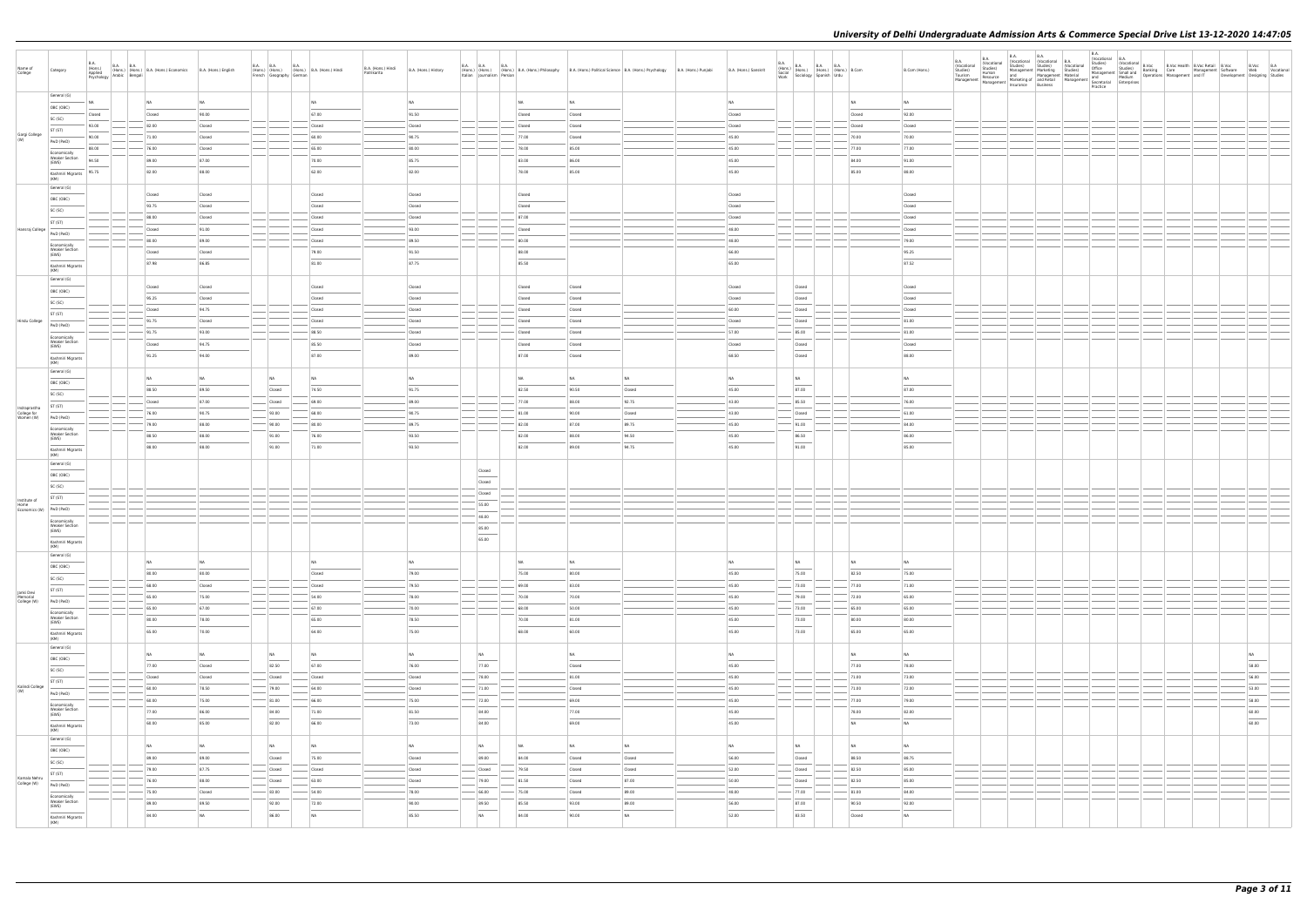| Name of<br>College                       | Category                                                                                                                                                                                                                                                                                                                                                                                                                                                                                        | <b>B.A.</b><br>(Hons.)<br>Applied | B.A. B.A. (Hons.) B.A. (Hons.) Economics<br>Psychology Arabic Bengali | B.A. (Hons.) English | French Geography German                    | B.A. B.A. B.A. B.A. (Hons.) B.A. (Hons.) Hindi                                                                                                                                                                                                                                                                                                                                                                                                                                      | B.A. (Hons.) Hindi<br>Patrikarita          | B.A. (Hons.) History | Italian Journalism Persian                 |                                            | B.A. B.A. B.A. B.A. (Hons.) B.A. (Hons.) Philosophy B.A. (Hons.) Political Science B.A. (Hons.) Psychology |                 | B.A. (Hons.) Punjabi | B.A. (Hons.) Sanskrit    | <b>B.A.</b><br>B.A.<br>(Hons.) B.A. B.A. B.A. (Hons.) (Hons.) B.Com<br>Social Sociology Spanish Urdu<br>Mork Sociology Spanish Urdu<br>Work |  |                 | B.Com (Hons.)   | <b>B.A.</b><br>(Vocational<br>Studies)<br>Tourism<br>Management |  |  |  |  |                                 |  |
|------------------------------------------|-------------------------------------------------------------------------------------------------------------------------------------------------------------------------------------------------------------------------------------------------------------------------------------------------------------------------------------------------------------------------------------------------------------------------------------------------------------------------------------------------|-----------------------------------|-----------------------------------------------------------------------|----------------------|--------------------------------------------|-------------------------------------------------------------------------------------------------------------------------------------------------------------------------------------------------------------------------------------------------------------------------------------------------------------------------------------------------------------------------------------------------------------------------------------------------------------------------------------|--------------------------------------------|----------------------|--------------------------------------------|--------------------------------------------|------------------------------------------------------------------------------------------------------------|-----------------|----------------------|--------------------------|---------------------------------------------------------------------------------------------------------------------------------------------|--|-----------------|-----------------|-----------------------------------------------------------------|--|--|--|--|---------------------------------|--|
|                                          | General (G)                                                                                                                                                                                                                                                                                                                                                                                                                                                                                     | NA                                | NA                                                                    | NA                   |                                            | NA                                                                                                                                                                                                                                                                                                                                                                                                                                                                                  | NA                                         |                      |                                            | <b>NA</b>                                  | NA                                                                                                         |                 |                      | NA                       |                                                                                                                                             |  | <b>NA</b>       | NA              |                                                                 |  |  |  |  |                                 |  |
|                                          | OBC (OBC)<br>SC (SC)                                                                                                                                                                                                                                                                                                                                                                                                                                                                            | Closed                            | Closed                                                                | 90.00                |                                            | 67.00                                                                                                                                                                                                                                                                                                                                                                                                                                                                               | 91.50                                      |                      |                                            | Closed                                     | Closed                                                                                                     |                 |                      | Closed                   |                                                                                                                                             |  | Closed          | 92.00           |                                                                 |  |  |  |  |                                 |  |
|                                          | ST (ST)                                                                                                                                                                                                                                                                                                                                                                                                                                                                                         | 93.00                             | 82.00                                                                 | Closed               |                                            | Closed                                                                                                                                                                                                                                                                                                                                                                                                                                                                              | Closed                                     |                      |                                            | Closed                                     | Closed                                                                                                     |                 |                      | Closed                   |                                                                                                                                             |  | Closed          | Closed          |                                                                 |  |  |  |  |                                 |  |
| Gargi College<br>(W)                     | PwD (PwD)                                                                                                                                                                                                                                                                                                                                                                                                                                                                                       | 90.00                             | 71.00                                                                 | Closed               |                                            | 60.00                                                                                                                                                                                                                                                                                                                                                                                                                                                                               | 90.75                                      |                      |                                            | 77.00                                      | Closed                                                                                                     |                 |                      | 45.00                    |                                                                                                                                             |  | 70.00           | 70.00           |                                                                 |  |  |  |  |                                 |  |
|                                          | Economically<br><b>Weaker Section</b>                                                                                                                                                                                                                                                                                                                                                                                                                                                           | 88.00<br>94.50                    | 76.00<br>89.00                                                        | Closed<br>87.00      |                                            | 65.00<br>70.00                                                                                                                                                                                                                                                                                                                                                                                                                                                                      | 80.00<br>85.75                             |                      |                                            | 78.00<br>83.00                             | 85.00<br>86.00                                                                                             |                 |                      | 45.00<br>45.00           |                                                                                                                                             |  | 77.00<br>84.00  | 77.00<br>91.00  |                                                                 |  |  |  |  |                                 |  |
|                                          | (EWS)<br>$\sim$<br>Kashmiri Migrants                                                                                                                                                                                                                                                                                                                                                                                                                                                            | 95.75                             | 82.00                                                                 | 88.00                |                                            | 62.00                                                                                                                                                                                                                                                                                                                                                                                                                                                                               | 82.00                                      |                      |                                            | 78.00                                      | 85.00                                                                                                      |                 |                      | 45.00                    |                                                                                                                                             |  | 85.00           | 88.00           |                                                                 |  |  |  |  |                                 |  |
|                                          | (KM)<br>General (G)                                                                                                                                                                                                                                                                                                                                                                                                                                                                             |                                   |                                                                       |                      |                                            |                                                                                                                                                                                                                                                                                                                                                                                                                                                                                     |                                            |                      |                                            |                                            |                                                                                                            |                 |                      |                          |                                                                                                                                             |  |                 |                 |                                                                 |  |  |  |  |                                 |  |
|                                          | OBC (OBC)                                                                                                                                                                                                                                                                                                                                                                                                                                                                                       |                                   | Closed                                                                | Closed               |                                            | Closed                                                                                                                                                                                                                                                                                                                                                                                                                                                                              | Closed                                     |                      |                                            | Closed                                     |                                                                                                            |                 |                      | Closed                   |                                                                                                                                             |  |                 | Closed          |                                                                 |  |  |  |  |                                 |  |
|                                          | SC (SC)                                                                                                                                                                                                                                                                                                                                                                                                                                                                                         |                                   | 93.75                                                                 | Closed               |                                            | Closed                                                                                                                                                                                                                                                                                                                                                                                                                                                                              | Closed                                     |                      |                                            | Closed                                     |                                                                                                            |                 |                      | Closed                   |                                                                                                                                             |  |                 | Closed          |                                                                 |  |  |  |  |                                 |  |
|                                          | ST (ST)                                                                                                                                                                                                                                                                                                                                                                                                                                                                                         |                                   | 88.00                                                                 | Closed               |                                            | Closed                                                                                                                                                                                                                                                                                                                                                                                                                                                                              | Closed                                     |                      |                                            | 87.00                                      |                                                                                                            |                 |                      | Closed                   |                                                                                                                                             |  |                 | Closed          |                                                                 |  |  |  |  |                                 |  |
| Hansraj College                          | PwD (PwD)                                                                                                                                                                                                                                                                                                                                                                                                                                                                                       |                                   | Closed<br>80.00                                                       | 91.00<br>89.00       |                                            | Closed<br>Closed                                                                                                                                                                                                                                                                                                                                                                                                                                                                    | 93.00<br>89.50                             |                      |                                            | Closed<br>80.00                            |                                                                                                            |                 |                      | 48.00<br>48.00           |                                                                                                                                             |  |                 | Closed<br>79.00 |                                                                 |  |  |  |  |                                 |  |
|                                          | Economically<br><b>Weaker Section</b>                                                                                                                                                                                                                                                                                                                                                                                                                                                           |                                   | Closed                                                                | Closed               |                                            | 79.00                                                                                                                                                                                                                                                                                                                                                                                                                                                                               | 91.50                                      |                      |                                            | 88.00                                      |                                                                                                            |                 |                      | 66.00                    |                                                                                                                                             |  |                 | 95.25           |                                                                 |  |  |  |  |                                 |  |
|                                          | (EWS)<br>$\frac{1}{2}$<br>Kashmiri Migrants                                                                                                                                                                                                                                                                                                                                                                                                                                                     |                                   | 87.98                                                                 | 86.85                |                                            | 81.00                                                                                                                                                                                                                                                                                                                                                                                                                                                                               | 87.75                                      |                      |                                            | 85.50                                      |                                                                                                            |                 |                      | 65.00                    |                                                                                                                                             |  |                 | 87.52           |                                                                 |  |  |  |  |                                 |  |
|                                          | (KM)<br>General (G)                                                                                                                                                                                                                                                                                                                                                                                                                                                                             |                                   |                                                                       |                      |                                            |                                                                                                                                                                                                                                                                                                                                                                                                                                                                                     |                                            |                      |                                            |                                            |                                                                                                            |                 |                      |                          |                                                                                                                                             |  |                 |                 |                                                                 |  |  |  |  |                                 |  |
|                                          | OBC (OBC)                                                                                                                                                                                                                                                                                                                                                                                                                                                                                       |                                   | Closed                                                                | Closed               |                                            | Closed                                                                                                                                                                                                                                                                                                                                                                                                                                                                              | Closed                                     |                      |                                            | Closed                                     | Closed                                                                                                     |                 |                      | Closed                   | Closed                                                                                                                                      |  |                 | Closed          |                                                                 |  |  |  |  |                                 |  |
|                                          | SC (SC)                                                                                                                                                                                                                                                                                                                                                                                                                                                                                         |                                   | 95.25                                                                 | Closed               |                                            | Closed                                                                                                                                                                                                                                                                                                                                                                                                                                                                              | Closed                                     |                      |                                            | Closed                                     | Closed                                                                                                     |                 |                      | Closed                   | Closed                                                                                                                                      |  |                 | Closed          |                                                                 |  |  |  |  |                                 |  |
|                                          | ST (ST)                                                                                                                                                                                                                                                                                                                                                                                                                                                                                         |                                   | Closed                                                                | 94.75                |                                            | Closed                                                                                                                                                                                                                                                                                                                                                                                                                                                                              | Closed                                     |                      |                                            | Closed                                     | Closed                                                                                                     |                 |                      | $-60.00$                 | Closed                                                                                                                                      |  |                 | Closed          |                                                                 |  |  |  |  |                                 |  |
| Hindu College                            | PwD (PwD)                                                                                                                                                                                                                                                                                                                                                                                                                                                                                       |                                   | 91.75<br>91.75                                                        | Closed<br>93.00      |                                            | Closed<br>88.50                                                                                                                                                                                                                                                                                                                                                                                                                                                                     | Closed<br>  Closed                         |                      |                                            | Closed<br>Closed                           | Closed<br>Closed                                                                                           |                 |                      | Closed<br>57.00          | Closed<br>85.00                                                                                                                             |  |                 | 81.00<br>81.00  |                                                                 |  |  |  |  |                                 |  |
|                                          | Economically<br><b>Weaker Section</b><br>(EWS)                                                                                                                                                                                                                                                                                                                                                                                                                                                  |                                   | Closed                                                                | 94.75                |                                            | 85.50                                                                                                                                                                                                                                                                                                                                                                                                                                                                               | Closed                                     |                      |                                            | Closed                                     | Closed                                                                                                     |                 |                      | Closed                   | Closed                                                                                                                                      |  |                 | Closed          |                                                                 |  |  |  |  |                                 |  |
|                                          | Kashmiri Migrants                                                                                                                                                                                                                                                                                                                                                                                                                                                                               |                                   | 91.25                                                                 | 94.00                |                                            | 87.00                                                                                                                                                                                                                                                                                                                                                                                                                                                                               | 89.00                                      |                      |                                            | 87.00                                      | Closed                                                                                                     |                 |                      | 68.50                    | Closed                                                                                                                                      |  |                 | 88.00           |                                                                 |  |  |  |  |                                 |  |
|                                          | (KM)<br>General (G)                                                                                                                                                                                                                                                                                                                                                                                                                                                                             |                                   |                                                                       |                      |                                            |                                                                                                                                                                                                                                                                                                                                                                                                                                                                                     |                                            |                      |                                            |                                            |                                                                                                            |                 |                      |                          |                                                                                                                                             |  |                 |                 |                                                                 |  |  |  |  |                                 |  |
|                                          | OBC (OBC)                                                                                                                                                                                                                                                                                                                                                                                                                                                                                       |                                   | NA                                                                    | NA                   | NA                                         | NA                                                                                                                                                                                                                                                                                                                                                                                                                                                                                  | <b>NA</b>                                  |                      |                                            | <b>NA</b>                                  | I NA                                                                                                       | I NA            |                      | NA                       | NA                                                                                                                                          |  |                 | I NA            |                                                                 |  |  |  |  |                                 |  |
|                                          | SC (SC)                                                                                                                                                                                                                                                                                                                                                                                                                                                                                         |                                   | 88.50                                                                 | 89.50                | Closed                                     | 74.50                                                                                                                                                                                                                                                                                                                                                                                                                                                                               | 91.75                                      |                      |                                            | 82.50                                      | 90.50                                                                                                      | Closed          |                      | 45.00                    | 87.00                                                                                                                                       |  |                 | 87.00           |                                                                 |  |  |  |  |                                 |  |
| Indraprastha<br>College for<br>Women (W) | ST (ST)                                                                                                                                                                                                                                                                                                                                                                                                                                                                                         |                                   | Closed<br>76.00                                                       | 87.00<br>90.75       | Closed<br>93.00                            | 69.00<br>68.00                                                                                                                                                                                                                                                                                                                                                                                                                                                                      | 89.00<br>90.75                             |                      |                                            | 77.00<br>81.00                             | 88.00<br>90.00                                                                                             | 92.75<br>Closed |                      | 43.00<br>43.00           | 85.50<br>Closed                                                                                                                             |  |                 | 76.00<br>61.00  |                                                                 |  |  |  |  |                                 |  |
|                                          | PwD (PwD)                                                                                                                                                                                                                                                                                                                                                                                                                                                                                       |                                   | 79.00                                                                 | 88.00                | 90.00                                      | 80.00                                                                                                                                                                                                                                                                                                                                                                                                                                                                               | 89.75                                      |                      |                                            | 82.00                                      | 87.00                                                                                                      | 89.75           |                      | 45.00                    | 91.00                                                                                                                                       |  |                 | 84.00           |                                                                 |  |  |  |  |                                 |  |
|                                          | Economically<br><b>Weaker Section</b><br>(EWS)                                                                                                                                                                                                                                                                                                                                                                                                                                                  |                                   | 88.50                                                                 | 88.00                | 91.00                                      | 76.00                                                                                                                                                                                                                                                                                                                                                                                                                                                                               | 93.50                                      |                      |                                            | 82.00                                      | 88.00                                                                                                      | 94.50           |                      | 45.00                    | 86.50                                                                                                                                       |  |                 | 86.00           |                                                                 |  |  |  |  |                                 |  |
|                                          | $\frac{1}{2} \left( \frac{1}{2} \right) \left( \frac{1}{2} \right) \left( \frac{1}{2} \right) \left( \frac{1}{2} \right) \left( \frac{1}{2} \right) \left( \frac{1}{2} \right) \left( \frac{1}{2} \right) \left( \frac{1}{2} \right) \left( \frac{1}{2} \right) \left( \frac{1}{2} \right) \left( \frac{1}{2} \right) \left( \frac{1}{2} \right) \left( \frac{1}{2} \right) \left( \frac{1}{2} \right) \left( \frac{1}{2} \right) \left( \frac{1}{2} \right) \left( \frac$<br>Kashmiri Migrants |                                   | 88.00                                                                 | 88.00                | 91.00                                      | 71.00                                                                                                                                                                                                                                                                                                                                                                                                                                                                               | 93.50                                      |                      |                                            | 82.00                                      | 89.00                                                                                                      | 94.75           |                      | 45.00                    | 91.00                                                                                                                                       |  |                 | 85.00           |                                                                 |  |  |  |  |                                 |  |
|                                          | (KM)<br>General (G)                                                                                                                                                                                                                                                                                                                                                                                                                                                                             |                                   |                                                                       |                      |                                            |                                                                                                                                                                                                                                                                                                                                                                                                                                                                                     |                                            |                      |                                            |                                            |                                                                                                            |                 |                      |                          |                                                                                                                                             |  |                 |                 |                                                                 |  |  |  |  |                                 |  |
|                                          | OBC (OBC)                                                                                                                                                                                                                                                                                                                                                                                                                                                                                       |                                   |                                                                       |                      |                                            |                                                                                                                                                                                                                                                                                                                                                                                                                                                                                     |                                            |                      | Closed                                     |                                            |                                                                                                            |                 |                      |                          |                                                                                                                                             |  |                 |                 |                                                                 |  |  |  |  |                                 |  |
|                                          | SC (SC)                                                                                                                                                                                                                                                                                                                                                                                                                                                                                         |                                   |                                                                       |                      |                                            |                                                                                                                                                                                                                                                                                                                                                                                                                                                                                     |                                            |                      | Closed<br>Closed                           |                                            |                                                                                                            |                 |                      |                          |                                                                                                                                             |  |                 |                 |                                                                 |  |  |  |  |                                 |  |
| Institute of<br>Home                     | ST (ST)                                                                                                                                                                                                                                                                                                                                                                                                                                                                                         |                                   |                                                                       |                      |                                            |                                                                                                                                                                                                                                                                                                                                                                                                                                                                                     |                                            |                      | 55.00                                      |                                            |                                                                                                            |                 |                      |                          |                                                                                                                                             |  |                 |                 |                                                                 |  |  |  |  |                                 |  |
| Economics (W) PwD (PwD)                  | Economically                                                                                                                                                                                                                                                                                                                                                                                                                                                                                    |                                   |                                                                       |                      |                                            |                                                                                                                                                                                                                                                                                                                                                                                                                                                                                     |                                            |                      | 48.00                                      |                                            |                                                                                                            |                 |                      |                          |                                                                                                                                             |  |                 |                 |                                                                 |  |  |  |  |                                 |  |
|                                          | <b>Weaker Section</b><br>(EWS)                                                                                                                                                                                                                                                                                                                                                                                                                                                                  |                                   |                                                                       |                      |                                            |                                                                                                                                                                                                                                                                                                                                                                                                                                                                                     |                                            |                      | 85.00                                      |                                            |                                                                                                            |                 |                      |                          |                                                                                                                                             |  |                 |                 |                                                                 |  |  |  |  |                                 |  |
|                                          | Kashmiri Migrants<br>(KM)                                                                                                                                                                                                                                                                                                                                                                                                                                                                       |                                   |                                                                       |                      |                                            |                                                                                                                                                                                                                                                                                                                                                                                                                                                                                     |                                            |                      | 65.00                                      |                                            |                                                                                                            |                 |                      |                          |                                                                                                                                             |  |                 |                 |                                                                 |  |  |  |  |                                 |  |
|                                          | General (G)                                                                                                                                                                                                                                                                                                                                                                                                                                                                                     |                                   |                                                                       |                      |                                            |                                                                                                                                                                                                                                                                                                                                                                                                                                                                                     |                                            |                      |                                            |                                            |                                                                                                            |                 |                      |                          |                                                                                                                                             |  |                 |                 |                                                                 |  |  |  |  |                                 |  |
|                                          | OBC (OBC)                                                                                                                                                                                                                                                                                                                                                                                                                                                                                       |                                   | NA<br>80.00                                                           | NA<br>80.00          |                                            | NA<br>Closed                                                                                                                                                                                                                                                                                                                                                                                                                                                                        | NA<br>79.00                                |                      |                                            | NA<br>75.00                                | NA<br>80.00                                                                                                |                 |                      | NA<br>45.00              | NA<br>$\sim$<br>75.00                                                                                                                       |  | NA<br>82.50     | NA<br>75.00     |                                                                 |  |  |  |  |                                 |  |
|                                          | SC (SC)                                                                                                                                                                                                                                                                                                                                                                                                                                                                                         |                                   | 68.00                                                                 | Closed               |                                            | Closed                                                                                                                                                                                                                                                                                                                                                                                                                                                                              | 79.50                                      |                      |                                            | 69.00                                      | 83.00                                                                                                      |                 |                      | 45.00                    | 73.00                                                                                                                                       |  | 77.00           | 71.00           |                                                                 |  |  |  |  |                                 |  |
| Janki Devi<br>Memorial<br>College (W)    | ST (ST)<br>PwD (PwD)                                                                                                                                                                                                                                                                                                                                                                                                                                                                            |                                   | 65.00                                                                 | 75.00                |                                            | 54.00                                                                                                                                                                                                                                                                                                                                                                                                                                                                               | 78.00                                      |                      |                                            | 70.00                                      | 70.00                                                                                                      |                 |                      | 45.00                    | 79.00                                                                                                                                       |  | 72.00           | 65.00           |                                                                 |  |  |  |  |                                 |  |
|                                          | Economically                                                                                                                                                                                                                                                                                                                                                                                                                                                                                    |                                   | 65.00                                                                 | 67.00                |                                            | 67.00                                                                                                                                                                                                                                                                                                                                                                                                                                                                               | 70.00                                      |                      |                                            | 68.00                                      | 50.00                                                                                                      |                 |                      | 45.00                    | 73.00                                                                                                                                       |  | 65.00           | 65.00           |                                                                 |  |  |  |  |                                 |  |
|                                          | <b>Weaker Section</b><br>(EWS)                                                                                                                                                                                                                                                                                                                                                                                                                                                                  |                                   | 80.00                                                                 | 78.00                |                                            | 65.00                                                                                                                                                                                                                                                                                                                                                                                                                                                                               | 78.50                                      |                      |                                            | 70.00                                      | 81.00                                                                                                      |                 |                      | 45.00                    | 73.00<br>$\sim$                                                                                                                             |  | 80.00           | 80.00           |                                                                 |  |  |  |  |                                 |  |
|                                          | Kashmiri Migrants<br>(KM)                                                                                                                                                                                                                                                                                                                                                                                                                                                                       |                                   | 65.00                                                                 | 70.00                |                                            | 64.00                                                                                                                                                                                                                                                                                                                                                                                                                                                                               | 75.00                                      |                      |                                            | 68.00                                      | 60.00                                                                                                      |                 |                      | 45.00                    | 73.00                                                                                                                                       |  | 65.00           | 65.00           |                                                                 |  |  |  |  |                                 |  |
|                                          | General (G)                                                                                                                                                                                                                                                                                                                                                                                                                                                                                     |                                   | NA                                                                    | NA                   | NA                                         | NA                                                                                                                                                                                                                                                                                                                                                                                                                                                                                  | NA                                         |                      | <b>NA</b>                                  |                                            | NA                                                                                                         |                 |                      | NA                       |                                                                                                                                             |  | <b>NA</b>       | NA              |                                                                 |  |  |  |  | NA                              |  |
|                                          | OBC (OBC)                                                                                                                                                                                                                                                                                                                                                                                                                                                                                       |                                   | 77.00                                                                 | Closed               | 82.50                                      | 67.00                                                                                                                                                                                                                                                                                                                                                                                                                                                                               | 76.00                                      |                      | $\overline{\phantom{a}}$<br>77.00          |                                            | Closed                                                                                                     |                 |                      | 45.00                    |                                                                                                                                             |  | 77.00           | 78.00           |                                                                 |  |  |  |  | 58.00                           |  |
|                                          | SC (SC)<br>ST (ST)                                                                                                                                                                                                                                                                                                                                                                                                                                                                              |                                   | Closed                                                                | Closed               | Closed                                     | Closed                                                                                                                                                                                                                                                                                                                                                                                                                                                                              | Closed                                     |                      | 78.00                                      |                                            | 81.00                                                                                                      |                 |                      | 45.00                    |                                                                                                                                             |  | 71.00           | 73.00           |                                                                 |  |  |  |  | 56.00                           |  |
| Kalindi College                          | PwD (PwD)                                                                                                                                                                                                                                                                                                                                                                                                                                                                                       |                                   | 60.00                                                                 | 78.50                | 79.00                                      | 64.00                                                                                                                                                                                                                                                                                                                                                                                                                                                                               | Closed                                     |                      | 71.00                                      |                                            | Closed                                                                                                     |                 |                      | 45.00                    |                                                                                                                                             |  | 71.00           | 72.00           |                                                                 |  |  |  |  | 53.00                           |  |
|                                          | Economically                                                                                                                                                                                                                                                                                                                                                                                                                                                                                    |                                   | 60.00                                                                 | 75.00                | $-$ 81.00                                  | 66.00                                                                                                                                                                                                                                                                                                                                                                                                                                                                               | 75.00                                      |                      | $-$ 72.00                                  |                                            | 69.00                                                                                                      |                 |                      | 45.00                    |                                                                                                                                             |  | 77.00           | 79.00           |                                                                 |  |  |  |  | 58.00                           |  |
|                                          | <b>Weaker Section</b><br>(EWS)                                                                                                                                                                                                                                                                                                                                                                                                                                                                  |                                   | 77.00                                                                 | 86.00                | 84.00                                      | 71.00<br>$\frac{1}{2} \left( \frac{1}{2} \right) \left( \frac{1}{2} \right) \left( \frac{1}{2} \right) \left( \frac{1}{2} \right) \left( \frac{1}{2} \right) \left( \frac{1}{2} \right) \left( \frac{1}{2} \right) \left( \frac{1}{2} \right) \left( \frac{1}{2} \right) \left( \frac{1}{2} \right) \left( \frac{1}{2} \right) \left( \frac{1}{2} \right) \left( \frac{1}{2} \right) \left( \frac{1}{2} \right) \left( \frac{1}{2} \right) \left( \frac{1}{2} \right) \left( \frac$ | 81.50<br>73.00                             |                      | 84.00<br>$\overline{\phantom{a}}$<br>84.00 |                                            | 77.00                                                                                                      |                 |                      | 45.00<br>$\sim$          |                                                                                                                                             |  | 78.00           | 82.00<br>NA     |                                                                 |  |  |  |  | 60.00<br>$\frac{1}{2}$<br>60.00 |  |
|                                          | Kashmiri Migrants<br>(KM)                                                                                                                                                                                                                                                                                                                                                                                                                                                                       |                                   | 60.00                                                                 | 85.00                | 82.00                                      | 66.00                                                                                                                                                                                                                                                                                                                                                                                                                                                                               |                                            |                      |                                            |                                            | 69.00                                                                                                      |                 |                      | 45.00                    |                                                                                                                                             |  | <b>NA</b>       |                 |                                                                 |  |  |  |  |                                 |  |
|                                          | General (G)                                                                                                                                                                                                                                                                                                                                                                                                                                                                                     |                                   | NA                                                                    | NA                   | NA                                         | NA                                                                                                                                                                                                                                                                                                                                                                                                                                                                                  | NA                                         |                      | N <sub>A</sub>                             | NA                                         | NA                                                                                                         | NA              |                      | NA                       | NA                                                                                                                                          |  | <b>NA</b>       | NA              |                                                                 |  |  |  |  |                                 |  |
|                                          | OBC (OBC)<br>SC (SC)                                                                                                                                                                                                                                                                                                                                                                                                                                                                            |                                   | 89.00                                                                 | 89.00                | Closed                                     | 75.00                                                                                                                                                                                                                                                                                                                                                                                                                                                                               | Closed                                     |                      | $\sim$<br>89.00                            | 84.00                                      | Closed                                                                                                     | Closed          |                      | 56.00                    | $\sim$<br>Closed                                                                                                                            |  | 88.50           | 88.75           |                                                                 |  |  |  |  |                                 |  |
|                                          | ST (ST)                                                                                                                                                                                                                                                                                                                                                                                                                                                                                         |                                   | 79.00                                                                 | 87.75                | Closed                                     | Closed                                                                                                                                                                                                                                                                                                                                                                                                                                                                              | Closed                                     |                      | Closed                                     | 79.50                                      | Closed                                                                                                     | Closed          |                      | 52.00                    | Closed                                                                                                                                      |  | 82.50           | 85.00           |                                                                 |  |  |  |  |                                 |  |
| Kamala Nehru<br>College (W)              | PwD (PwD)                                                                                                                                                                                                                                                                                                                                                                                                                                                                                       |                                   | 76.00                                                                 | 88.00                | Closed                                     | 63.00                                                                                                                                                                                                                                                                                                                                                                                                                                                                               | Closed                                     |                      | 79.00                                      | 81.50                                      | Closed                                                                                                     | 87.00           |                      | 50.00                    | Closed                                                                                                                                      |  | 82.50           | 85.00           |                                                                 |  |  |  |  |                                 |  |
|                                          | Economically<br><b>Weaker Section</b>                                                                                                                                                                                                                                                                                                                                                                                                                                                           |                                   | 75.00                                                                 | Closed               | $-$ 83.00                                  | 54.00                                                                                                                                                                                                                                                                                                                                                                                                                                                                               | 78.00                                      |                      | 66.00                                      | 75.00                                      | Closed                                                                                                     | 89.00           |                      | 48.00                    | 77.00                                                                                                                                       |  | 81.00           | 84.00           |                                                                 |  |  |  |  |                                 |  |
|                                          | (EWS)                                                                                                                                                                                                                                                                                                                                                                                                                                                                                           |                                   | 89.00<br>84.00                                                        | 89.50<br>NA          | 92.00<br>$\overline{\phantom{a}}$<br>86.00 | 72.00<br>$\overline{\phantom{a}}$<br>NA                                                                                                                                                                                                                                                                                                                                                                                                                                             | 90.00<br>$\overline{\phantom{a}}$<br>85.50 |                      | 89.50<br>$\overline{\phantom{a}}$<br>NA    | 85.50<br>$\overline{\phantom{a}}$<br>84.00 | 93.00<br>90.00                                                                                             | 89.00<br>NA     |                      | 56.00<br>$\sim$<br>52.00 | 87.00<br>$\overline{\phantom{a}}$<br>83.50                                                                                                  |  | 90.50<br>Closed | 92.00<br>NA     |                                                                 |  |  |  |  |                                 |  |
|                                          | Kashmiri Migrants<br>(KM)                                                                                                                                                                                                                                                                                                                                                                                                                                                                       |                                   |                                                                       |                      |                                            |                                                                                                                                                                                                                                                                                                                                                                                                                                                                                     |                                            |                      |                                            |                                            |                                                                                                            |                 |                      |                          |                                                                                                                                             |  |                 |                 |                                                                 |  |  |  |  |                                 |  |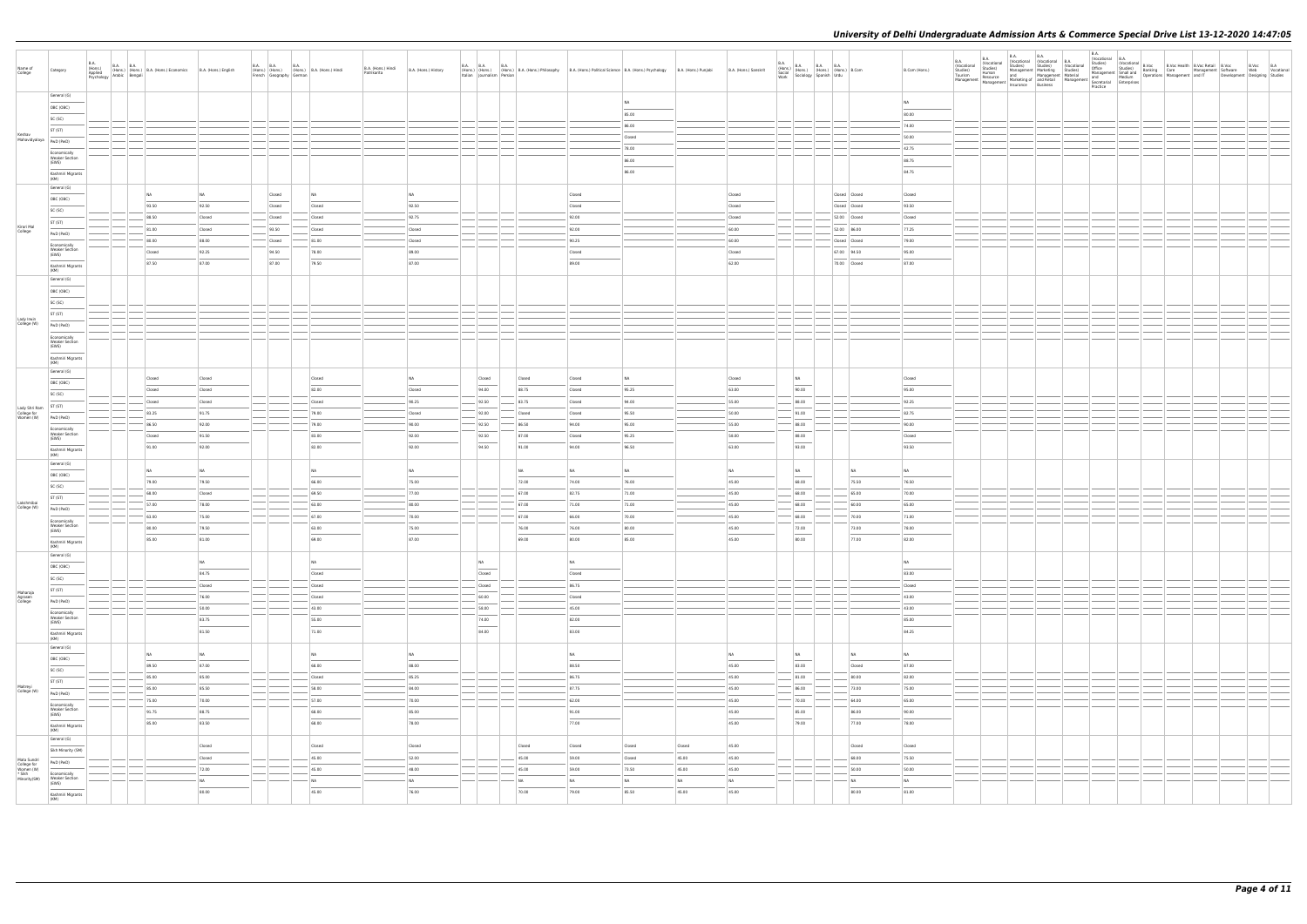| Name of<br>College             |                                                                   | Category                                                                                                                                                                                                                                                                                                                                                                                                                                                                                                | <b>B.A.</b><br>(Hons.)<br>Applied | <b>B.A. B.A.</b><br>Psychology Arabic Bengali | (Hons.) (Hons.) B.A. (Hons.) Economics B.A. (Hons.) English |                 | <b>B.A. B.A.</b> | French Geography German | <b>B.A.</b> | (Hons.) (Hons.) (Hons.) B.A. (Hons.) Hindi | B.A. (Hons.) Hindi<br>Patrikarita | B.A. (Hons.) History              | Italian Journalism Persian         |                |                | B.A. B.A. B.A. B.A. Hons.) B.A. (Hons.) Philosophy B.A. (Hons.) Political Science B.A. (Hons.) Psychology B.A. (Hons.) Punjabi |        | B.A. (Hons.) Sanskrit  | B.A.<br>(Hons.)<br>Social<br>Work       | .) B.A. B.A. B.A. (Hons.) B.Com<br>Sociology Spanish Urdu |                | B.Com (Hons.)                     | <b>B.A.</b><br>(Vocational<br>Studies)<br>Tourism | B.A.<br>(Vocational<br>Studies)<br>Human | <b>B.A.</b><br><b>B.A.</b><br>(Vocational (Vocational B.A.<br>Studies) Studies) (Vocat<br>Management Marketing Studies)<br>Tourism Human and Management Material Management Shanagement Shall and<br>Management Resource Marketing of and Retail Management Secretarial Enterprises<br>Management Insurance Business<br>Practice | (Vocational | <b>B.A.</b> | Practice |  | $\begin{tabular}{ l c c c c c c } \hline B.A & B.A & B.A & B.wc & B.wc}{\multicolumn{2}{c}{\textbf{N}}\textbf{C} & \multicolumn{2}{c}{\textbf{N}}\textbf{C} & \multicolumn{2}{c}{\textbf{N}}\textbf{C} & \multicolumn{2}{c}{\textbf{N}}\textbf{C} & \multicolumn{2}{c}{\textbf{N}}\textbf{C} & \multicolumn{2}{c}{\textbf{N}}\textbf{C} & \multicolumn{2}{c}{\textbf{N}}\textbf{C} & \multicolumn{2}{c}{\textbf{N}}\textbf{C} & \mult$ | Development Designing Studies | B.Voc B.A<br>Web Vocational |
|--------------------------------|-------------------------------------------------------------------|---------------------------------------------------------------------------------------------------------------------------------------------------------------------------------------------------------------------------------------------------------------------------------------------------------------------------------------------------------------------------------------------------------------------------------------------------------------------------------------------------------|-----------------------------------|-----------------------------------------------|-------------------------------------------------------------|-----------------|------------------|-------------------------|-------------|--------------------------------------------|-----------------------------------|-----------------------------------|------------------------------------|----------------|----------------|--------------------------------------------------------------------------------------------------------------------------------|--------|------------------------|-----------------------------------------|-----------------------------------------------------------|----------------|-----------------------------------|---------------------------------------------------|------------------------------------------|----------------------------------------------------------------------------------------------------------------------------------------------------------------------------------------------------------------------------------------------------------------------------------------------------------------------------------|-------------|-------------|----------|--|----------------------------------------------------------------------------------------------------------------------------------------------------------------------------------------------------------------------------------------------------------------------------------------------------------------------------------------------------------------------------------------------------------------------------------------|-------------------------------|-----------------------------|
|                                |                                                                   | General (G)<br>OBC (OBC)                                                                                                                                                                                                                                                                                                                                                                                                                                                                                |                                   |                                               |                                                             |                 |                  |                         |             |                                            |                                   |                                   |                                    |                |                | NA .                                                                                                                           |        |                        |                                         |                                                           |                | NA                                |                                                   |                                          |                                                                                                                                                                                                                                                                                                                                  |             |             |          |  |                                                                                                                                                                                                                                                                                                                                                                                                                                        |                               |                             |
|                                |                                                                   | SC (SC)                                                                                                                                                                                                                                                                                                                                                                                                                                                                                                 |                                   |                                               |                                                             |                 |                  |                         |             |                                            |                                   |                                   |                                    |                |                | 85.00                                                                                                                          |        |                        |                                         |                                                           |                | 80.00                             |                                                   |                                          |                                                                                                                                                                                                                                                                                                                                  |             |             |          |  |                                                                                                                                                                                                                                                                                                                                                                                                                                        |                               |                             |
|                                |                                                                   | ST (ST)                                                                                                                                                                                                                                                                                                                                                                                                                                                                                                 |                                   |                                               |                                                             |                 |                  |                         |             |                                            |                                   |                                   |                                    |                |                | 86.00                                                                                                                          |        |                        |                                         |                                                           |                | 74.00                             |                                                   |                                          |                                                                                                                                                                                                                                                                                                                                  |             |             |          |  |                                                                                                                                                                                                                                                                                                                                                                                                                                        |                               |                             |
| Keshav                         | Mahavidyalaya   PwD (PwD)                                         |                                                                                                                                                                                                                                                                                                                                                                                                                                                                                                         |                                   |                                               |                                                             |                 |                  |                         |             |                                            |                                   |                                   |                                    |                |                | Closed                                                                                                                         |        |                        |                                         |                                                           |                | 50.00                             |                                                   |                                          |                                                                                                                                                                                                                                                                                                                                  |             |             |          |  |                                                                                                                                                                                                                                                                                                                                                                                                                                        |                               |                             |
|                                |                                                                   | Economically                                                                                                                                                                                                                                                                                                                                                                                                                                                                                            |                                   |                                               |                                                             |                 |                  |                         |             |                                            |                                   |                                   |                                    |                |                | 78.00                                                                                                                          |        |                        |                                         |                                                           |                | 42.75                             |                                                   |                                          |                                                                                                                                                                                                                                                                                                                                  |             |             |          |  |                                                                                                                                                                                                                                                                                                                                                                                                                                        |                               |                             |
|                                |                                                                   | <b>Weaker Section</b><br>(EWS)                                                                                                                                                                                                                                                                                                                                                                                                                                                                          |                                   |                                               |                                                             |                 |                  |                         |             |                                            |                                   |                                   |                                    |                |                | 86.00                                                                                                                          |        |                        |                                         |                                                           |                | 88.75                             |                                                   |                                          |                                                                                                                                                                                                                                                                                                                                  |             |             |          |  |                                                                                                                                                                                                                                                                                                                                                                                                                                        |                               |                             |
|                                |                                                                   | Kashmiri Migrants                                                                                                                                                                                                                                                                                                                                                                                                                                                                                       |                                   |                                               |                                                             |                 |                  |                         |             |                                            |                                   |                                   |                                    |                |                | 86.00                                                                                                                          |        |                        |                                         |                                                           |                | 84.75                             |                                                   |                                          |                                                                                                                                                                                                                                                                                                                                  |             |             |          |  |                                                                                                                                                                                                                                                                                                                                                                                                                                        |                               |                             |
|                                |                                                                   | (KM)<br>General (G)                                                                                                                                                                                                                                                                                                                                                                                                                                                                                     |                                   |                                               |                                                             |                 |                  |                         |             |                                            |                                   |                                   |                                    |                |                |                                                                                                                                |        |                        |                                         |                                                           |                |                                   |                                                   |                                          |                                                                                                                                                                                                                                                                                                                                  |             |             |          |  |                                                                                                                                                                                                                                                                                                                                                                                                                                        |                               |                             |
|                                |                                                                   | OBC (OBC)                                                                                                                                                                                                                                                                                                                                                                                                                                                                                               |                                   |                                               | I NA                                                        | I NA            |                  | Closed                  |             | <b>NA</b>                                  |                                   | I NA                              |                                    |                | Closed         |                                                                                                                                |        | Closed                 |                                         |                                                           | Closed Closed  | Closed                            |                                                   |                                          |                                                                                                                                                                                                                                                                                                                                  |             |             |          |  |                                                                                                                                                                                                                                                                                                                                                                                                                                        |                               |                             |
|                                |                                                                   | SC (SC)                                                                                                                                                                                                                                                                                                                                                                                                                                                                                                 |                                   |                                               | 93.50                                                       | 92.50           |                  | Closed                  |             | Closed                                     |                                   | 92.50                             |                                    |                | Closed         |                                                                                                                                |        | Closed                 |                                         |                                                           | Closed Closed  | 93.50                             |                                                   |                                          |                                                                                                                                                                                                                                                                                                                                  |             |             |          |  |                                                                                                                                                                                                                                                                                                                                                                                                                                        |                               |                             |
|                                |                                                                   | ST (ST)                                                                                                                                                                                                                                                                                                                                                                                                                                                                                                 |                                   |                                               | 88.50                                                       | Closed          |                  | Closed                  |             | Closed                                     |                                   | 92.75                             |                                    |                | 92.00          |                                                                                                                                |        | Closed                 |                                         |                                                           | 52.00 Closed   | Closed                            |                                                   |                                          |                                                                                                                                                                                                                                                                                                                                  |             |             |          |  |                                                                                                                                                                                                                                                                                                                                                                                                                                        |                               |                             |
| Kirori Mal<br>College          |                                                                   | PwD (PwD)                                                                                                                                                                                                                                                                                                                                                                                                                                                                                               |                                   |                                               | 81.00                                                       | Closed          |                  | 93.50                   |             | Closed                                     |                                   | Closed                            |                                    |                | 92.00          |                                                                                                                                |        | 60.00                  |                                         |                                                           | 52.00 86.00    | 77.25                             |                                                   |                                          |                                                                                                                                                                                                                                                                                                                                  |             |             |          |  |                                                                                                                                                                                                                                                                                                                                                                                                                                        |                               |                             |
|                                |                                                                   | Economically                                                                                                                                                                                                                                                                                                                                                                                                                                                                                            |                                   |                                               | 80.00                                                       | 88.00           |                  | - Closed                |             | 81.00                                      |                                   | Closed                            |                                    |                | 90.25          |                                                                                                                                |        | 60.00                  |                                         |                                                           | Closed Closed  | 79.00                             |                                                   |                                          |                                                                                                                                                                                                                                                                                                                                  |             |             |          |  |                                                                                                                                                                                                                                                                                                                                                                                                                                        |                               |                             |
|                                |                                                                   | <b>Weaker Section</b><br>(EWS)                                                                                                                                                                                                                                                                                                                                                                                                                                                                          |                                   |                                               | Closed                                                      | 92.25           |                  | 94.50                   |             | 78.00                                      |                                   | 89.00                             |                                    |                | Closed         |                                                                                                                                |        | Closed                 |                                         |                                                           | 67.00 94.50    | 95.00                             |                                                   |                                          |                                                                                                                                                                                                                                                                                                                                  |             |             |          |  |                                                                                                                                                                                                                                                                                                                                                                                                                                        |                               |                             |
|                                |                                                                   | Kashmiri Migrants<br>(KM)                                                                                                                                                                                                                                                                                                                                                                                                                                                                               |                                   |                                               | 87.50                                                       | 87.00           |                  | 87.00                   |             | 79.50                                      |                                   | 87.00                             |                                    |                | 89.00          |                                                                                                                                |        | 62.00                  |                                         |                                                           | 70.00 Closed   | 87.00                             |                                                   |                                          |                                                                                                                                                                                                                                                                                                                                  |             |             |          |  |                                                                                                                                                                                                                                                                                                                                                                                                                                        |                               |                             |
|                                |                                                                   | General (G)                                                                                                                                                                                                                                                                                                                                                                                                                                                                                             |                                   |                                               |                                                             |                 |                  |                         |             |                                            |                                   |                                   |                                    |                |                |                                                                                                                                |        |                        |                                         |                                                           |                |                                   |                                                   |                                          |                                                                                                                                                                                                                                                                                                                                  |             |             |          |  |                                                                                                                                                                                                                                                                                                                                                                                                                                        |                               |                             |
|                                |                                                                   | OBC (OBC)                                                                                                                                                                                                                                                                                                                                                                                                                                                                                               |                                   |                                               |                                                             |                 |                  |                         |             |                                            |                                   |                                   |                                    |                |                |                                                                                                                                |        |                        |                                         |                                                           |                |                                   |                                                   |                                          |                                                                                                                                                                                                                                                                                                                                  |             |             |          |  |                                                                                                                                                                                                                                                                                                                                                                                                                                        |                               |                             |
|                                |                                                                   | SC (SC)                                                                                                                                                                                                                                                                                                                                                                                                                                                                                                 |                                   |                                               |                                                             |                 |                  |                         |             |                                            |                                   |                                   |                                    |                |                |                                                                                                                                |        |                        |                                         |                                                           |                |                                   |                                                   |                                          |                                                                                                                                                                                                                                                                                                                                  |             |             |          |  |                                                                                                                                                                                                                                                                                                                                                                                                                                        |                               |                             |
|                                |                                                                   | ST (ST)                                                                                                                                                                                                                                                                                                                                                                                                                                                                                                 |                                   |                                               |                                                             |                 |                  |                         |             |                                            |                                   |                                   |                                    |                |                |                                                                                                                                |        |                        |                                         |                                                           |                |                                   |                                                   |                                          |                                                                                                                                                                                                                                                                                                                                  |             |             |          |  |                                                                                                                                                                                                                                                                                                                                                                                                                                        |                               |                             |
|                                | Lady Irwin<br>College (W)                                         | PwD (PwD)                                                                                                                                                                                                                                                                                                                                                                                                                                                                                               |                                   |                                               |                                                             |                 |                  |                         |             |                                            |                                   |                                   |                                    |                |                |                                                                                                                                |        |                        |                                         |                                                           |                |                                   |                                                   |                                          |                                                                                                                                                                                                                                                                                                                                  |             |             |          |  |                                                                                                                                                                                                                                                                                                                                                                                                                                        |                               |                             |
|                                |                                                                   | Economically                                                                                                                                                                                                                                                                                                                                                                                                                                                                                            |                                   |                                               |                                                             |                 |                  |                         |             |                                            |                                   |                                   |                                    |                |                |                                                                                                                                |        |                        |                                         |                                                           |                |                                   |                                                   |                                          |                                                                                                                                                                                                                                                                                                                                  |             |             |          |  |                                                                                                                                                                                                                                                                                                                                                                                                                                        |                               |                             |
|                                |                                                                   | <b>Weaker Section</b><br>(EWS)                                                                                                                                                                                                                                                                                                                                                                                                                                                                          |                                   |                                               |                                                             |                 |                  |                         |             |                                            |                                   |                                   |                                    |                |                |                                                                                                                                |        |                        |                                         |                                                           |                |                                   |                                                   |                                          |                                                                                                                                                                                                                                                                                                                                  |             |             |          |  |                                                                                                                                                                                                                                                                                                                                                                                                                                        |                               |                             |
|                                |                                                                   | Kashmiri Migrants<br>(KM)                                                                                                                                                                                                                                                                                                                                                                                                                                                                               |                                   |                                               |                                                             |                 |                  |                         |             |                                            |                                   |                                   |                                    |                |                |                                                                                                                                |        |                        |                                         |                                                           |                |                                   |                                                   |                                          |                                                                                                                                                                                                                                                                                                                                  |             |             |          |  |                                                                                                                                                                                                                                                                                                                                                                                                                                        |                               |                             |
|                                |                                                                   | General (G)                                                                                                                                                                                                                                                                                                                                                                                                                                                                                             |                                   |                                               |                                                             |                 |                  |                         |             |                                            |                                   |                                   |                                    |                |                |                                                                                                                                |        |                        |                                         |                                                           |                |                                   |                                                   |                                          |                                                                                                                                                                                                                                                                                                                                  |             |             |          |  |                                                                                                                                                                                                                                                                                                                                                                                                                                        |                               |                             |
|                                |                                                                   | OBC (OBC)                                                                                                                                                                                                                                                                                                                                                                                                                                                                                               |                                   |                                               | Closed                                                      | Closed          |                  |                         |             | Closed                                     |                                   | NA                                | Closed                             | Closed         | Closed         | NA.                                                                                                                            |        | Closed                 | NA<br>$\sim$                            |                                                           |                | Closed                            |                                                   |                                          |                                                                                                                                                                                                                                                                                                                                  |             |             |          |  |                                                                                                                                                                                                                                                                                                                                                                                                                                        |                               |                             |
|                                |                                                                   | SC (SC)                                                                                                                                                                                                                                                                                                                                                                                                                                                                                                 |                                   |                                               | Closed                                                      | Closed          |                  |                         |             | 82.00                                      |                                   | Closed                            | 94.00                              | 88.75          | Closed         | 95.25                                                                                                                          |        | 63.00                  | 90.00                                   |                                                           |                | 95.00                             |                                                   |                                          |                                                                                                                                                                                                                                                                                                                                  |             |             |          |  |                                                                                                                                                                                                                                                                                                                                                                                                                                        |                               |                             |
|                                | Lady Shri Ram                                                     | ST (ST)                                                                                                                                                                                                                                                                                                                                                                                                                                                                                                 |                                   |                                               | Closed                                                      | Closed          |                  |                         |             | Closed                                     |                                   | 90.25                             | 92.50                              | 83.75          | Closed         | 94.00                                                                                                                          |        | 55.00                  | 88.00                                   |                                                           |                | 92.25                             |                                                   |                                          |                                                                                                                                                                                                                                                                                                                                  |             |             |          |  |                                                                                                                                                                                                                                                                                                                                                                                                                                        |                               |                             |
|                                | College for<br>Women (W)                                          | PwD (PwD)                                                                                                                                                                                                                                                                                                                                                                                                                                                                                               |                                   |                                               | 83.25                                                       | 91.75           |                  |                         |             | 79.00                                      |                                   | Closed                            | 92.00                              | Closed         | Closed         | 95.50                                                                                                                          |        | 50.00                  | 91.00                                   |                                                           |                | 82.75                             |                                                   |                                          |                                                                                                                                                                                                                                                                                                                                  |             |             |          |  |                                                                                                                                                                                                                                                                                                                                                                                                                                        |                               |                             |
|                                |                                                                   | Economically<br><b>Weaker Section</b>                                                                                                                                                                                                                                                                                                                                                                                                                                                                   |                                   |                                               | 86.50                                                       | 92.00           |                  |                         |             | 79.00                                      |                                   | 90.00                             | $-92.50$                           | 86.50          | 94.00          | 95.00                                                                                                                          |        | 55.00                  | 88.00                                   |                                                           |                | 90.00                             |                                                   |                                          |                                                                                                                                                                                                                                                                                                                                  |             |             |          |  |                                                                                                                                                                                                                                                                                                                                                                                                                                        |                               |                             |
|                                |                                                                   | (EWS)                                                                                                                                                                                                                                                                                                                                                                                                                                                                                                   |                                   |                                               | Closed                                                      | 91.50           |                  |                         |             | 83.00                                      |                                   | 92.00                             | 92.50                              | 87.00          | Closed         | 95.25                                                                                                                          |        | 58.00                  | 88.00                                   |                                                           |                | Closed                            |                                                   |                                          |                                                                                                                                                                                                                                                                                                                                  |             |             |          |  |                                                                                                                                                                                                                                                                                                                                                                                                                                        |                               |                             |
|                                |                                                                   | Kashmiri Migrants<br>(KM)                                                                                                                                                                                                                                                                                                                                                                                                                                                                               |                                   |                                               | 91.00                                                       | 92.00           |                  |                         |             | 82.00                                      |                                   | 92.00                             | 94.50                              | 91.00          | 94.00          | 96.50                                                                                                                          |        | 63.00                  | 93.00                                   |                                                           |                | 93.50                             |                                                   |                                          |                                                                                                                                                                                                                                                                                                                                  |             |             |          |  |                                                                                                                                                                                                                                                                                                                                                                                                                                        |                               |                             |
|                                |                                                                   | General (G)                                                                                                                                                                                                                                                                                                                                                                                                                                                                                             |                                   |                                               |                                                             |                 |                  |                         |             |                                            |                                   | NA                                |                                    | NA             |                |                                                                                                                                |        |                        |                                         |                                                           |                |                                   |                                                   |                                          |                                                                                                                                                                                                                                                                                                                                  |             |             |          |  |                                                                                                                                                                                                                                                                                                                                                                                                                                        |                               |                             |
|                                |                                                                   | OBC (OBC)                                                                                                                                                                                                                                                                                                                                                                                                                                                                                               |                                   |                                               | NA<br>79.00                                                 | NA              |                  |                         |             | NA                                         |                                   | 75.00                             |                                    |                | NA.            | NA<br>76.00                                                                                                                    |        | NA<br>45.00            | NA<br>$\overline{\phantom{a}}$<br>68.00 |                                                           | <b>NA</b>      | NA<br>76.50                       |                                                   |                                          |                                                                                                                                                                                                                                                                                                                                  |             |             |          |  |                                                                                                                                                                                                                                                                                                                                                                                                                                        |                               |                             |
|                                |                                                                   | SC (SC)                                                                                                                                                                                                                                                                                                                                                                                                                                                                                                 |                                   |                                               |                                                             | 79.50           |                  |                         |             | 66.00                                      |                                   | 77.00                             |                                    | 72.00          | 74.00          |                                                                                                                                |        |                        | 68.00                                   |                                                           | 75.50          |                                   |                                                   |                                          |                                                                                                                                                                                                                                                                                                                                  |             |             |          |  |                                                                                                                                                                                                                                                                                                                                                                                                                                        |                               |                             |
|                                | Lakshmibai                                                        | ST (ST)                                                                                                                                                                                                                                                                                                                                                                                                                                                                                                 |                                   |                                               | 68.00<br>57.00                                              | Closed<br>78.00 |                  |                         |             | 69.50<br>63.00                             |                                   | 80.00                             |                                    | 67.00<br>67.00 | 82.75<br>71.00 | 71.00<br>71.00                                                                                                                 |        | 45.00<br>45.00         | 68.00                                   |                                                           | 65.00<br>60.00 | 70.00<br>65.00                    |                                                   |                                          |                                                                                                                                                                                                                                                                                                                                  |             |             |          |  |                                                                                                                                                                                                                                                                                                                                                                                                                                        |                               |                             |
|                                | College (W)                                                       | PwD (PwD)                                                                                                                                                                                                                                                                                                                                                                                                                                                                                               |                                   |                                               | 63.00                                                       | 75.00           |                  |                         |             | 67.00                                      |                                   | 70.00                             |                                    | 67.00          | 66.00          | 70.00                                                                                                                          |        | 45.00                  | 68.00                                   |                                                           | 70.00          | 71.00                             |                                                   |                                          |                                                                                                                                                                                                                                                                                                                                  |             |             |          |  |                                                                                                                                                                                                                                                                                                                                                                                                                                        |                               |                             |
|                                |                                                                   | Economically<br><b>Weaker Section</b>                                                                                                                                                                                                                                                                                                                                                                                                                                                                   |                                   |                                               | 80.00                                                       | 79.50           |                  |                         |             | 63.00                                      |                                   | 75.00                             |                                    | 76.00          | 76.00          | 80.00                                                                                                                          |        | 45.00                  | 72.00                                   |                                                           | 73.00          | 78.00                             |                                                   |                                          |                                                                                                                                                                                                                                                                                                                                  |             |             |          |  |                                                                                                                                                                                                                                                                                                                                                                                                                                        |                               |                             |
|                                |                                                                   | (EWS)                                                                                                                                                                                                                                                                                                                                                                                                                                                                                                   |                                   |                                               | 85.00                                                       | 81.00           |                  |                         |             | 69.00                                      |                                   | 87.00                             |                                    | 00.95          | 80.00          | 95.00                                                                                                                          |        | 45.00                  | 80.00                                   |                                                           | 77.00          | 82.00                             |                                                   |                                          |                                                                                                                                                                                                                                                                                                                                  |             |             |          |  |                                                                                                                                                                                                                                                                                                                                                                                                                                        |                               |                             |
|                                |                                                                   | Kashmiri Migrants<br>(KM)                                                                                                                                                                                                                                                                                                                                                                                                                                                                               |                                   |                                               |                                                             |                 |                  |                         |             |                                            |                                   |                                   |                                    |                |                |                                                                                                                                |        |                        |                                         |                                                           |                |                                   |                                                   |                                          |                                                                                                                                                                                                                                                                                                                                  |             |             |          |  |                                                                                                                                                                                                                                                                                                                                                                                                                                        |                               |                             |
|                                |                                                                   | General (G)                                                                                                                                                                                                                                                                                                                                                                                                                                                                                             |                                   |                                               |                                                             | NA              |                  |                         |             | NA                                         |                                   |                                   | NA                                 |                | NA             |                                                                                                                                |        |                        |                                         |                                                           |                | NA                                |                                                   |                                          |                                                                                                                                                                                                                                                                                                                                  |             |             |          |  |                                                                                                                                                                                                                                                                                                                                                                                                                                        |                               |                             |
|                                |                                                                   | OBC (OBC)                                                                                                                                                                                                                                                                                                                                                                                                                                                                                               |                                   |                                               |                                                             | 84.75           |                  |                         |             | $\overline{\phantom{a}}$<br>Closed         |                                   |                                   | $\overline{\phantom{a}}$<br>Closed |                | Closed         |                                                                                                                                |        |                        |                                         |                                                           |                | 83.00                             |                                                   |                                          |                                                                                                                                                                                                                                                                                                                                  |             |             |          |  |                                                                                                                                                                                                                                                                                                                                                                                                                                        |                               |                             |
|                                |                                                                   | SC (SC)                                                                                                                                                                                                                                                                                                                                                                                                                                                                                                 |                                   | المساحسة ا                                    |                                                             | Closed          |                  |                         |             | Closed                                     |                                   |                                   | Closed                             |                | 86.75          |                                                                                                                                |        |                        |                                         |                                                           |                | Closed                            |                                                   |                                          |                                                                                                                                                                                                                                                                                                                                  |             |             |          |  |                                                                                                                                                                                                                                                                                                                                                                                                                                        |                               |                             |
| Maharaja<br>Agrasen<br>College |                                                                   | ST (ST)                                                                                                                                                                                                                                                                                                                                                                                                                                                                                                 |                                   |                                               |                                                             | 76.00           |                  |                         |             | Closed                                     |                                   |                                   | 60.00                              |                | Closed         |                                                                                                                                |        |                        |                                         |                                                           |                | 43.00                             |                                                   |                                          |                                                                                                                                                                                                                                                                                                                                  |             |             |          |  |                                                                                                                                                                                                                                                                                                                                                                                                                                        |                               |                             |
|                                |                                                                   | PwD (PwD)                                                                                                                                                                                                                                                                                                                                                                                                                                                                                               |                                   |                                               |                                                             | 50.00           |                  |                         |             | 43.00                                      |                                   |                                   | 58.00                              |                | 45.00          |                                                                                                                                |        |                        |                                         |                                                           |                | 43.00                             |                                                   |                                          |                                                                                                                                                                                                                                                                                                                                  |             |             |          |  |                                                                                                                                                                                                                                                                                                                                                                                                                                        |                               |                             |
|                                |                                                                   | Economically<br><b>Weaker Section</b><br>(EWS)                                                                                                                                                                                                                                                                                                                                                                                                                                                          |                                   |                                               |                                                             | 83.75           |                  |                         |             | 55.00                                      |                                   |                                   | 74.00                              |                | 82.00          |                                                                                                                                |        |                        |                                         |                                                           |                | 85.00                             |                                                   |                                          |                                                                                                                                                                                                                                                                                                                                  |             |             |          |  |                                                                                                                                                                                                                                                                                                                                                                                                                                        |                               |                             |
|                                |                                                                   | $\sim$ 0.000 $\mu$<br>Kashmiri Migrants<br>(KM)                                                                                                                                                                                                                                                                                                                                                                                                                                                         |                                   |                                               |                                                             | 81.50           |                  |                         |             | 71.00                                      |                                   |                                   | $\sim$<br>84.00                    |                | 83.00          |                                                                                                                                |        |                        |                                         |                                                           |                | $\overline{\phantom{a}}$<br>84.25 |                                                   |                                          |                                                                                                                                                                                                                                                                                                                                  |             |             |          |  |                                                                                                                                                                                                                                                                                                                                                                                                                                        |                               |                             |
|                                |                                                                   | General (G)                                                                                                                                                                                                                                                                                                                                                                                                                                                                                             |                                   |                                               |                                                             |                 |                  |                         |             |                                            |                                   |                                   |                                    |                |                |                                                                                                                                |        |                        |                                         |                                                           |                |                                   |                                                   |                                          |                                                                                                                                                                                                                                                                                                                                  |             |             |          |  |                                                                                                                                                                                                                                                                                                                                                                                                                                        |                               |                             |
|                                |                                                                   | OBC (OBC)                                                                                                                                                                                                                                                                                                                                                                                                                                                                                               |                                   |                                               | NA                                                          | NA              |                  |                         |             | NA                                         |                                   | NA                                |                                    |                | NA             |                                                                                                                                |        | NA                     | <b>NA</b>                               |                                                           | <b>NA</b>      | NA                                |                                                   |                                          |                                                                                                                                                                                                                                                                                                                                  |             |             |          |  |                                                                                                                                                                                                                                                                                                                                                                                                                                        |                               |                             |
|                                |                                                                   | SC (SC)                                                                                                                                                                                                                                                                                                                                                                                                                                                                                                 |                                   |                                               | 89.50                                                       | 87.00           |                  |                         |             | 68.00                                      |                                   | 88.00                             |                                    |                | 88.50          |                                                                                                                                |        | 45.00                  | $\overline{\phantom{a}}$<br>83.00       |                                                           | Closed         | 87.00                             |                                                   |                                          |                                                                                                                                                                                                                                                                                                                                  |             |             |          |  |                                                                                                                                                                                                                                                                                                                                                                                                                                        |                               |                             |
|                                |                                                                   | ST (ST)                                                                                                                                                                                                                                                                                                                                                                                                                                                                                                 |                                   |                                               | 85.00                                                       | 85.00           |                  |                         |             | Closed                                     |                                   | 85.25                             |                                    |                | 86.75          |                                                                                                                                |        | 45.00                  | 81.00                                   |                                                           | 80.00          | 82.00                             |                                                   |                                          |                                                                                                                                                                                                                                                                                                                                  |             |             |          |  |                                                                                                                                                                                                                                                                                                                                                                                                                                        |                               |                             |
| Maitreyi                       | College (W)                                                       | PwD (PwD)                                                                                                                                                                                                                                                                                                                                                                                                                                                                                               |                                   |                                               | 85.00                                                       | 85.50           |                  |                         |             | 58.00                                      |                                   | 84.00                             |                                    |                | 87.75          |                                                                                                                                |        | 45.00                  | 86.00                                   |                                                           | 73.00          | 75.00                             |                                                   |                                          |                                                                                                                                                                                                                                                                                                                                  |             |             |          |  |                                                                                                                                                                                                                                                                                                                                                                                                                                        |                               |                             |
|                                |                                                                   | Economically                                                                                                                                                                                                                                                                                                                                                                                                                                                                                            |                                   |                                               | 75.00                                                       | 70.00           |                  |                         |             | 57.00                                      |                                   | 70.00                             |                                    |                | 62.00          |                                                                                                                                |        | 45.00                  | 70.00                                   |                                                           | 64.00          | 65.00                             |                                                   |                                          |                                                                                                                                                                                                                                                                                                                                  |             |             |          |  |                                                                                                                                                                                                                                                                                                                                                                                                                                        |                               |                             |
|                                |                                                                   | Weaker Section<br>(EWS)                                                                                                                                                                                                                                                                                                                                                                                                                                                                                 |                                   |                                               | 91.75                                                       | 88.75           |                  |                         |             | 68.00                                      |                                   | 85.00<br>$\overline{\phantom{a}}$ |                                    |                | 91.00          |                                                                                                                                |        | 45.00<br>$\frac{1}{2}$ | 85.00<br>$\sim$                         |                                                           | 86.00          | 90.00                             |                                                   |                                          |                                                                                                                                                                                                                                                                                                                                  |             |             |          |  |                                                                                                                                                                                                                                                                                                                                                                                                                                        |                               |                             |
|                                |                                                                   | $\frac{1}{2} \left( \frac{1}{2} \right) \left( \frac{1}{2} \right) \left( \frac{1}{2} \right) \left( \frac{1}{2} \right) \left( \frac{1}{2} \right) \left( \frac{1}{2} \right) \left( \frac{1}{2} \right) \left( \frac{1}{2} \right) \left( \frac{1}{2} \right) \left( \frac{1}{2} \right) \left( \frac{1}{2} \right) \left( \frac{1}{2} \right) \left( \frac{1}{2} \right) \left( \frac{1}{2} \right) \left( \frac{1}{2} \right) \left( \frac{1}{2} \right) \left( \frac$<br>Kashmiri Migrants<br>(KM) |                                   |                                               | 85.00                                                       | 83.50           |                  |                         |             | 68.00                                      |                                   | 78.00                             |                                    |                | 77.00          |                                                                                                                                |        | 45.00                  | 79.00                                   |                                                           | 77.00          | 78.00                             |                                                   |                                          |                                                                                                                                                                                                                                                                                                                                  |             |             |          |  |                                                                                                                                                                                                                                                                                                                                                                                                                                        |                               |                             |
|                                |                                                                   | General (G)                                                                                                                                                                                                                                                                                                                                                                                                                                                                                             |                                   |                                               |                                                             |                 |                  |                         |             |                                            |                                   |                                   |                                    |                |                |                                                                                                                                |        |                        |                                         |                                                           |                |                                   |                                                   |                                          |                                                                                                                                                                                                                                                                                                                                  |             |             |          |  |                                                                                                                                                                                                                                                                                                                                                                                                                                        |                               |                             |
|                                |                                                                   | Sikh Minority (SM)                                                                                                                                                                                                                                                                                                                                                                                                                                                                                      |                                   |                                               |                                                             | Closed          |                  |                         |             | Closed                                     |                                   | Closed                            |                                    | Closed         | Closed         | Closed                                                                                                                         | Closed | 45.00                  |                                         |                                                           | Closed         | Closed                            |                                                   |                                          |                                                                                                                                                                                                                                                                                                                                  |             |             |          |  |                                                                                                                                                                                                                                                                                                                                                                                                                                        |                               |                             |
|                                |                                                                   | PwD (PwD)                                                                                                                                                                                                                                                                                                                                                                                                                                                                                               |                                   |                                               |                                                             | Closed          |                  |                         |             | 45.00                                      |                                   | 52.00                             |                                    | 45.00          | 59.00          | Closed                                                                                                                         | 45.00  | 45.00                  |                                         |                                                           | 68.00          | 75.50                             |                                                   |                                          |                                                                                                                                                                                                                                                                                                                                  |             |             |          |  |                                                                                                                                                                                                                                                                                                                                                                                                                                        |                               |                             |
|                                | Mata Sundri<br>College for<br>Women (W)<br>* Sikh<br>Minority(SM) | Economically                                                                                                                                                                                                                                                                                                                                                                                                                                                                                            |                                   |                                               |                                                             | 72.00           |                  |                         |             | 45.00                                      |                                   | 48.00                             |                                    | 45.00          | 59.00          | 73.50                                                                                                                          | 45.00  | 45.00                  |                                         |                                                           | 50.00          | 50.00                             |                                                   |                                          |                                                                                                                                                                                                                                                                                                                                  |             |             |          |  |                                                                                                                                                                                                                                                                                                                                                                                                                                        |                               |                             |
|                                |                                                                   | <b>Weaker Section</b><br>(EWS)                                                                                                                                                                                                                                                                                                                                                                                                                                                                          |                                   |                                               |                                                             | <b>NA</b>       |                  |                         |             | NA                                         |                                   | NA                                |                                    | <b>NA</b>      | NA             | NA                                                                                                                             | NA     | <b>NA</b>              |                                         |                                                           | <b>NA</b>      | NA                                |                                                   |                                          |                                                                                                                                                                                                                                                                                                                                  |             |             |          |  |                                                                                                                                                                                                                                                                                                                                                                                                                                        |                               |                             |
|                                |                                                                   | Kashmiri Migrants<br>(KM)                                                                                                                                                                                                                                                                                                                                                                                                                                                                               |                                   |                                               |                                                             | 80.00           |                  |                         |             | 45.00                                      |                                   | 76.00                             |                                    | 70.00          | 79.00          | 85.50                                                                                                                          | 45.00  | 45.00                  |                                         |                                                           | 80.00          | 81.00                             |                                                   |                                          |                                                                                                                                                                                                                                                                                                                                  |             |             |          |  |                                                                                                                                                                                                                                                                                                                                                                                                                                        |                               |                             |
|                                |                                                                   |                                                                                                                                                                                                                                                                                                                                                                                                                                                                                                         |                                   |                                               |                                                             |                 |                  |                         |             |                                            |                                   |                                   |                                    |                |                |                                                                                                                                |        |                        |                                         |                                                           |                |                                   |                                                   |                                          |                                                                                                                                                                                                                                                                                                                                  |             |             |          |  |                                                                                                                                                                                                                                                                                                                                                                                                                                        |                               |                             |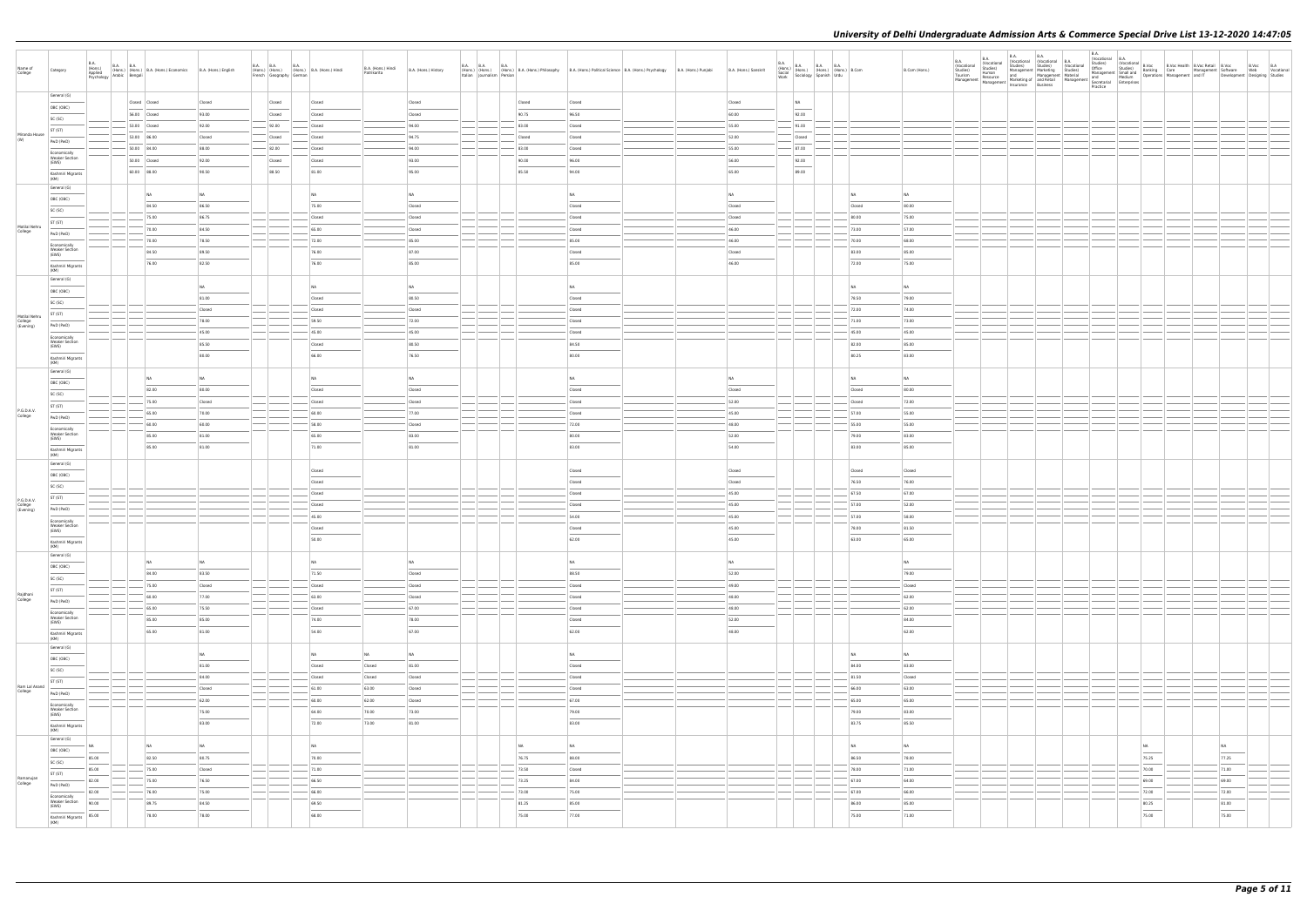| Name of<br>College                    | Category                                                                                                                                                                                                                                                                                                                                                                                                                                                                                        | <b>B.A.</b><br>(Hons.)<br>Applied | B.A. B.A. (Hons.) B.A. (Hons.) Economics<br>Psychology Arabic Bengali | B.A. (Hons.) English | French Geography German | B.A. B.A. B.A. B.A. (Hons.) B.A. (Hons.) Hindi | B.A. (Hons.) Hindi<br>Patrikarita | B.A. (Hons.) History | Italian Journalism Persian |        | B.A. B.A. B.A. B.A. (Hons.) B.A. (Hons.) Philosophy B.A. (Hons.) Political Science B.A. (Hons.) Psychology | B.A. (Hons.) Punjabi | B.A. (Hons.) Sanskrit | <b>B.A.</b><br>Work | B.A.<br>(Hons.) B.A. B.A. (Hons.) (B.A. (Hons.) B.Com<br>Social Sociology Spanish Urdu<br>Work Sociology Spanish Urdu |                 | B.Com (Hons.)   | <b>B.A.</b><br>(Vocational<br>Studies)<br>Tourism<br>Management |  |  |                                   |                 |  |
|---------------------------------------|-------------------------------------------------------------------------------------------------------------------------------------------------------------------------------------------------------------------------------------------------------------------------------------------------------------------------------------------------------------------------------------------------------------------------------------------------------------------------------------------------|-----------------------------------|-----------------------------------------------------------------------|----------------------|-------------------------|------------------------------------------------|-----------------------------------|----------------------|----------------------------|--------|------------------------------------------------------------------------------------------------------------|----------------------|-----------------------|---------------------|-----------------------------------------------------------------------------------------------------------------------|-----------------|-----------------|-----------------------------------------------------------------|--|--|-----------------------------------|-----------------|--|
|                                       | General (G)                                                                                                                                                                                                                                                                                                                                                                                                                                                                                     |                                   | Closed Closed                                                         | Closed               | Closed                  | Closed                                         |                                   | Closed               |                            | Closed | Closed                                                                                                     |                      | Closed                |                     | NA                                                                                                                    |                 |                 |                                                                 |  |  |                                   |                 |  |
|                                       | OBC (OBC)<br>SC (SC)                                                                                                                                                                                                                                                                                                                                                                                                                                                                            |                                   | 56.00 Closed                                                          | 93.00                | Closed                  | Closed                                         |                                   | Closed               |                            | 90.75  | 96.50                                                                                                      |                      | 60.00                 |                     | 92.00                                                                                                                 |                 |                 |                                                                 |  |  |                                   |                 |  |
|                                       | ST (ST)                                                                                                                                                                                                                                                                                                                                                                                                                                                                                         |                                   | 53.00 Closed                                                          | 92.00                | 92.00                   | Closed                                         |                                   | 94.00                |                            | 83.00  | Closed                                                                                                     |                      | 55.00                 |                     | 91.00                                                                                                                 |                 |                 |                                                                 |  |  |                                   |                 |  |
| Miranda House<br>(W)                  | PwD (PwD)                                                                                                                                                                                                                                                                                                                                                                                                                                                                                       |                                   | 53.00 86.00                                                           | Closed               | Closed                  | Closed                                         |                                   | 94.75                |                            | Closed | Closed                                                                                                     |                      | 52.00                 |                     | Closed                                                                                                                |                 |                 |                                                                 |  |  |                                   |                 |  |
|                                       | Economically                                                                                                                                                                                                                                                                                                                                                                                                                                                                                    |                                   | $50.00$ 84.00                                                         | 88.00                | 82.00                   | Closed                                         |                                   | 94.00                |                            | 83.00  | Closed                                                                                                     |                      | 55.00                 |                     | 87.00                                                                                                                 |                 |                 |                                                                 |  |  |                                   |                 |  |
|                                       | <b>Weaker Section</b><br>(EWS)                                                                                                                                                                                                                                                                                                                                                                                                                                                                  |                                   | 50.00 Closed                                                          | 92.00                | Closed                  | Closed                                         |                                   | 93.00                |                            | 90.00  | 96.00                                                                                                      |                      | 56.00                 |                     | 92.00                                                                                                                 |                 |                 |                                                                 |  |  |                                   |                 |  |
|                                       | Kashmiri Migrants                                                                                                                                                                                                                                                                                                                                                                                                                                                                               |                                   | 60.00 88.00                                                           | 90.50                | 88.50                   | 81.00                                          |                                   | 95.00                |                            | 85.50  | 94.00                                                                                                      |                      | 65.00                 |                     | 89.00                                                                                                                 |                 |                 |                                                                 |  |  |                                   |                 |  |
|                                       | (KM)<br>General (G)                                                                                                                                                                                                                                                                                                                                                                                                                                                                             |                                   |                                                                       |                      |                         |                                                |                                   |                      |                            |        |                                                                                                            |                      |                       |                     |                                                                                                                       |                 |                 |                                                                 |  |  |                                   |                 |  |
|                                       | OBC (OBC)                                                                                                                                                                                                                                                                                                                                                                                                                                                                                       |                                   | NA                                                                    | NA                   |                         | NA                                             |                                   | NA                   |                            |        | NA                                                                                                         |                      | NA                    |                     |                                                                                                                       | <b>NA</b>       | NA              |                                                                 |  |  |                                   |                 |  |
|                                       | SC (SC)                                                                                                                                                                                                                                                                                                                                                                                                                                                                                         |                                   | 84.50                                                                 | 86.50                |                         | 75.00                                          |                                   | Closed               |                            |        | Closed                                                                                                     |                      | Closed                |                     |                                                                                                                       | Closed          | 80.00           |                                                                 |  |  |                                   |                 |  |
|                                       | ST (ST)                                                                                                                                                                                                                                                                                                                                                                                                                                                                                         |                                   | 75.00                                                                 | 86.75                |                         | Closed                                         |                                   | Closed               |                            |        | Closed                                                                                                     |                      | Closed                |                     |                                                                                                                       | 80.00           | 75.00           |                                                                 |  |  |                                   |                 |  |
| Motilal Nehru<br>College              | PwD (PwD)                                                                                                                                                                                                                                                                                                                                                                                                                                                                                       |                                   | 70.00                                                                 | 84.50                |                         | 65.00                                          |                                   | Closed               |                            |        | Closed                                                                                                     |                      | 46.00                 |                     |                                                                                                                       | 73.00           | 57.00           |                                                                 |  |  |                                   |                 |  |
|                                       | Economically<br><b>Weaker Section</b>                                                                                                                                                                                                                                                                                                                                                                                                                                                           |                                   | 70.00                                                                 | 78.50                |                         | 72.00                                          |                                   | 85.00                |                            |        | 85.00                                                                                                      |                      | 46.00                 |                     |                                                                                                                       | 70.00           | 68.00           |                                                                 |  |  |                                   |                 |  |
|                                       | (EWS)<br>$\frac{1}{2}$                                                                                                                                                                                                                                                                                                                                                                                                                                                                          |                                   | 84.50                                                                 | 89.50                |                         | 76.00                                          |                                   | 87.00                |                            |        | Closed                                                                                                     |                      | Closed                |                     |                                                                                                                       | 83.00           | 85.00           |                                                                 |  |  |                                   |                 |  |
|                                       | Kashmiri Migrants<br>(KM)                                                                                                                                                                                                                                                                                                                                                                                                                                                                       |                                   | 76.00                                                                 | 82.50                |                         | 76.00                                          |                                   | 85.00                |                            |        | 85.00                                                                                                      |                      | 46.00                 |                     |                                                                                                                       | 72.00           | 75.00           |                                                                 |  |  |                                   |                 |  |
|                                       | General (G)                                                                                                                                                                                                                                                                                                                                                                                                                                                                                     |                                   |                                                                       | NA                   |                         | NA                                             |                                   | <b>NA</b>            |                            |        | I NA                                                                                                       |                      |                       |                     |                                                                                                                       | <b>NA</b>       | I NA            |                                                                 |  |  |                                   |                 |  |
|                                       | OBC (OBC)                                                                                                                                                                                                                                                                                                                                                                                                                                                                                       |                                   |                                                                       | 81.00                |                         | Closed                                         |                                   | 80.50                |                            |        | Closed                                                                                                     |                      |                       |                     |                                                                                                                       | 78.50           | 79.00           |                                                                 |  |  |                                   |                 |  |
|                                       | SC (SC)                                                                                                                                                                                                                                                                                                                                                                                                                                                                                         |                                   |                                                                       | Closed               |                         | Closed                                         |                                   | Closed               |                            |        | Closed                                                                                                     |                      |                       |                     |                                                                                                                       | 72.00           | 74.00           |                                                                 |  |  |                                   |                 |  |
| Motilal Nehru<br>College<br>(Evening) | ST (ST)                                                                                                                                                                                                                                                                                                                                                                                                                                                                                         |                                   |                                                                       | 78.00                |                         | 59.50                                          |                                   | 72.00                |                            |        | Closed                                                                                                     |                      |                       |                     |                                                                                                                       | 71.00           | 73.00           |                                                                 |  |  |                                   |                 |  |
|                                       | PwD (PwD)                                                                                                                                                                                                                                                                                                                                                                                                                                                                                       |                                   |                                                                       | 45.00                |                         | 45.00                                          |                                   | 45.00                |                            |        | Closed                                                                                                     |                      |                       |                     |                                                                                                                       | 45.00           | 45.00           |                                                                 |  |  |                                   |                 |  |
|                                       | Economically<br><b>Weaker Section</b><br>(EWS)                                                                                                                                                                                                                                                                                                                                                                                                                                                  |                                   |                                                                       | 85.50                |                         | Closed                                         |                                   | 80.50                |                            |        | 84.50                                                                                                      |                      |                       |                     |                                                                                                                       | 82.00           | 85.00           |                                                                 |  |  |                                   |                 |  |
|                                       | $\frac{1}{2} \left( \frac{1}{2} \right) \left( \frac{1}{2} \right) \left( \frac{1}{2} \right) \left( \frac{1}{2} \right) \left( \frac{1}{2} \right) \left( \frac{1}{2} \right) \left( \frac{1}{2} \right) \left( \frac{1}{2} \right) \left( \frac{1}{2} \right) \left( \frac{1}{2} \right) \left( \frac{1}{2} \right) \left( \frac{1}{2} \right) \left( \frac{1}{2} \right) \left( \frac{1}{2} \right) \left( \frac{1}{2} \right) \left( \frac{1}{2} \right) \left( \frac$<br>Kashmiri Migrants |                                   |                                                                       | 80.00                |                         | 66.00                                          |                                   | 76.50                |                            |        | 80.00                                                                                                      |                      |                       |                     |                                                                                                                       | 80.25           | 83.00           |                                                                 |  |  |                                   |                 |  |
|                                       | (KM)<br>General (G)                                                                                                                                                                                                                                                                                                                                                                                                                                                                             |                                   |                                                                       |                      |                         |                                                |                                   |                      |                            |        |                                                                                                            |                      |                       |                     |                                                                                                                       |                 |                 |                                                                 |  |  |                                   |                 |  |
|                                       | OBC (OBC)                                                                                                                                                                                                                                                                                                                                                                                                                                                                                       |                                   | <b>NA</b>                                                             | NA                   |                         | NA                                             |                                   | <b>NA</b>            |                            |        | I NA                                                                                                       |                      | NA                    |                     |                                                                                                                       | <b>NA</b>       | I NA            |                                                                 |  |  |                                   |                 |  |
|                                       | SC (SC)                                                                                                                                                                                                                                                                                                                                                                                                                                                                                         |                                   | 82.00                                                                 | 80.00                |                         | Closed                                         |                                   | Closed               |                            |        | Closed                                                                                                     |                      | Closed                |                     |                                                                                                                       | Closed          | 80.00           |                                                                 |  |  |                                   |                 |  |
|                                       | ST (ST)                                                                                                                                                                                                                                                                                                                                                                                                                                                                                         |                                   | 75.00                                                                 | Closed               |                         | Closed                                         |                                   | Closed               |                            |        | Closed                                                                                                     |                      | 52.00                 |                     |                                                                                                                       | Closed          | 72.00           |                                                                 |  |  |                                   |                 |  |
| P.G.D.A.V.<br>College                 | PwD (PwD)                                                                                                                                                                                                                                                                                                                                                                                                                                                                                       |                                   | 65.00                                                                 | 70.00                |                         | 60.00                                          |                                   | 77.00                |                            |        | Closed                                                                                                     |                      | 45.00                 |                     |                                                                                                                       | 57.00           | 55.00           |                                                                 |  |  |                                   |                 |  |
|                                       | Economically                                                                                                                                                                                                                                                                                                                                                                                                                                                                                    |                                   | 60.00                                                                 | 60.00                |                         | 58.00                                          |                                   | Closed               |                            |        | 72.00                                                                                                      |                      | 48.00                 |                     |                                                                                                                       | 55.00           | 55.00           |                                                                 |  |  |                                   |                 |  |
|                                       | <b>Weaker Section</b><br>(EWS)                                                                                                                                                                                                                                                                                                                                                                                                                                                                  |                                   | 85.00                                                                 | 81.00                |                         | 65.00                                          |                                   | 83.00                |                            |        | 80.00                                                                                                      |                      | 52.00                 |                     |                                                                                                                       | 79.00           | 83.00           |                                                                 |  |  |                                   |                 |  |
|                                       | Kashmiri Migrants<br>(KM)                                                                                                                                                                                                                                                                                                                                                                                                                                                                       |                                   | 85.00                                                                 | 81.00                |                         | 71.00                                          |                                   | 81.00                |                            |        | 83.00                                                                                                      |                      | 54.00                 |                     |                                                                                                                       | 83.00           | 85.00           |                                                                 |  |  |                                   |                 |  |
|                                       | General (G)                                                                                                                                                                                                                                                                                                                                                                                                                                                                                     |                                   |                                                                       |                      |                         |                                                |                                   |                      |                            |        |                                                                                                            |                      |                       |                     |                                                                                                                       |                 |                 |                                                                 |  |  |                                   |                 |  |
|                                       | OBC (OBC)                                                                                                                                                                                                                                                                                                                                                                                                                                                                                       |                                   |                                                                       |                      |                         | Closed<br>Closed                               |                                   |                      |                            |        | Closed<br>Closed                                                                                           |                      | Closed<br>Closed      |                     |                                                                                                                       | Closed<br>76.50 | Closed<br>76.00 |                                                                 |  |  |                                   |                 |  |
|                                       | SC (SC)                                                                                                                                                                                                                                                                                                                                                                                                                                                                                         |                                   |                                                                       |                      |                         | Closed                                         |                                   |                      |                            |        | Closed                                                                                                     |                      | 45.00                 |                     |                                                                                                                       | 67.50           | 67.00           |                                                                 |  |  |                                   |                 |  |
| P.G.D.A.V.<br>College<br>(Evening)    | ST (ST)                                                                                                                                                                                                                                                                                                                                                                                                                                                                                         |                                   |                                                                       |                      |                         | Closed                                         |                                   |                      |                            |        | Closed                                                                                                     |                      | 45.00                 |                     |                                                                                                                       | 57.00           | 52.00           |                                                                 |  |  |                                   |                 |  |
|                                       | PwD (PwD)                                                                                                                                                                                                                                                                                                                                                                                                                                                                                       |                                   |                                                                       |                      |                         | 45.00                                          |                                   |                      |                            |        | 54.00                                                                                                      |                      | 45.00                 |                     |                                                                                                                       | 57.00           | 58.00           |                                                                 |  |  |                                   |                 |  |
|                                       | Economically<br><b>Weaker Section</b><br>(EWS)                                                                                                                                                                                                                                                                                                                                                                                                                                                  |                                   |                                                                       |                      |                         | Closed                                         |                                   |                      |                            |        | Closed                                                                                                     |                      | 45.00                 |                     |                                                                                                                       | 78.00           | 81.50           |                                                                 |  |  |                                   |                 |  |
|                                       | Kashmiri Migrants                                                                                                                                                                                                                                                                                                                                                                                                                                                                               |                                   |                                                                       |                      |                         | 50.00                                          |                                   |                      |                            |        | 62.00                                                                                                      |                      | 45.00                 |                     |                                                                                                                       | 63.00           | 65.00           |                                                                 |  |  |                                   |                 |  |
|                                       | (KM)<br>General (G)                                                                                                                                                                                                                                                                                                                                                                                                                                                                             |                                   |                                                                       |                      |                         |                                                |                                   |                      |                            |        |                                                                                                            |                      |                       |                     |                                                                                                                       |                 |                 |                                                                 |  |  |                                   |                 |  |
|                                       | OBC (OBC)                                                                                                                                                                                                                                                                                                                                                                                                                                                                                       |                                   | NA                                                                    | NA                   |                         | NA                                             |                                   | NA                   |                            |        | NA                                                                                                         |                      | <b>NA</b>             |                     |                                                                                                                       |                 | NA              |                                                                 |  |  |                                   |                 |  |
|                                       | SC (SC)                                                                                                                                                                                                                                                                                                                                                                                                                                                                                         |                                   | 84.00                                                                 | 83.50                |                         | 71.50                                          |                                   | Closed               |                            |        | 88.50                                                                                                      |                      | 52.00                 |                     |                                                                                                                       |                 | 79.00           |                                                                 |  |  |                                   |                 |  |
|                                       | ST (ST)                                                                                                                                                                                                                                                                                                                                                                                                                                                                                         |                                   | 75.00                                                                 | Closed               |                         | Closed                                         |                                   | Closed               |                            |        | Closed                                                                                                     |                      | 49.00                 |                     |                                                                                                                       |                 | Closed          |                                                                 |  |  |                                   |                 |  |
| Rajdhani<br>College                   | PwD (PwD)                                                                                                                                                                                                                                                                                                                                                                                                                                                                                       |                                   | 60.00                                                                 | 77.00                |                         | 63.00                                          |                                   | Closed               |                            |        | Closed                                                                                                     |                      | 48.00                 |                     |                                                                                                                       |                 | 62.00           |                                                                 |  |  |                                   |                 |  |
|                                       | Economically                                                                                                                                                                                                                                                                                                                                                                                                                                                                                    |                                   | 65.00                                                                 | 75.50                |                         | Closed                                         |                                   | 67.00                |                            |        | Closed                                                                                                     |                      | 48.00                 |                     |                                                                                                                       |                 | 62.00           |                                                                 |  |  |                                   |                 |  |
|                                       | <b>Weaker Section</b><br>(EWS)                                                                                                                                                                                                                                                                                                                                                                                                                                                                  |                                   | 85.00                                                                 | 85.00                |                         | 74.00                                          |                                   | 78.00<br>$\sim$      |                            |        | Closed                                                                                                     |                      | 52.00<br>$\sim$       |                     |                                                                                                                       |                 | 84.00           |                                                                 |  |  |                                   |                 |  |
|                                       | Kashmiri Migrants<br>(KM)                                                                                                                                                                                                                                                                                                                                                                                                                                                                       |                                   | 65.00                                                                 | 81.00                |                         | 54.00                                          |                                   | 67.00                |                            |        | 62.00                                                                                                      |                      | 48.00                 |                     |                                                                                                                       |                 | 62.00           |                                                                 |  |  |                                   |                 |  |
|                                       | General (G)                                                                                                                                                                                                                                                                                                                                                                                                                                                                                     |                                   |                                                                       |                      |                         |                                                |                                   |                      |                            |        |                                                                                                            |                      |                       |                     |                                                                                                                       |                 |                 |                                                                 |  |  |                                   |                 |  |
|                                       | OBC (OBC)                                                                                                                                                                                                                                                                                                                                                                                                                                                                                       |                                   |                                                                       | NA<br>81.00          |                         | NA                                             | NA                                | NA<br>81.00          |                            |        | NA                                                                                                         |                      |                       |                     |                                                                                                                       | NA              | NA<br>83.00     |                                                                 |  |  |                                   |                 |  |
|                                       | SC (SC)                                                                                                                                                                                                                                                                                                                                                                                                                                                                                         |                                   |                                                                       | 84.00                |                         | Closed<br>Closed                               | Closed<br>Closed                  | Closed               |                            |        | Closed<br>Closed                                                                                           |                      |                       |                     |                                                                                                                       | 84.00<br>81.50  | Closed          |                                                                 |  |  |                                   |                 |  |
| Ram Lal Anand                         | ST (ST)                                                                                                                                                                                                                                                                                                                                                                                                                                                                                         |                                   |                                                                       | Closed               |                         | 61.00                                          | 63.00                             | Closed               |                            |        | Closed                                                                                                     |                      |                       |                     |                                                                                                                       | 66.00           | 63.00           |                                                                 |  |  |                                   |                 |  |
| College                               | PwD (PwD)                                                                                                                                                                                                                                                                                                                                                                                                                                                                                       |                                   |                                                                       | $-62.00$             |                         | 60.00                                          | 62.00                             | Closed               |                            |        | 67.00                                                                                                      |                      |                       |                     |                                                                                                                       | 65.00           | 65.00           |                                                                 |  |  |                                   |                 |  |
|                                       | Economically<br>Weaker Section<br>(EWS)                                                                                                                                                                                                                                                                                                                                                                                                                                                         |                                   |                                                                       | 75.00                |                         | 64.00                                          | 70.00                             | 73.00                |                            |        | 79.00                                                                                                      |                      |                       |                     |                                                                                                                       | 79.00           | 83.00           |                                                                 |  |  |                                   |                 |  |
|                                       | Kashmiri Migrants                                                                                                                                                                                                                                                                                                                                                                                                                                                                               |                                   |                                                                       | 83.00                |                         | 72.00                                          | 73.00                             | 81.00                |                            |        | 83.00                                                                                                      |                      |                       |                     |                                                                                                                       | 83.75           | 85.50           |                                                                 |  |  |                                   |                 |  |
|                                       | (KM)<br>General (G)                                                                                                                                                                                                                                                                                                                                                                                                                                                                             |                                   |                                                                       |                      |                         |                                                |                                   |                      |                            |        |                                                                                                            |                      |                       |                     |                                                                                                                       |                 |                 |                                                                 |  |  |                                   |                 |  |
|                                       | OBC (OBC)                                                                                                                                                                                                                                                                                                                                                                                                                                                                                       | NA                                | NA                                                                    | NA                   |                         | NA                                             |                                   |                      |                            | NA     | NA                                                                                                         |                      |                       |                     |                                                                                                                       | <b>NA</b>       | NA              |                                                                 |  |  | NA                                | <b>NA</b>       |  |
|                                       | SC (SC)                                                                                                                                                                                                                                                                                                                                                                                                                                                                                         | 85.00                             | 82.50                                                                 | 80.75                |                         | 70.00                                          |                                   |                      |                            | 76.75  | 88.00                                                                                                      |                      |                       |                     |                                                                                                                       | 86.50           | 78.00           |                                                                 |  |  | $\sim$<br>75.25                   | $\sim$<br>77.25 |  |
|                                       | ST (ST)                                                                                                                                                                                                                                                                                                                                                                                                                                                                                         | 85.00                             | 75.00                                                                 | Closed               |                         | $- 71.00$                                      |                                   |                      |                            | 73.50  | Closed                                                                                                     |                      |                       |                     |                                                                                                                       | 78.00           | 71.00           |                                                                 |  |  | 70.00                             | 71.00           |  |
| Ramanujan<br>College                  | PwD (PwD)                                                                                                                                                                                                                                                                                                                                                                                                                                                                                       | 82.00                             | 75.00                                                                 | 76.50                |                         | 66.50                                          |                                   |                      |                            | 73.25  | 84.00                                                                                                      |                      |                       |                     |                                                                                                                       | 67.00           | 64.00           |                                                                 |  |  | 69.00                             | 69.00           |  |
|                                       | Economically                                                                                                                                                                                                                                                                                                                                                                                                                                                                                    | 82.00                             | 76.00                                                                 | 75.00                |                         | 66.00                                          |                                   |                      |                            | 73.00  | 75.00                                                                                                      |                      |                       |                     |                                                                                                                       | 67.00           | 66.00           |                                                                 |  |  | 72.00                             | 72.00           |  |
|                                       | <b>Weaker Section</b><br>(EWS)                                                                                                                                                                                                                                                                                                                                                                                                                                                                  | 90.00                             | 89.75                                                                 | 84.50                |                         | 69.50                                          |                                   |                      |                            | 81.25  | 85.00                                                                                                      |                      |                       |                     |                                                                                                                       | 86.00           | 85.00           |                                                                 |  |  | 80.25<br>$\overline{\phantom{a}}$ | 81.00<br>$\sim$ |  |
|                                       | Kashmiri Migrants<br>(KM)                                                                                                                                                                                                                                                                                                                                                                                                                                                                       | 85.00                             | 78.00                                                                 | 78.00                |                         | 68.00                                          |                                   |                      |                            | 75.00  | 77.00                                                                                                      |                      |                       |                     |                                                                                                                       | 75.00           | 71.00           |                                                                 |  |  | 75.00                             | 75.00           |  |
|                                       |                                                                                                                                                                                                                                                                                                                                                                                                                                                                                                 |                                   |                                                                       |                      |                         |                                                |                                   |                      |                            |        |                                                                                                            |                      |                       |                     |                                                                                                                       |                 |                 |                                                                 |  |  |                                   |                 |  |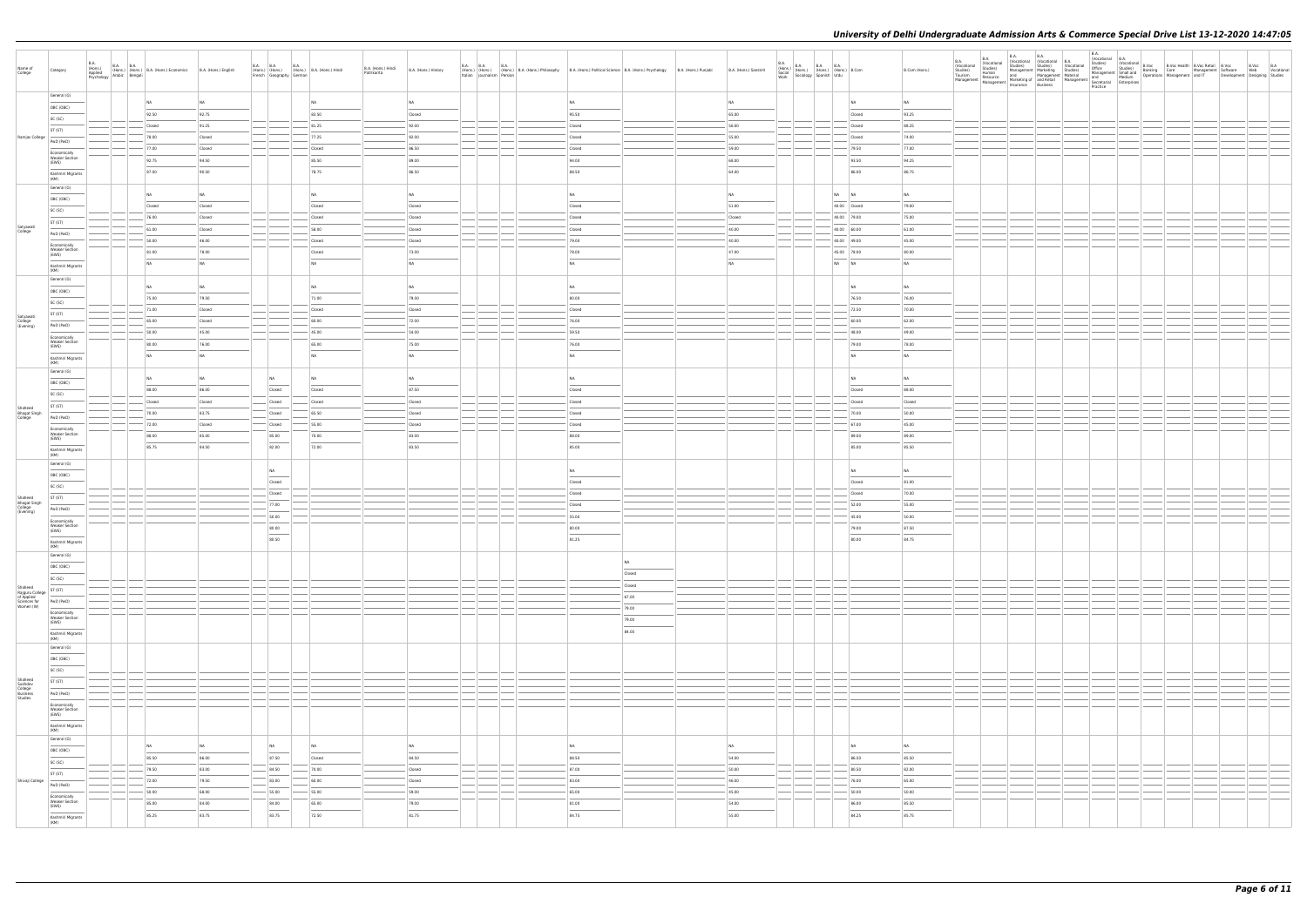| Name of<br>College                                   | Category                                                                                                                                                                                                                                                                                                                                                                                                                                                                                                | B.A.<br>(Hons.)<br>Applied | B.A. (Hons.) B.A. B.A. (Hons.) B.A. (Hons.) Economics B.A. (Hons.) English Asychology Arabic Bengali |                  | <b>B.A. B.A.</b><br>French Geography German | <b>B.A.</b><br>(Hons.) (Hons.) (Hons.) B.A. (Hons.) Hindi | B.A. (Hons.) Hindi<br>Patrikarita | B.A. (Hons.) History              | <b>B.A. B.A. B.A.</b><br>Italian Journalism Persian | (Hons.) (Hons.) (Hons.) B.A. (Hons.) Philosophy B.A. (Hons.) Political Science B.A. (Hons.) Psychology B.A. (Hons.) Punjabi |                                   |                                   | B.A. (Hons.) Sanskrit | $\begin{array}{ll} \text{B.A.} \\ \text{(Hons.)} \\ \text{Social} \\ \text{Social} \\ \text{Work} \end{array} \hspace{1mm} \begin{array}{ll} \text{B.A.} \\ \text{(Hons.)} \\ \text{(Hons.)} \\ \text{(Hons.)} \end{array} \hspace{1mm} \begin{array}{ll} \text{B.A.} \\ \text{(Hons.)} \\ \text{(Hons.)} \end{array} \hspace{1mm} \begin{array}{ll} \text{B.A.} \\ \text{(Hons.)} \\ \text{Urdu} \end{array}$ |       |                            | B.Com (Hons.)  | <b>B.A.</b> | B.A.<br>(Vocational | B.A.<br>B.A.<br>(Vocational (Vocational B.A.<br>Studies) Studies) (Vocat | <b>B.A.</b> |  |  |  |
|------------------------------------------------------|---------------------------------------------------------------------------------------------------------------------------------------------------------------------------------------------------------------------------------------------------------------------------------------------------------------------------------------------------------------------------------------------------------------------------------------------------------------------------------------------------------|----------------------------|------------------------------------------------------------------------------------------------------|------------------|---------------------------------------------|-----------------------------------------------------------|-----------------------------------|-----------------------------------|-----------------------------------------------------|-----------------------------------------------------------------------------------------------------------------------------|-----------------------------------|-----------------------------------|-----------------------|----------------------------------------------------------------------------------------------------------------------------------------------------------------------------------------------------------------------------------------------------------------------------------------------------------------------------------------------------------------------------------------------------------------|-------|----------------------------|----------------|-------------|---------------------|--------------------------------------------------------------------------|-------------|--|--|--|
|                                                      | General (G)                                                                                                                                                                                                                                                                                                                                                                                                                                                                                             |                            | <b>NA</b>                                                                                            | NA               |                                             | NA                                                        |                                   | NA                                |                                                     |                                                                                                                             | I NA                              |                                   | <b>NA</b>             |                                                                                                                                                                                                                                                                                                                                                                                                                |       | <b>NA</b>                  | NA             |             |                     |                                                                          |             |  |  |  |
|                                                      | OBC (OBC)                                                                                                                                                                                                                                                                                                                                                                                                                                                                                               |                            | 92.50                                                                                                | 92.75            |                                             | 83.50                                                     |                                   | Closed                            |                                                     |                                                                                                                             | 95.50                             |                                   | 65.00                 |                                                                                                                                                                                                                                                                                                                                                                                                                |       | Closed                     | 93.25          |             |                     |                                                                          |             |  |  |  |
|                                                      | SC (SC)<br>ST (ST)                                                                                                                                                                                                                                                                                                                                                                                                                                                                                      |                            | Closed                                                                                               | 91.25            |                                             | 81.25                                                     |                                   | 92.00                             |                                                     |                                                                                                                             | Closed                            |                                   | 56.00                 |                                                                                                                                                                                                                                                                                                                                                                                                                |       | Closed                     | 88.25          |             |                     |                                                                          |             |  |  |  |
| Ramjas College                                       | PwD (PwD)                                                                                                                                                                                                                                                                                                                                                                                                                                                                                               |                            | 78.00                                                                                                | Closed           |                                             | 77.25                                                     |                                   | 92.00                             |                                                     |                                                                                                                             | Closed                            |                                   | 55.00                 |                                                                                                                                                                                                                                                                                                                                                                                                                |       | Closed                     | 74.00          |             |                     |                                                                          |             |  |  |  |
|                                                      | Economically                                                                                                                                                                                                                                                                                                                                                                                                                                                                                            |                            | 77.00                                                                                                | Closed           |                                             | Closed                                                    |                                   | 86.50                             |                                                     |                                                                                                                             | Closed                            |                                   | 59.00                 |                                                                                                                                                                                                                                                                                                                                                                                                                |       | 79.50                      | 77.00          |             |                     |                                                                          |             |  |  |  |
|                                                      | <b>Weaker Section</b><br>(EWS)                                                                                                                                                                                                                                                                                                                                                                                                                                                                          |                            | 92.75                                                                                                | 94.50            |                                             | 85.50                                                     |                                   | 89.00                             |                                                     |                                                                                                                             | 94.00                             |                                   | 68.00                 |                                                                                                                                                                                                                                                                                                                                                                                                                |       | 93.50                      | 94.25          |             |                     |                                                                          |             |  |  |  |
|                                                      | $\frac{1}{2} \left( \frac{1}{2} \right) \left( \frac{1}{2} \right) \left( \frac{1}{2} \right) \left( \frac{1}{2} \right) \left( \frac{1}{2} \right) \left( \frac{1}{2} \right) \left( \frac{1}{2} \right) \left( \frac{1}{2} \right) \left( \frac{1}{2} \right) \left( \frac{1}{2} \right) \left( \frac{1}{2} \right) \left( \frac{1}{2} \right) \left( \frac{1}{2} \right) \left( \frac{1}{2} \right) \left( \frac{1}{2} \right) \left( \frac{1}{2} \right) \left( \frac$<br>Kashmiri Migrants<br>(KM) |                            | 87.00                                                                                                | 90.50            |                                             | 78.75                                                     |                                   | 86.50                             |                                                     |                                                                                                                             | 88.50                             |                                   | 64.00                 |                                                                                                                                                                                                                                                                                                                                                                                                                |       | 86.00                      | 86.75          |             |                     |                                                                          |             |  |  |  |
|                                                      | General (G)                                                                                                                                                                                                                                                                                                                                                                                                                                                                                             |                            |                                                                                                      |                  |                                             |                                                           |                                   |                                   |                                                     |                                                                                                                             |                                   |                                   |                       |                                                                                                                                                                                                                                                                                                                                                                                                                |       |                            |                |             |                     |                                                                          |             |  |  |  |
|                                                      | OBC (OBC)                                                                                                                                                                                                                                                                                                                                                                                                                                                                                               |                            | <b>NA</b>                                                                                            | NA               |                                             | NA                                                        |                                   | NA                                |                                                     |                                                                                                                             | NA                                |                                   | <b>NA</b>             |                                                                                                                                                                                                                                                                                                                                                                                                                | NA NA |                            | <b>NA</b>      |             |                     |                                                                          |             |  |  |  |
|                                                      | SC (SC)                                                                                                                                                                                                                                                                                                                                                                                                                                                                                                 |                            | Closed                                                                                               | Closed           |                                             | Closed                                                    |                                   | Closed                            |                                                     |                                                                                                                             | Closed                            |                                   | 51.00                 |                                                                                                                                                                                                                                                                                                                                                                                                                |       | 40.00 Closed               | 79.00          |             |                     |                                                                          |             |  |  |  |
| Satyawati<br>College                                 | ST (ST)                                                                                                                                                                                                                                                                                                                                                                                                                                                                                                 |                            | 76.00<br>61.00                                                                                       | Closed<br>Closed |                                             | Closed<br>58.00                                           |                                   | Closed<br>Closed                  |                                                     |                                                                                                                             | Closed<br>Closed                  |                                   | Closed<br>40.00       |                                                                                                                                                                                                                                                                                                                                                                                                                |       | 40.00 79.00<br>40.00 60.00 | 75.00<br>61.00 |             |                     |                                                                          |             |  |  |  |
|                                                      | PwD (PwD)                                                                                                                                                                                                                                                                                                                                                                                                                                                                                               |                            | 50.00                                                                                                | 46.00            |                                             | Closed                                                    |                                   | Closed                            |                                                     |                                                                                                                             | 79.00                             |                                   | 40.00                 |                                                                                                                                                                                                                                                                                                                                                                                                                |       | 40.00 49.00                | 45.00          |             |                     |                                                                          |             |  |  |  |
|                                                      | Economically<br><b>Weaker Section</b>                                                                                                                                                                                                                                                                                                                                                                                                                                                                   |                            | 81.00                                                                                                | 78.00            |                                             | Closed                                                    |                                   | 73.00                             |                                                     |                                                                                                                             | 78.00                             |                                   | 47.00                 |                                                                                                                                                                                                                                                                                                                                                                                                                |       | 45.00 78.00                | 80.00          |             |                     |                                                                          |             |  |  |  |
|                                                      | (EWS)                                                                                                                                                                                                                                                                                                                                                                                                                                                                                                   |                            | NA                                                                                                   | NA               |                                             | NA                                                        |                                   | NA                                |                                                     |                                                                                                                             | NA                                |                                   | <b>NA</b>             |                                                                                                                                                                                                                                                                                                                                                                                                                | NA NA |                            | NA             |             |                     |                                                                          |             |  |  |  |
|                                                      | Kashmiri Migrants<br>(KM)                                                                                                                                                                                                                                                                                                                                                                                                                                                                               |                            |                                                                                                      |                  |                                             |                                                           |                                   |                                   |                                                     |                                                                                                                             |                                   |                                   |                       |                                                                                                                                                                                                                                                                                                                                                                                                                |       |                            |                |             |                     |                                                                          |             |  |  |  |
|                                                      | General (G)                                                                                                                                                                                                                                                                                                                                                                                                                                                                                             |                            | <b>NA</b>                                                                                            | NA               |                                             | NA                                                        |                                   | NA                                |                                                     |                                                                                                                             | NA                                |                                   |                       |                                                                                                                                                                                                                                                                                                                                                                                                                |       | NA                         | NA             |             |                     |                                                                          |             |  |  |  |
|                                                      | OBC (OBC)                                                                                                                                                                                                                                                                                                                                                                                                                                                                                               |                            | 75.00                                                                                                | 79.50            |                                             | 71.00                                                     |                                   | 79.00                             |                                                     |                                                                                                                             | 80.00                             |                                   |                       |                                                                                                                                                                                                                                                                                                                                                                                                                |       | 76.50                      | 76.00          |             |                     |                                                                          |             |  |  |  |
|                                                      | SC (SC)                                                                                                                                                                                                                                                                                                                                                                                                                                                                                                 |                            | 71.00                                                                                                | Closed           |                                             | Closed                                                    |                                   | Closed                            |                                                     |                                                                                                                             | Closed                            |                                   |                       |                                                                                                                                                                                                                                                                                                                                                                                                                |       | 72.50                      | 70.00          |             |                     |                                                                          |             |  |  |  |
| Satyawati<br>College<br>(Evening)                    | ST (ST)                                                                                                                                                                                                                                                                                                                                                                                                                                                                                                 |                            | 65.00                                                                                                | Closed           |                                             | 60.00                                                     |                                   | 72.00                             |                                                     |                                                                                                                             | 76.00                             |                                   |                       |                                                                                                                                                                                                                                                                                                                                                                                                                |       | 60.00                      | 62.00          |             |                     |                                                                          |             |  |  |  |
|                                                      | PwD (PwD)<br>Economically                                                                                                                                                                                                                                                                                                                                                                                                                                                                               |                            | 50.00                                                                                                | 45.00            |                                             | 45.00                                                     |                                   | 54.00                             |                                                     |                                                                                                                             | 59.50                             |                                   |                       |                                                                                                                                                                                                                                                                                                                                                                                                                |       | 48.00                      | 49.00          |             |                     |                                                                          |             |  |  |  |
|                                                      | <b>Weaker Section</b><br>(EWS)                                                                                                                                                                                                                                                                                                                                                                                                                                                                          |                            | 80.00                                                                                                | 76.00            |                                             | 65.00                                                     |                                   | 75.00                             |                                                     |                                                                                                                             | 76.00                             |                                   |                       |                                                                                                                                                                                                                                                                                                                                                                                                                |       | 79.00                      | 78.00          |             |                     |                                                                          |             |  |  |  |
|                                                      | Kashmiri Migrants                                                                                                                                                                                                                                                                                                                                                                                                                                                                                       |                            | NA                                                                                                   | NA               |                                             | NA                                                        |                                   | NA                                |                                                     |                                                                                                                             | NA                                |                                   |                       |                                                                                                                                                                                                                                                                                                                                                                                                                |       | NA                         | NA             |             |                     |                                                                          |             |  |  |  |
|                                                      | (KM)<br>General (G)                                                                                                                                                                                                                                                                                                                                                                                                                                                                                     |                            |                                                                                                      |                  |                                             |                                                           |                                   |                                   |                                                     |                                                                                                                             |                                   |                                   |                       |                                                                                                                                                                                                                                                                                                                                                                                                                |       |                            |                |             |                     |                                                                          |             |  |  |  |
|                                                      | OBC (OBC)                                                                                                                                                                                                                                                                                                                                                                                                                                                                                               |                            | <b>NA</b>                                                                                            | NA               | NA                                          | NA                                                        |                                   | NA                                |                                                     |                                                                                                                             | NA                                |                                   |                       |                                                                                                                                                                                                                                                                                                                                                                                                                |       | <b>NA</b>                  | NA             |             |                     |                                                                          |             |  |  |  |
|                                                      | SC (SC)                                                                                                                                                                                                                                                                                                                                                                                                                                                                                                 |                            | 88.00                                                                                                | 86.00            | Closed                                      | Closed                                                    |                                   | 87.50                             |                                                     |                                                                                                                             | Closed                            |                                   |                       |                                                                                                                                                                                                                                                                                                                                                                                                                |       | Closed                     | 88.00          |             |                     |                                                                          |             |  |  |  |
| Shaheed                                              | ST (ST)                                                                                                                                                                                                                                                                                                                                                                                                                                                                                                 |                            | Closed                                                                                               | Closed           | Closed                                      | Closed                                                    |                                   | Closed                            |                                                     |                                                                                                                             | Closed                            |                                   |                       |                                                                                                                                                                                                                                                                                                                                                                                                                |       | Closed                     | Closed         |             |                     |                                                                          |             |  |  |  |
| Bhagat Singh                                         | PwD (PwD)                                                                                                                                                                                                                                                                                                                                                                                                                                                                                               |                            | 70.00                                                                                                | 83.75            | Closed                                      | 65.50                                                     |                                   | Closed                            |                                                     |                                                                                                                             | Closed                            |                                   |                       |                                                                                                                                                                                                                                                                                                                                                                                                                |       | 70.00                      | 50.00          |             |                     |                                                                          |             |  |  |  |
|                                                      | Economically                                                                                                                                                                                                                                                                                                                                                                                                                                                                                            |                            | 72.00                                                                                                | Closed           | Closed                                      | 55.00                                                     |                                   | Closed                            |                                                     |                                                                                                                             | Closed                            |                                   |                       |                                                                                                                                                                                                                                                                                                                                                                                                                |       | 67.00                      | 45.00          |             |                     |                                                                          |             |  |  |  |
|                                                      | <b>Weaker Section</b><br>(EWS)                                                                                                                                                                                                                                                                                                                                                                                                                                                                          |                            | 88.00                                                                                                | 85.00            | 85.00                                       | 70.00                                                     |                                   | 83.00                             |                                                     |                                                                                                                             | 88.00                             |                                   |                       |                                                                                                                                                                                                                                                                                                                                                                                                                |       | 89.00                      | 89.00          |             |                     |                                                                          |             |  |  |  |
|                                                      | Kashmiri Migrants<br>(KM)                                                                                                                                                                                                                                                                                                                                                                                                                                                                               |                            | 85.75                                                                                                | 84.50            | 82.00                                       | 72.00                                                     |                                   | 83.50                             |                                                     |                                                                                                                             | 85.00                             |                                   |                       |                                                                                                                                                                                                                                                                                                                                                                                                                |       | 85.00                      | 85.50          |             |                     |                                                                          |             |  |  |  |
|                                                      | General (G)                                                                                                                                                                                                                                                                                                                                                                                                                                                                                             |                            |                                                                                                      |                  | NA                                          |                                                           |                                   |                                   |                                                     |                                                                                                                             | NA                                |                                   |                       |                                                                                                                                                                                                                                                                                                                                                                                                                |       | NA                         | NA             |             |                     |                                                                          |             |  |  |  |
|                                                      | OBC (OBC)                                                                                                                                                                                                                                                                                                                                                                                                                                                                                               |                            |                                                                                                      |                  | Closed                                      |                                                           |                                   |                                   |                                                     |                                                                                                                             | Closed                            |                                   |                       |                                                                                                                                                                                                                                                                                                                                                                                                                |       | Closed                     | 81.00          |             |                     |                                                                          |             |  |  |  |
|                                                      | SC (SC)                                                                                                                                                                                                                                                                                                                                                                                                                                                                                                 |                            |                                                                                                      |                  | Closed                                      |                                                           |                                   |                                   |                                                     |                                                                                                                             | Closed                            |                                   |                       |                                                                                                                                                                                                                                                                                                                                                                                                                |       | Closed                     | 70.00          |             |                     |                                                                          |             |  |  |  |
| Shaheed<br>Bhagat Singh<br>College<br>(Evening)      | ST (ST)                                                                                                                                                                                                                                                                                                                                                                                                                                                                                                 |                            |                                                                                                      |                  | 77.00                                       |                                                           |                                   |                                   |                                                     |                                                                                                                             | Closed                            |                                   |                       |                                                                                                                                                                                                                                                                                                                                                                                                                |       | 52.00                      | 55.00          |             |                     |                                                                          |             |  |  |  |
|                                                      | PwD (PwD)                                                                                                                                                                                                                                                                                                                                                                                                                                                                                               |                            |                                                                                                      |                  | 50.00                                       |                                                           |                                   |                                   |                                                     |                                                                                                                             | 55.00                             |                                   |                       |                                                                                                                                                                                                                                                                                                                                                                                                                |       | 45.00                      | 50.00          |             |                     |                                                                          |             |  |  |  |
|                                                      | Economically<br><b>Weaker Section</b><br>(EWS)                                                                                                                                                                                                                                                                                                                                                                                                                                                          |                            |                                                                                                      |                  | 80.00                                       |                                                           |                                   |                                   |                                                     |                                                                                                                             | 80.00                             |                                   |                       |                                                                                                                                                                                                                                                                                                                                                                                                                |       | 79.00                      | 87.50          |             |                     |                                                                          |             |  |  |  |
|                                                      | Kashmiri Migrants                                                                                                                                                                                                                                                                                                                                                                                                                                                                                       |                            |                                                                                                      |                  | 80.50                                       |                                                           |                                   |                                   |                                                     |                                                                                                                             | 81.25                             |                                   |                       |                                                                                                                                                                                                                                                                                                                                                                                                                |       | 80.00                      | 84.75          |             |                     |                                                                          |             |  |  |  |
|                                                      | (KM)<br>General (G)                                                                                                                                                                                                                                                                                                                                                                                                                                                                                     |                            |                                                                                                      |                  |                                             |                                                           |                                   |                                   |                                                     |                                                                                                                             |                                   |                                   |                       |                                                                                                                                                                                                                                                                                                                                                                                                                |       |                            |                |             |                     |                                                                          |             |  |  |  |
|                                                      | OBC (OBC)                                                                                                                                                                                                                                                                                                                                                                                                                                                                                               |                            |                                                                                                      |                  |                                             |                                                           |                                   |                                   |                                                     |                                                                                                                             |                                   | NA                                |                       |                                                                                                                                                                                                                                                                                                                                                                                                                |       |                            |                |             |                     |                                                                          |             |  |  |  |
|                                                      | SC (SC)                                                                                                                                                                                                                                                                                                                                                                                                                                                                                                 |                            |                                                                                                      |                  |                                             |                                                           |                                   |                                   |                                                     |                                                                                                                             |                                   | Closed                            |                       |                                                                                                                                                                                                                                                                                                                                                                                                                |       |                            |                |             |                     |                                                                          |             |  |  |  |
| Shaheed<br>Rajguru College                           | ST (ST)                                                                                                                                                                                                                                                                                                                                                                                                                                                                                                 |                            |                                                                                                      |                  |                                             |                                                           |                                   |                                   |                                                     |                                                                                                                             |                                   | Closed                            |                       |                                                                                                                                                                                                                                                                                                                                                                                                                |       |                            |                |             |                     |                                                                          |             |  |  |  |
| of Applied<br>Sciences for                           | PwD (PwD)                                                                                                                                                                                                                                                                                                                                                                                                                                                                                               |                            |                                                                                                      |                  |                                             |                                                           |                                   |                                   |                                                     |                                                                                                                             |                                   | 67.00                             |                       |                                                                                                                                                                                                                                                                                                                                                                                                                |       |                            |                |             |                     |                                                                          |             |  |  |  |
| Women (W)                                            |                                                                                                                                                                                                                                                                                                                                                                                                                                                                                                         |                            |                                                                                                      |                  |                                             |                                                           |                                   |                                   |                                                     |                                                                                                                             |                                   | 79.00                             |                       |                                                                                                                                                                                                                                                                                                                                                                                                                |       |                            |                |             |                     |                                                                          |             |  |  |  |
|                                                      | Economically<br>Weaker Section<br>(EWS)                                                                                                                                                                                                                                                                                                                                                                                                                                                                 |                            |                                                                                                      |                  |                                             |                                                           |                                   |                                   |                                                     |                                                                                                                             |                                   | 79.00<br>$\overline{\phantom{a}}$ |                       |                                                                                                                                                                                                                                                                                                                                                                                                                |       |                            |                |             |                     |                                                                          |             |  |  |  |
|                                                      | Kashmiri Migrants<br>(KM)                                                                                                                                                                                                                                                                                                                                                                                                                                                                               |                            |                                                                                                      |                  |                                             |                                                           |                                   |                                   |                                                     |                                                                                                                             |                                   | 84.00                             |                       |                                                                                                                                                                                                                                                                                                                                                                                                                |       |                            |                |             |                     |                                                                          |             |  |  |  |
|                                                      | General (G)                                                                                                                                                                                                                                                                                                                                                                                                                                                                                             |                            |                                                                                                      |                  |                                             |                                                           |                                   |                                   |                                                     |                                                                                                                             |                                   |                                   |                       |                                                                                                                                                                                                                                                                                                                                                                                                                |       |                            |                |             |                     |                                                                          |             |  |  |  |
|                                                      | OBC (OBC)                                                                                                                                                                                                                                                                                                                                                                                                                                                                                               |                            |                                                                                                      |                  |                                             |                                                           |                                   |                                   |                                                     |                                                                                                                             |                                   |                                   |                       |                                                                                                                                                                                                                                                                                                                                                                                                                |       |                            |                |             |                     |                                                                          |             |  |  |  |
|                                                      | SC (SC)                                                                                                                                                                                                                                                                                                                                                                                                                                                                                                 |                            |                                                                                                      |                  |                                             |                                                           |                                   |                                   |                                                     |                                                                                                                             |                                   |                                   |                       |                                                                                                                                                                                                                                                                                                                                                                                                                |       |                            |                |             |                     |                                                                          |             |  |  |  |
|                                                      | ST (ST)                                                                                                                                                                                                                                                                                                                                                                                                                                                                                                 |                            |                                                                                                      |                  |                                             |                                                           |                                   |                                   |                                                     |                                                                                                                             |                                   |                                   |                       |                                                                                                                                                                                                                                                                                                                                                                                                                |       |                            |                |             |                     |                                                                          |             |  |  |  |
| Shaheed<br>Sukhdev<br>College<br>Business<br>Studies | PwD (PwD)                                                                                                                                                                                                                                                                                                                                                                                                                                                                                               |                            |                                                                                                      |                  |                                             |                                                           |                                   |                                   |                                                     |                                                                                                                             |                                   |                                   |                       |                                                                                                                                                                                                                                                                                                                                                                                                                |       |                            |                |             |                     |                                                                          |             |  |  |  |
|                                                      | Economically<br><b>Weaker Section</b>                                                                                                                                                                                                                                                                                                                                                                                                                                                                   |                            |                                                                                                      |                  |                                             |                                                           |                                   |                                   |                                                     |                                                                                                                             |                                   |                                   |                       |                                                                                                                                                                                                                                                                                                                                                                                                                |       |                            |                |             |                     |                                                                          |             |  |  |  |
|                                                      | (EWS)<br>Kashmiri Migrants                                                                                                                                                                                                                                                                                                                                                                                                                                                                              |                            |                                                                                                      |                  |                                             |                                                           |                                   |                                   |                                                     |                                                                                                                             |                                   |                                   |                       |                                                                                                                                                                                                                                                                                                                                                                                                                |       |                            |                |             |                     |                                                                          |             |  |  |  |
|                                                      | (KM)                                                                                                                                                                                                                                                                                                                                                                                                                                                                                                    |                            |                                                                                                      |                  |                                             |                                                           |                                   |                                   |                                                     |                                                                                                                             |                                   |                                   |                       |                                                                                                                                                                                                                                                                                                                                                                                                                |       |                            |                |             |                     |                                                                          |             |  |  |  |
|                                                      | General (G)                                                                                                                                                                                                                                                                                                                                                                                                                                                                                             |                            | <b>NA</b>                                                                                            | <b>NA</b>        | NA                                          | NA                                                        |                                   | NA                                |                                                     |                                                                                                                             | NA                                |                                   | NA                    |                                                                                                                                                                                                                                                                                                                                                                                                                |       | N <sub>A</sub>             | NA             |             |                     |                                                                          |             |  |  |  |
|                                                      | OBC (OBC)<br>SC (SC)                                                                                                                                                                                                                                                                                                                                                                                                                                                                                    |                            | 85.50                                                                                                | 86.00            | $\sim$<br>87.50                             | Closed                                                    |                                   | 84.50                             |                                                     |                                                                                                                             | 88.50                             |                                   | 54.00                 |                                                                                                                                                                                                                                                                                                                                                                                                                |       | 86.50                      | 85.50          |             |                     |                                                                          |             |  |  |  |
|                                                      | ST (ST)                                                                                                                                                                                                                                                                                                                                                                                                                                                                                                 |                            | 79.50                                                                                                | 83.00            | 84.50                                       | 70.00                                                     |                                   | Closed                            |                                                     |                                                                                                                             | 87.00                             |                                   | 50.00                 |                                                                                                                                                                                                                                                                                                                                                                                                                |       | 80.50                      | 82.00          |             |                     |                                                                          |             |  |  |  |
| Shivaji College                                      | PwD (PwD)                                                                                                                                                                                                                                                                                                                                                                                                                                                                                               |                            | 72.00                                                                                                | 79.50            | 83.00                                       | 60.00                                                     |                                   | Closed                            |                                                     |                                                                                                                             | 83.00                             |                                   | 46.00                 |                                                                                                                                                                                                                                                                                                                                                                                                                |       | 76.00                      | 65.00          |             |                     |                                                                          |             |  |  |  |
|                                                      | Economically                                                                                                                                                                                                                                                                                                                                                                                                                                                                                            |                            | 50.00                                                                                                | 68.00            | 55.00                                       | 55.00                                                     |                                   | 59.00                             |                                                     |                                                                                                                             | 65.00                             |                                   | 45.00                 |                                                                                                                                                                                                                                                                                                                                                                                                                |       | 50.00                      | 50.00          |             |                     |                                                                          |             |  |  |  |
|                                                      | <b>Weaker Section</b><br>(EWS)                                                                                                                                                                                                                                                                                                                                                                                                                                                                          |                            | 85.00                                                                                                | 84.00            | 84.00                                       | 65.00                                                     |                                   | 79.00<br>$\overline{\phantom{a}}$ |                                                     |                                                                                                                             | 81.00                             |                                   | 54.00                 |                                                                                                                                                                                                                                                                                                                                                                                                                |       | 86.00                      | 85.50          |             |                     |                                                                          |             |  |  |  |
|                                                      | Kashmiri Migrants                                                                                                                                                                                                                                                                                                                                                                                                                                                                                       |                            | 85.25                                                                                                | 83.75            | $\overline{\phantom{a}}$<br>83.75           | 72.50                                                     |                                   | 81.75                             |                                                     |                                                                                                                             | $\overline{\phantom{a}}$<br>84.75 |                                   | 55.00                 |                                                                                                                                                                                                                                                                                                                                                                                                                |       | 84.25                      | 85.75          |             |                     |                                                                          |             |  |  |  |
|                                                      | (KM)                                                                                                                                                                                                                                                                                                                                                                                                                                                                                                    |                            |                                                                                                      |                  |                                             |                                                           |                                   |                                   |                                                     |                                                                                                                             |                                   |                                   |                       |                                                                                                                                                                                                                                                                                                                                                                                                                |       |                            |                |             |                     |                                                                          |             |  |  |  |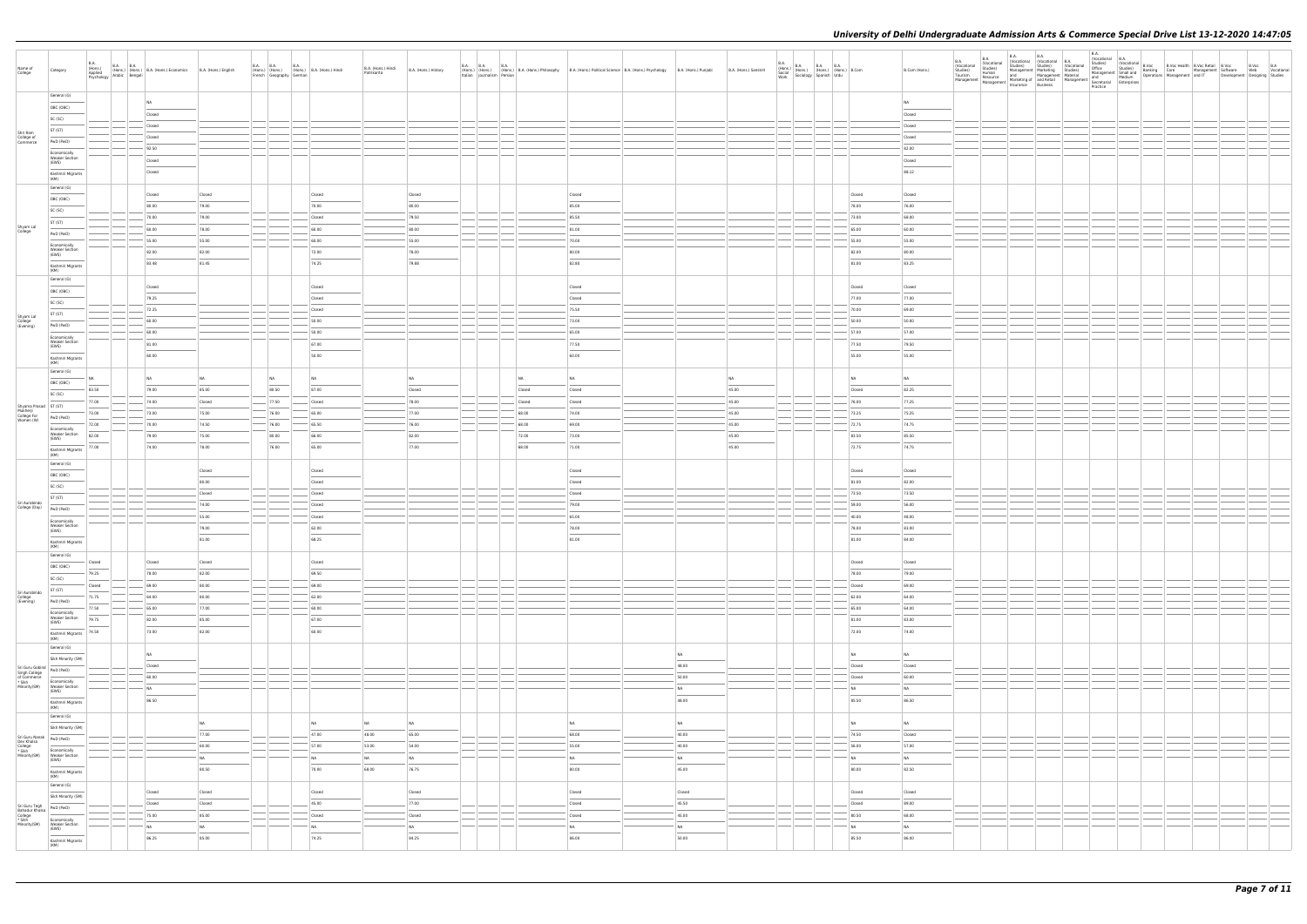| Name of<br>College                                                        | Category                                                                                                                                                                                                                                                                                                                                                                                                                                                                                                | B.A.           | B.A. (Hons.) B.A. B.A. (Hons.) B.A. (Hons.) Economics B.A. (Hons.) English Asplied (Hons.) Benglish Asplied Bengali |                 | <b>B.A. B.A.</b><br>French Geography German | B.A. | (Hons.) (Hons.) (Hons.) B.A. (Hons.) Hindi | B.A. (Hons.) Hindi<br>Patrikarita | B.A. (Hons.) History | Italian Journalism Persian |        | B.A. B.A. B.A. B.A. B.A. (Hons.) B.A. (Hons.) Philosophy B.A. (Hons.) Political Science B.A. (Hons.) Psychology B.A. (Hons.) Punjabi |             | B.A. (Hons.) Sanskrit | B.A.<br>(Hons.)<br>Social<br>Work | -) B.A. B.A. B.A. B.A. (Hons.) B.Com<br>Sociology Spanish Urdu |                | B.Com (Hons.)   | <b>B.A.</b><br>(Vocational | B.A.<br>(Vocational<br>Studies)<br>Human | <b>B.A.</b><br><b>B.A.</b><br>(Vocational (Vocational B.A.<br>Studies) Studies) (Vocat<br>Victorium Management Marketing Studies)<br>Tourism Human Management Marketing Studies)<br>Management Marketing Management Material Management Material<br>Management Maceutra Marketing of and Retail Management Secretation<br>Manage | (Vocational | Practice |  |  |  |
|---------------------------------------------------------------------------|---------------------------------------------------------------------------------------------------------------------------------------------------------------------------------------------------------------------------------------------------------------------------------------------------------------------------------------------------------------------------------------------------------------------------------------------------------------------------------------------------------|----------------|---------------------------------------------------------------------------------------------------------------------|-----------------|---------------------------------------------|------|--------------------------------------------|-----------------------------------|----------------------|----------------------------|--------|--------------------------------------------------------------------------------------------------------------------------------------|-------------|-----------------------|-----------------------------------|----------------------------------------------------------------|----------------|-----------------|----------------------------|------------------------------------------|----------------------------------------------------------------------------------------------------------------------------------------------------------------------------------------------------------------------------------------------------------------------------------------------------------------------------------|-------------|----------|--|--|--|
|                                                                           | General (G)<br>OBC (OBC)                                                                                                                                                                                                                                                                                                                                                                                                                                                                                |                | NA<br>Closed                                                                                                        |                 |                                             |      |                                            |                                   |                      |                            |        |                                                                                                                                      |             |                       |                                   |                                                                |                | NA<br>Closed    |                            |                                          |                                                                                                                                                                                                                                                                                                                                  |             |          |  |  |  |
|                                                                           | SC (SC)<br>ST (ST)                                                                                                                                                                                                                                                                                                                                                                                                                                                                                      |                | Closed                                                                                                              |                 |                                             |      |                                            |                                   |                      |                            |        |                                                                                                                                      |             |                       |                                   |                                                                |                | Closed          |                            |                                          |                                                                                                                                                                                                                                                                                                                                  |             |          |  |  |  |
| Shri Ram<br>College of<br>Commerce                                        | PwD (PwD)                                                                                                                                                                                                                                                                                                                                                                                                                                                                                               |                | Closed                                                                                                              |                 |                                             |      |                                            |                                   |                      |                            |        |                                                                                                                                      |             |                       |                                   |                                                                |                | Closed          |                            |                                          |                                                                                                                                                                                                                                                                                                                                  |             |          |  |  |  |
|                                                                           | Economically                                                                                                                                                                                                                                                                                                                                                                                                                                                                                            |                | 92.50                                                                                                               |                 |                                             |      |                                            |                                   |                      |                            |        |                                                                                                                                      |             |                       |                                   |                                                                |                | 82.00           |                            |                                          |                                                                                                                                                                                                                                                                                                                                  |             |          |  |  |  |
|                                                                           | <b>Weaker Section</b><br>(EWS)<br>Kashmiri Migrants<br>(KM)                                                                                                                                                                                                                                                                                                                                                                                                                                             |                | Closed<br>Closed                                                                                                    |                 |                                             |      |                                            |                                   |                      |                            |        |                                                                                                                                      |             |                       |                                   |                                                                |                | Closed<br>88.12 |                            |                                          |                                                                                                                                                                                                                                                                                                                                  |             |          |  |  |  |
|                                                                           | General (G)<br>OBC (OBC)                                                                                                                                                                                                                                                                                                                                                                                                                                                                                |                | Closed                                                                                                              | Closed          |                                             |      | Closed                                     |                                   | Closed               |                            |        | Closed                                                                                                                               |             |                       |                                   |                                                                | Closed         | Closed          |                            |                                          |                                                                                                                                                                                                                                                                                                                                  |             |          |  |  |  |
|                                                                           | SC (SC)                                                                                                                                                                                                                                                                                                                                                                                                                                                                                                 |                | 80.00                                                                                                               | 79.00           |                                             |      | 70.00                                      |                                   | 80.00                |                            |        | 85.00                                                                                                                                |             |                       |                                   |                                                                | 78.00          | 76.00           |                            |                                          |                                                                                                                                                                                                                                                                                                                                  |             |          |  |  |  |
|                                                                           | ST (ST)                                                                                                                                                                                                                                                                                                                                                                                                                                                                                                 |                | 70.00                                                                                                               | 79.00           |                                             |      | Closed                                     |                                   | 79.50                |                            |        | 85.50                                                                                                                                |             |                       |                                   |                                                                | 73.00          | 68.00           |                            |                                          |                                                                                                                                                                                                                                                                                                                                  |             |          |  |  |  |
| Shyam Lal<br>College                                                      | PwD (PwD)                                                                                                                                                                                                                                                                                                                                                                                                                                                                                               |                | 60.00                                                                                                               | 78.00           |                                             |      | 60.00                                      |                                   | 80.00                |                            |        | 81.00                                                                                                                                |             |                       |                                   |                                                                | 65.00          | 60.00           |                            |                                          |                                                                                                                                                                                                                                                                                                                                  |             |          |  |  |  |
|                                                                           | Economically<br><b>Weaker Section</b>                                                                                                                                                                                                                                                                                                                                                                                                                                                                   |                | 55.00                                                                                                               | 55.00           |                                             |      | 60.00                                      |                                   | $-$ 55.00            |                            |        | 70.00                                                                                                                                |             |                       |                                   |                                                                | 55.00          | 55.00           |                            |                                          |                                                                                                                                                                                                                                                                                                                                  |             |          |  |  |  |
|                                                                           | (EWS)                                                                                                                                                                                                                                                                                                                                                                                                                                                                                                   |                | 82.00                                                                                                               | 82.00           |                                             |      | 72.00                                      |                                   | 78.00                |                            |        | 80.00                                                                                                                                |             |                       |                                   |                                                                | 82.00          | 80.00           |                            |                                          |                                                                                                                                                                                                                                                                                                                                  |             |          |  |  |  |
|                                                                           | Kashmiri Migrants<br>(KM)<br>General (G)                                                                                                                                                                                                                                                                                                                                                                                                                                                                |                | 83.48                                                                                                               | 81.45           |                                             |      | 74.25                                      |                                   | 79.88                |                            |        | 82.80                                                                                                                                |             |                       |                                   |                                                                | 81.00          | 83.25           |                            |                                          |                                                                                                                                                                                                                                                                                                                                  |             |          |  |  |  |
|                                                                           | OBC (OBC)                                                                                                                                                                                                                                                                                                                                                                                                                                                                                               |                | Closed                                                                                                              |                 |                                             |      | Closed                                     |                                   |                      |                            |        | Closed                                                                                                                               |             |                       |                                   |                                                                | Closed         | Closed          |                            |                                          |                                                                                                                                                                                                                                                                                                                                  |             |          |  |  |  |
|                                                                           | SC (SC)                                                                                                                                                                                                                                                                                                                                                                                                                                                                                                 |                | 79.25                                                                                                               |                 |                                             |      | Closed                                     |                                   |                      |                            |        | Closed                                                                                                                               |             |                       |                                   |                                                                | 77.00          | 77.00           |                            |                                          |                                                                                                                                                                                                                                                                                                                                  |             |          |  |  |  |
|                                                                           | ST (ST)                                                                                                                                                                                                                                                                                                                                                                                                                                                                                                 |                | 72.25                                                                                                               |                 |                                             |      | Closed                                     |                                   |                      |                            |        | 75.50                                                                                                                                |             |                       |                                   |                                                                | 70.00          | 69.00           |                            |                                          |                                                                                                                                                                                                                                                                                                                                  |             |          |  |  |  |
| Shyam Lal<br>College<br>(Evening)                                         | PwD (PwD)                                                                                                                                                                                                                                                                                                                                                                                                                                                                                               |                | 60.00<br>60.00                                                                                                      |                 |                                             |      | 50.00<br>50.00                             |                                   |                      |                            |        | 73.00<br>65.00                                                                                                                       |             |                       |                                   |                                                                | 50.00<br>57.00 | 50.00<br>57.00  |                            |                                          |                                                                                                                                                                                                                                                                                                                                  |             |          |  |  |  |
|                                                                           | Economically<br><b>Weaker Section</b>                                                                                                                                                                                                                                                                                                                                                                                                                                                                   |                | 81.00                                                                                                               |                 |                                             |      | 67.00                                      |                                   |                      |                            |        | 77.50                                                                                                                                |             |                       |                                   |                                                                | 77.50          | 79.50           |                            |                                          |                                                                                                                                                                                                                                                                                                                                  |             |          |  |  |  |
|                                                                           | (EWS)<br>Kashmiri Migrants                                                                                                                                                                                                                                                                                                                                                                                                                                                                              |                | 60.00                                                                                                               |                 |                                             |      | 50.00                                      |                                   |                      |                            |        | 60.00                                                                                                                                |             |                       |                                   |                                                                | 55.00          | 55.00           |                            |                                          |                                                                                                                                                                                                                                                                                                                                  |             |          |  |  |  |
|                                                                           | (KM)<br>General (G)                                                                                                                                                                                                                                                                                                                                                                                                                                                                                     |                | NA                                                                                                                  |                 | NA                                          |      | NA                                         |                                   | NA                   |                            | I NA   | NA                                                                                                                                   |             | <b>NA</b>             |                                   |                                                                | NA             | NA              |                            |                                          |                                                                                                                                                                                                                                                                                                                                  |             |          |  |  |  |
|                                                                           | OBC (OBC)                                                                                                                                                                                                                                                                                                                                                                                                                                                                                               | 83.50          | 79.00                                                                                                               | 85.00           | 80.50                                       |      | 67.00                                      |                                   | Closed               |                            | Closed | Closed                                                                                                                               |             | 45.00                 |                                   |                                                                | Closed         | 82.25           |                            |                                          |                                                                                                                                                                                                                                                                                                                                  |             |          |  |  |  |
| Shyama Prasad ST (ST)                                                     | SC (SC)                                                                                                                                                                                                                                                                                                                                                                                                                                                                                                 | 77.00          | 74.00                                                                                                               | Closed          | 77.50                                       |      | Closed                                     |                                   | 78.00                |                            | Closed | Closed                                                                                                                               |             | 45.00                 |                                   |                                                                | 76.00          | 77.25           |                            |                                          |                                                                                                                                                                                                                                                                                                                                  |             |          |  |  |  |
| Mukherji<br>College For<br>Women (W)                                      | PwD (PwD)                                                                                                                                                                                                                                                                                                                                                                                                                                                                                               | 73.00          | 73.00                                                                                                               | 75.00           | 76.00                                       |      | 65.00                                      |                                   | 77.00                |                            | 68.00  | 74.00                                                                                                                                |             | 45.00                 |                                   |                                                                | 73.25          | 75.25           |                            |                                          |                                                                                                                                                                                                                                                                                                                                  |             |          |  |  |  |
|                                                                           | Economically                                                                                                                                                                                                                                                                                                                                                                                                                                                                                            | 72.00          | 70.00                                                                                                               | 74.50           | $- 76.00$                                   |      | 65.50                                      |                                   | 76.00                |                            | 68.00  | 69.00                                                                                                                                |             | 45.00                 |                                   |                                                                | 72.75          | 74.75           |                            |                                          |                                                                                                                                                                                                                                                                                                                                  |             |          |  |  |  |
|                                                                           | Weaker Section<br>(EWS)                                                                                                                                                                                                                                                                                                                                                                                                                                                                                 | 82.00          | 79.00                                                                                                               | 75.00           | 80.00                                       |      | 66.00                                      |                                   | 82.00                |                            | 72.00  | 73.00                                                                                                                                |             | 45.00                 |                                   |                                                                | 83.50          | 85.50           |                            |                                          |                                                                                                                                                                                                                                                                                                                                  |             |          |  |  |  |
|                                                                           | Kashmiri Migrants<br>(KM)                                                                                                                                                                                                                                                                                                                                                                                                                                                                               | 77.00          | 74.00                                                                                                               | 78.00           | 76.00                                       |      | 65.00                                      |                                   | 77.00                |                            | 68.00  | 71.00                                                                                                                                |             | 45.00                 |                                   |                                                                | 72.75          | 74.75           |                            |                                          |                                                                                                                                                                                                                                                                                                                                  |             |          |  |  |  |
|                                                                           | General (G)<br>OBC (OBC)                                                                                                                                                                                                                                                                                                                                                                                                                                                                                |                |                                                                                                                     | Closed          |                                             |      | Closed                                     |                                   |                      |                            |        | Closed                                                                                                                               |             |                       |                                   |                                                                | Closed         | Closed          |                            |                                          |                                                                                                                                                                                                                                                                                                                                  |             |          |  |  |  |
|                                                                           | SC (SC)                                                                                                                                                                                                                                                                                                                                                                                                                                                                                                 |                |                                                                                                                     | 80.00<br>Closed |                                             |      | Closed<br>Closed                           |                                   |                      |                            |        | Closed<br>Closed                                                                                                                     |             |                       |                                   |                                                                | 81.00<br>73.50 | 82.00<br>73.50  |                            |                                          |                                                                                                                                                                                                                                                                                                                                  |             |          |  |  |  |
| Sri Aurobindo                                                             | ST (ST)                                                                                                                                                                                                                                                                                                                                                                                                                                                                                                 |                |                                                                                                                     | 74.00           |                                             |      | Closed                                     |                                   |                      |                            |        | 79.00                                                                                                                                |             |                       |                                   |                                                                | 59.00          | 56.00           |                            |                                          |                                                                                                                                                                                                                                                                                                                                  |             |          |  |  |  |
| College (Day)                                                             | PwD (PwD)                                                                                                                                                                                                                                                                                                                                                                                                                                                                                               |                |                                                                                                                     | 55.00           |                                             |      | Closed                                     |                                   |                      |                            |        | 65.00                                                                                                                                |             |                       |                                   |                                                                | 40.00          | 48.00           |                            |                                          |                                                                                                                                                                                                                                                                                                                                  |             |          |  |  |  |
|                                                                           | Economically<br><b>Weaker Section</b><br>(EWS)                                                                                                                                                                                                                                                                                                                                                                                                                                                          |                |                                                                                                                     | 79.00           |                                             |      | 62.00                                      |                                   |                      |                            |        | 78.00                                                                                                                                |             |                       |                                   |                                                                | 78.00          | 83.00           |                            |                                          |                                                                                                                                                                                                                                                                                                                                  |             |          |  |  |  |
|                                                                           | Kashmiri Migrants<br>(KM)                                                                                                                                                                                                                                                                                                                                                                                                                                                                               |                |                                                                                                                     | 81.00           |                                             |      | 68.25                                      |                                   |                      |                            |        | 91.00                                                                                                                                |             |                       |                                   |                                                                | 81.00          | 84.00           |                            |                                          |                                                                                                                                                                                                                                                                                                                                  |             |          |  |  |  |
|                                                                           | General (G)<br>OBC (OBC)                                                                                                                                                                                                                                                                                                                                                                                                                                                                                | Closed<br>___  | Closed                                                                                                              | Closed          |                                             |      | Closed                                     |                                   |                      |                            |        |                                                                                                                                      |             |                       |                                   |                                                                | Closed         | Closed          |                            |                                          |                                                                                                                                                                                                                                                                                                                                  |             |          |  |  |  |
|                                                                           | SC (SC)                                                                                                                                                                                                                                                                                                                                                                                                                                                                                                 | 79.25          | 78.00                                                                                                               | 82.00           |                                             |      | 69.50                                      |                                   |                      |                            |        |                                                                                                                                      |             |                       |                                   |                                                                | 78.00          | 79.00           |                            |                                          |                                                                                                                                                                                                                                                                                                                                  |             |          |  |  |  |
|                                                                           | ST (ST)                                                                                                                                                                                                                                                                                                                                                                                                                                                                                                 | Closed         | 69.00                                                                                                               | 80.00           |                                             |      | 69.00                                      |                                   |                      |                            |        |                                                                                                                                      |             |                       |                                   |                                                                | Closed         | 69.00           |                            |                                          |                                                                                                                                                                                                                                                                                                                                  |             |          |  |  |  |
| Sri Aurobindo<br>College<br>(Evening)                                     | PwD (PwD)                                                                                                                                                                                                                                                                                                                                                                                                                                                                                               | 71.75          | 64.00                                                                                                               | 80.00           |                                             |      | 62.00                                      |                                   |                      |                            |        |                                                                                                                                      |             |                       |                                   |                                                                | 62.00          | 64.00           |                            |                                          |                                                                                                                                                                                                                                                                                                                                  |             |          |  |  |  |
|                                                                           | Economically<br>Weaker Section                                                                                                                                                                                                                                                                                                                                                                                                                                                                          | 77.50<br>79.75 | 65.00<br>82.00                                                                                                      | 77.00<br>85.00  |                                             |      | 60.00<br>67.00                             |                                   |                      |                            |        |                                                                                                                                      |             |                       |                                   |                                                                | 65.00<br>81.00 | 64.00<br>83.00  |                            |                                          |                                                                                                                                                                                                                                                                                                                                  |             |          |  |  |  |
|                                                                           | (EWS)<br>$\sim$<br>Kashmiri Migrants<br>(KM)                                                                                                                                                                                                                                                                                                                                                                                                                                                            | 74.50          | 73.00                                                                                                               | 82.00           |                                             |      | $\sim$<br>60.00                            |                                   |                      |                            |        |                                                                                                                                      |             |                       |                                   |                                                                | 72.00          | 74.00           |                            |                                          |                                                                                                                                                                                                                                                                                                                                  |             |          |  |  |  |
|                                                                           | General (G)                                                                                                                                                                                                                                                                                                                                                                                                                                                                                             |                | NA                                                                                                                  |                 |                                             |      |                                            |                                   |                      |                            |        |                                                                                                                                      | NA          |                       |                                   |                                                                | NA             | NA              |                            |                                          |                                                                                                                                                                                                                                                                                                                                  |             |          |  |  |  |
|                                                                           | Sikh Minority (SM)                                                                                                                                                                                                                                                                                                                                                                                                                                                                                      |                | $\overline{\phantom{a}}$<br>Closed                                                                                  |                 |                                             |      |                                            |                                   |                      |                            |        |                                                                                                                                      | 48.00       |                       |                                   |                                                                | Closed         | Closed          |                            |                                          |                                                                                                                                                                                                                                                                                                                                  |             |          |  |  |  |
| Sri Guru Gobind<br>Singh College<br>of Commerce<br>* Sikh<br>Minority(SM) | PwD (PwD)<br>Economically                                                                                                                                                                                                                                                                                                                                                                                                                                                                               |                | 60.00                                                                                                               |                 |                                             |      |                                            |                                   |                      |                            |        |                                                                                                                                      | 50.00       |                       |                                   |                                                                | Closed         | 60.00           |                            |                                          |                                                                                                                                                                                                                                                                                                                                  |             |          |  |  |  |
|                                                                           | <b>Weaker Section</b><br>(EWS)                                                                                                                                                                                                                                                                                                                                                                                                                                                                          |                | NA                                                                                                                  |                 |                                             |      |                                            |                                   |                      |                            |        |                                                                                                                                      | NA          |                       |                                   |                                                                | <b>NA</b>      | NA              |                            |                                          |                                                                                                                                                                                                                                                                                                                                  |             |          |  |  |  |
|                                                                           | $\sim$<br>Kashmiri Migrants<br>(KM)                                                                                                                                                                                                                                                                                                                                                                                                                                                                     |                | $\overline{\phantom{a}}$<br>86.50                                                                                   |                 |                                             |      |                                            |                                   |                      |                            |        |                                                                                                                                      | 48.00       |                       |                                   |                                                                | 85.50          | 86.50           |                            |                                          |                                                                                                                                                                                                                                                                                                                                  |             |          |  |  |  |
|                                                                           | General (G)<br>Sikh Minority (SM)                                                                                                                                                                                                                                                                                                                                                                                                                                                                       |                |                                                                                                                     | NA              |                                             |      | NA                                         | <b>NA</b>                         | NA                   |                            |        | I NA                                                                                                                                 | NA          |                       |                                   |                                                                | NA             | NA              |                            |                                          |                                                                                                                                                                                                                                                                                                                                  |             |          |  |  |  |
|                                                                           | PwD (PwD)                                                                                                                                                                                                                                                                                                                                                                                                                                                                                               |                |                                                                                                                     | 77.00           |                                             |      | 47.00                                      | 48.00                             | 65.00                |                            |        | 68.00                                                                                                                                | 40.00       |                       |                                   |                                                                | 74.50          | Closed          |                            |                                          |                                                                                                                                                                                                                                                                                                                                  |             |          |  |  |  |
| Sri Guru Nanak<br>Dev Khalsa<br>College<br>* Sikh<br>Minority(SM)         | Economically                                                                                                                                                                                                                                                                                                                                                                                                                                                                                            |                |                                                                                                                     | 60.00           |                                             |      | 57.00                                      | 53.00                             | 54.00                |                            |        | 55.00                                                                                                                                | 40.00       |                       |                                   |                                                                | 56.00          | 57.00           |                            |                                          |                                                                                                                                                                                                                                                                                                                                  |             |          |  |  |  |
|                                                                           | Weaker Section<br>(EWS)<br>Kashmiri Migrants                                                                                                                                                                                                                                                                                                                                                                                                                                                            |                |                                                                                                                     | NA<br>80.50     |                                             |      | NA<br>70.00                                | NA<br>68.00                       | NA<br>76.75          |                            |        | NA.<br>80.00                                                                                                                         | NA<br>45.00 |                       |                                   |                                                                | NA<br>80.00    | NA<br>82.50     |                            |                                          |                                                                                                                                                                                                                                                                                                                                  |             |          |  |  |  |
|                                                                           | (KM)<br>General (G)                                                                                                                                                                                                                                                                                                                                                                                                                                                                                     |                | Closed                                                                                                              | Closed          |                                             |      | Closed                                     |                                   | Closed               |                            |        | Closed                                                                                                                               | Closed      |                       |                                   |                                                                | Closed         | Closed          |                            |                                          |                                                                                                                                                                                                                                                                                                                                  |             |          |  |  |  |
|                                                                           | Sikh Minority (SM)                                                                                                                                                                                                                                                                                                                                                                                                                                                                                      |                | Closed                                                                                                              | Closed          |                                             |      | 45.00                                      |                                   | 77.00                |                            |        | Closed                                                                                                                               | 45.50       |                       |                                   |                                                                | Closed         | 89.00           |                            |                                          |                                                                                                                                                                                                                                                                                                                                  |             |          |  |  |  |
| Sri Guru Tegh<br>Bahadur Khalsa<br>College<br>* Sikh<br>Minority(SM)      | PwD (PwD)                                                                                                                                                                                                                                                                                                                                                                                                                                                                                               |                | 75.00                                                                                                               | 85.00           |                                             |      | Closed                                     |                                   | Closed               |                            |        | Closed                                                                                                                               | 45.00       |                       |                                   |                                                                | 80.50          | 68.00           |                            |                                          |                                                                                                                                                                                                                                                                                                                                  |             |          |  |  |  |
|                                                                           | Economically<br><b>Weaker Section</b><br>(EWS)                                                                                                                                                                                                                                                                                                                                                                                                                                                          |                | NA                                                                                                                  | <b>NA</b>       |                                             |      | NA                                         |                                   | NA                   |                            |        | NA                                                                                                                                   | NA          |                       |                                   |                                                                | NA             | NA              |                            |                                          |                                                                                                                                                                                                                                                                                                                                  |             |          |  |  |  |
|                                                                           | $\frac{1}{2} \left( \frac{1}{2} \right) \left( \frac{1}{2} \right) \left( \frac{1}{2} \right) \left( \frac{1}{2} \right) \left( \frac{1}{2} \right) \left( \frac{1}{2} \right) \left( \frac{1}{2} \right) \left( \frac{1}{2} \right) \left( \frac{1}{2} \right) \left( \frac{1}{2} \right) \left( \frac{1}{2} \right) \left( \frac{1}{2} \right) \left( \frac{1}{2} \right) \left( \frac{1}{2} \right) \left( \frac{1}{2} \right) \left( \frac{1}{2} \right) \left( \frac$<br>Kashmiri Migrants<br>(KM) |                | 86.25                                                                                                               | 85.00           |                                             |      | 74.25                                      |                                   | 84.25                |                            |        | 86.00                                                                                                                                | 50.00       |                       |                                   |                                                                | 85.50          | 86.00           |                            |                                          |                                                                                                                                                                                                                                                                                                                                  |             |          |  |  |  |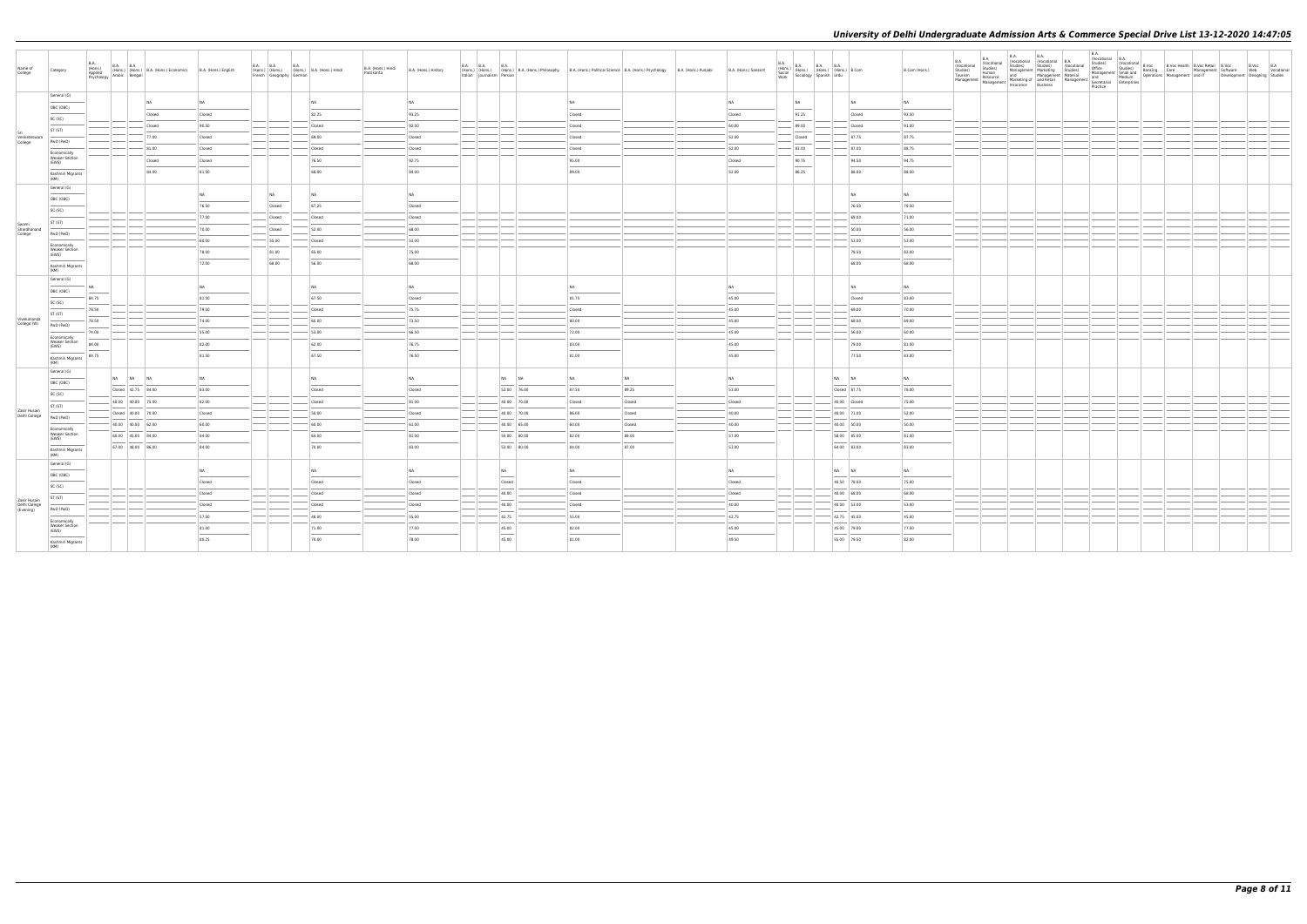| Name of<br>College              | Category                                       | <b>B.A.</b><br>(Hons.)<br>Applied<br>Psychology |                    | B.A. (Hons.) B.A. (Hons.) Economics<br>Natalic Bengali | B.A. (Hons.) English | B.A. B.A. B.A. B.A. (Hons.) B.A. (Hons.) Hindi<br>French Geography German | B.A. (Hons.) Hindi<br>Patrikarita | B.A. (Hons.) History | Italian Journalism Persian |             | B.A. B.A. B.A. (Hons.) B.A. (Hons.) Philosophy B.A. (Hons.) Political Science B.A. (Hons.) Psychology | B.A. (Hons.) Punjabi | B.A. (Hons.) Sanskrit | B.A. | $\begin{tabular}{ l c c c c } \hline B.A. & B.A. & B.A. & B.A. & B.A. & (Hons.) & B.Com & \\ (Hons.) & (Hons.) & (Hons.) & (Hons.) & B.Com & \\ Sociology & Spanish & Urdu & \\ \hline \end{tabular}$                                                                                                                                                                                                                                                                               |              | B.Com (Hons.) | <b>B.A.</b><br>(Vocational<br>Studies)<br>Tourism<br>Management |  |  |  |  | Development Designing Studies | B.Voc B.A<br>Web Vocational |  |
|---------------------------------|------------------------------------------------|-------------------------------------------------|--------------------|--------------------------------------------------------|----------------------|---------------------------------------------------------------------------|-----------------------------------|----------------------|----------------------------|-------------|-------------------------------------------------------------------------------------------------------|----------------------|-----------------------|------|-------------------------------------------------------------------------------------------------------------------------------------------------------------------------------------------------------------------------------------------------------------------------------------------------------------------------------------------------------------------------------------------------------------------------------------------------------------------------------------|--------------|---------------|-----------------------------------------------------------------|--|--|--|--|-------------------------------|-----------------------------|--|
|                                 | General (G)                                    |                                                 |                    | NA                                                     | NA                   | <b>NA</b>                                                                 |                                   | <b>NA</b>            |                            |             | NA                                                                                                    |                      | NA                    |      | NA                                                                                                                                                                                                                                                                                                                                                                                                                                                                                  | NA           | NA            |                                                                 |  |  |  |  |                               |                             |  |
|                                 | OBC (OBC)                                      |                                                 |                    | Closed                                                 | Closed               | 82.25                                                                     |                                   | 93.25                |                            |             | Closed                                                                                                |                      | Closed                |      | $\sim$<br>91.25                                                                                                                                                                                                                                                                                                                                                                                                                                                                     | Closed       | 93.50         |                                                                 |  |  |  |  |                               |                             |  |
|                                 | SC (SC)                                        |                                                 |                    | Closed                                                 | 90.50                | Closed                                                                    |                                   | 92.00                |                            |             | Closed                                                                                                |                      | 60.00                 |      | 89.00                                                                                                                                                                                                                                                                                                                                                                                                                                                                               | Closed       | 91.00         |                                                                 |  |  |  |  |                               |                             |  |
| Venketeswara                    | ST (ST)                                        |                                                 |                    | 77.00                                                  | Closed               | 69.00                                                                     |                                   | Closed               |                            |             | Closed                                                                                                |                      | 52.00                 |      | Closed                                                                                                                                                                                                                                                                                                                                                                                                                                                                              | 87.75        | 87.75         |                                                                 |  |  |  |  |                               |                             |  |
| College                         | PwD (PwD)                                      |                                                 |                    | 81.00                                                  | Closed               | Closed                                                                    |                                   | Closed               |                            |             | Closed                                                                                                |                      | 52.00                 |      | 83.00                                                                                                                                                                                                                                                                                                                                                                                                                                                                               | 87.00        | 88.75         |                                                                 |  |  |  |  |                               |                             |  |
|                                 | Economically<br><b>Weaker Section</b><br>(EWS) |                                                 |                    | Closed                                                 | Closed               | 76.50                                                                     |                                   | 92.75                |                            |             | 95.00                                                                                                 |                      | Closed                |      | 90.75                                                                                                                                                                                                                                                                                                                                                                                                                                                                               | 94.50        | 94.75         |                                                                 |  |  |  |  |                               |                             |  |
|                                 | Kashmiri Migrants                              |                                                 |                    | 84.00                                                  | 81.50                | 68.00                                                                     |                                   | 84.00                |                            |             | 89.00                                                                                                 |                      | 52.00                 |      | $\frac{1}{2} \left( \frac{1}{2} \right) \left( \frac{1}{2} \right) \left( \frac{1}{2} \right) \left( \frac{1}{2} \right) \left( \frac{1}{2} \right) \left( \frac{1}{2} \right) \left( \frac{1}{2} \right) \left( \frac{1}{2} \right) \left( \frac{1}{2} \right) \left( \frac{1}{2} \right) \left( \frac{1}{2} \right) \left( \frac{1}{2} \right) \left( \frac{1}{2} \right) \left( \frac{1}{2} \right) \left( \frac{1}{2} \right) \left( \frac{1}{2} \right) \left( \frac$<br>86.25 | 88.00        | 88.50         |                                                                 |  |  |  |  |                               |                             |  |
|                                 | (KM)<br>General (G)                            |                                                 |                    |                                                        |                      |                                                                           |                                   |                      |                            |             |                                                                                                       |                      |                       |      |                                                                                                                                                                                                                                                                                                                                                                                                                                                                                     |              |               |                                                                 |  |  |  |  |                               |                             |  |
|                                 | OBC (OBC)                                      |                                                 |                    |                                                        | NA                   | NA<br><b>NA</b>                                                           |                                   | NA                   |                            |             |                                                                                                       |                      |                       |      |                                                                                                                                                                                                                                                                                                                                                                                                                                                                                     | NA           | NA            |                                                                 |  |  |  |  |                               |                             |  |
|                                 | SC (SC)                                        |                                                 |                    |                                                        | 76.50                | Closed<br>67.25                                                           |                                   | Closed               |                            |             |                                                                                                       |                      |                       |      |                                                                                                                                                                                                                                                                                                                                                                                                                                                                                     | 76.50        | 78.50         |                                                                 |  |  |  |  |                               |                             |  |
|                                 | ST (ST)                                        |                                                 |                    |                                                        | 77.00                | Closed<br>Closed                                                          |                                   | Closed               |                            |             |                                                                                                       |                      |                       |      |                                                                                                                                                                                                                                                                                                                                                                                                                                                                                     | 69.00        | 71.00         |                                                                 |  |  |  |  |                               |                             |  |
| Swami<br>Shardhanand<br>College | PwD (PwD)                                      |                                                 |                    |                                                        | 70.00                | 52.00<br>Closed                                                           |                                   | 68.00                |                            |             |                                                                                                       |                      |                       |      |                                                                                                                                                                                                                                                                                                                                                                                                                                                                                     | 50.00        | 56.00         |                                                                 |  |  |  |  |                               |                             |  |
|                                 | Economically                                   |                                                 |                    |                                                        | 60.00                | 55.00<br>Closed                                                           |                                   | 53.00                |                            |             |                                                                                                       |                      |                       |      |                                                                                                                                                                                                                                                                                                                                                                                                                                                                                     | 53.00        | 53.00         |                                                                 |  |  |  |  |                               |                             |  |
|                                 | <b>Weaker Section</b><br>(EWS)                 |                                                 |                    |                                                        | 78.00                | 81.00<br>65.00                                                            |                                   | 75.00                |                            |             |                                                                                                       |                      |                       |      |                                                                                                                                                                                                                                                                                                                                                                                                                                                                                     | 78.50        | 82.00         |                                                                 |  |  |  |  |                               |                             |  |
|                                 | Kashmiri Migrants<br>(KM)                      |                                                 |                    |                                                        | 72.00                | 68.00<br>56.00                                                            |                                   | 68.00                |                            |             |                                                                                                       |                      |                       |      |                                                                                                                                                                                                                                                                                                                                                                                                                                                                                     | 68.00        | 68.00         |                                                                 |  |  |  |  |                               |                             |  |
|                                 | General (G)                                    |                                                 |                    |                                                        |                      |                                                                           |                                   |                      |                            |             |                                                                                                       |                      |                       |      |                                                                                                                                                                                                                                                                                                                                                                                                                                                                                     |              |               |                                                                 |  |  |  |  |                               |                             |  |
|                                 | OBC (OBC)                                      | <b>NA</b>                                       |                    |                                                        | NA                   | NA                                                                        |                                   | NA                   |                            |             | NA                                                                                                    |                      | <b>NA</b>             |      |                                                                                                                                                                                                                                                                                                                                                                                                                                                                                     | NA           | NA            |                                                                 |  |  |  |  |                               |                             |  |
|                                 | SC (SC)                                        | 84.75                                           |                    |                                                        | 81.50                | 67.50                                                                     |                                   | Closed               |                            |             | 81.75                                                                                                 |                      | 45.00                 |      |                                                                                                                                                                                                                                                                                                                                                                                                                                                                                     | Closed       | 83.00         |                                                                 |  |  |  |  |                               |                             |  |
|                                 | ST (ST)                                        | 78.50                                           |                    |                                                        | 79.50                | Closed                                                                    |                                   | 75.75                |                            |             | Closed                                                                                                |                      | 45.00                 |      |                                                                                                                                                                                                                                                                                                                                                                                                                                                                                     | 69.00        | 70.00         |                                                                 |  |  |  |  |                               |                             |  |
| Vivekananda<br>College (W)      | PwD (PwD)                                      | 78.50                                           |                    |                                                        | 74.00                | 60.00                                                                     |                                   | 73.50                |                            |             | 80.00                                                                                                 |                      | 45.00                 |      |                                                                                                                                                                                                                                                                                                                                                                                                                                                                                     | 68.00        | 69.00         |                                                                 |  |  |  |  |                               |                             |  |
|                                 | Economically                                   | 74.00                                           |                    |                                                        | 55.00                | 53.00                                                                     |                                   | 66.50                |                            |             | 72.00                                                                                                 |                      | 45.00                 |      |                                                                                                                                                                                                                                                                                                                                                                                                                                                                                     | 56.00        | 60.00         |                                                                 |  |  |  |  |                               |                             |  |
|                                 | Weaker Section<br>(EWS)                        | 84.00                                           |                    |                                                        | 82.00                | 62.00                                                                     |                                   | 76.75                |                            |             | 83.00                                                                                                 |                      | 45.00                 |      |                                                                                                                                                                                                                                                                                                                                                                                                                                                                                     | 79.00        | 81.00         |                                                                 |  |  |  |  |                               |                             |  |
|                                 | Kashmiri Migrants<br>(KM)                      | 84.75                                           |                    |                                                        | 81.50                | 67.50                                                                     |                                   | 76.50                |                            |             | 81.00                                                                                                 |                      | 45.00                 |      |                                                                                                                                                                                                                                                                                                                                                                                                                                                                                     | 77.50        | 83.00         |                                                                 |  |  |  |  |                               |                             |  |
|                                 | General (G)                                    |                                                 |                    |                                                        |                      |                                                                           |                                   |                      |                            |             |                                                                                                       |                      |                       |      |                                                                                                                                                                                                                                                                                                                                                                                                                                                                                     |              |               |                                                                 |  |  |  |  |                               |                             |  |
|                                 | OBC (OBC)                                      |                                                 | NA NA NA           |                                                        | NA                   | NA                                                                        |                                   | NA                   |                            | NA NA       | NA<br>NA                                                                                              |                      | NA                    |      |                                                                                                                                                                                                                                                                                                                                                                                                                                                                                     | NA NA        | NA            |                                                                 |  |  |  |  |                               |                             |  |
|                                 | SC (SC)                                        |                                                 | Closed 42.75 84.00 |                                                        | 83.00                | Closed                                                                    |                                   | Closed               |                            | 52.00 76.00 | 87.50<br>89.25                                                                                        |                      | 53.00                 |      |                                                                                                                                                                                                                                                                                                                                                                                                                                                                                     | Closed 87.75 | 78.00         |                                                                 |  |  |  |  |                               |                             |  |
|                                 | ST (ST)                                        |                                                 | 40.00 40.00 75.00  |                                                        | 82.00                | Closed                                                                    |                                   | 81.00                |                            | 40.00 70.00 | Closed<br>Closed                                                                                      |                      | Closed                |      |                                                                                                                                                                                                                                                                                                                                                                                                                                                                                     | 40.00 Closed | 75.00         |                                                                 |  |  |  |  |                               |                             |  |
| Zakir Husain<br>Delhi College   | PwD (PwD)                                      |                                                 | Closed 40.00 70.00 |                                                        | Closed               | 50.00                                                                     |                                   | Closed               |                            | 40.00 70.00 | 86.00<br>Closed                                                                                       |                      | 40.00                 |      |                                                                                                                                                                                                                                                                                                                                                                                                                                                                                     | 40.00 71.00  | 52.00         |                                                                 |  |  |  |  |                               |                             |  |
|                                 | Economically                                   |                                                 | 40.00 40.00 62.00  |                                                        | 60.00                | 60.00                                                                     |                                   | 61.00                |                            | 40.00 65.00 | 60.00<br>Closed                                                                                       |                      | 40.00                 |      |                                                                                                                                                                                                                                                                                                                                                                                                                                                                                     | 40.00 50.00  | 50.00         |                                                                 |  |  |  |  |                               |                             |  |
|                                 | <b>Weaker Section</b><br>(EWS)                 |                                                 | 60.00 45.00 84.00  |                                                        | 84.00                | 64.00                                                                     |                                   | 81.00                |                            | 50.00 80.00 | 82.00<br>89.00                                                                                        |                      | 57.00                 |      |                                                                                                                                                                                                                                                                                                                                                                                                                                                                                     | 58.00 85.00  | 81.00         |                                                                 |  |  |  |  |                               |                             |  |
|                                 | Kashmiri Migrants<br>(KM)                      |                                                 | 67.00 48.00 86.00  |                                                        | 84.00                | 70.00                                                                     |                                   | 83.00                |                            | 53.00 80.00 | 87.00<br>84.00                                                                                        |                      | 53.00                 |      |                                                                                                                                                                                                                                                                                                                                                                                                                                                                                     | 64.00 83.00  | 83.00         |                                                                 |  |  |  |  |                               |                             |  |
|                                 | General (G)                                    |                                                 |                    |                                                        |                      |                                                                           |                                   |                      |                            |             |                                                                                                       |                      |                       |      |                                                                                                                                                                                                                                                                                                                                                                                                                                                                                     |              |               |                                                                 |  |  |  |  |                               |                             |  |
|                                 | OBC (OBC)                                      |                                                 |                    |                                                        | NA                   | NA                                                                        |                                   | NA                   |                            | NA          | NA                                                                                                    |                      | <b>NA</b>             |      |                                                                                                                                                                                                                                                                                                                                                                                                                                                                                     | NA NA        | NA            |                                                                 |  |  |  |  |                               |                             |  |
|                                 | SC (SC)                                        |                                                 |                    |                                                        | Closed               | Closed                                                                    |                                   | Closed               |                            | Closed      | Closed                                                                                                |                      | Closed                |      |                                                                                                                                                                                                                                                                                                                                                                                                                                                                                     | 40.50 78.00  | 75.00         |                                                                 |  |  |  |  |                               |                             |  |
| Zakir Husain                    | ST (ST)                                        |                                                 |                    |                                                        | Closed               | Closed                                                                    |                                   | Closed               |                            | 40.00       | Closed                                                                                                |                      | Closed                |      |                                                                                                                                                                                                                                                                                                                                                                                                                                                                                     | 40.00 68.00  | 68.00         |                                                                 |  |  |  |  |                               |                             |  |
| Delhi College<br>(Evening)      | PwD (PwD)                                      |                                                 |                    |                                                        | Closed               | Closed                                                                    |                                   | Closed               |                            | 40.00       | Closed                                                                                                |                      | 40.00                 |      |                                                                                                                                                                                                                                                                                                                                                                                                                                                                                     | 40.00 53.00  | 53.00         |                                                                 |  |  |  |  |                               |                             |  |
|                                 | Economically<br><b>Weaker Section</b>          |                                                 |                    |                                                        | 57.00                | 48.00                                                                     |                                   | 55.00                |                            | 42.75       | 55.00                                                                                                 |                      | 42.75                 |      |                                                                                                                                                                                                                                                                                                                                                                                                                                                                                     | 42.75 45.00  | 45.00         |                                                                 |  |  |  |  |                               |                             |  |
|                                 | (EWS)                                          |                                                 |                    |                                                        | 81.00                | 71.00                                                                     |                                   | 77.00                |                            | 45.00       | 82.00                                                                                                 |                      | 45.00                 |      |                                                                                                                                                                                                                                                                                                                                                                                                                                                                                     | 45.00 79.00  | 77.00         |                                                                 |  |  |  |  |                               |                             |  |
|                                 | Kashmiri Migrants<br>(KM)                      |                                                 |                    |                                                        | 80.25                | 70.00                                                                     |                                   | 78.00                |                            | 45.00       | 81.00                                                                                                 |                      | 49.50                 |      |                                                                                                                                                                                                                                                                                                                                                                                                                                                                                     | 55.00 79.50  | 82.00         |                                                                 |  |  |  |  |                               |                             |  |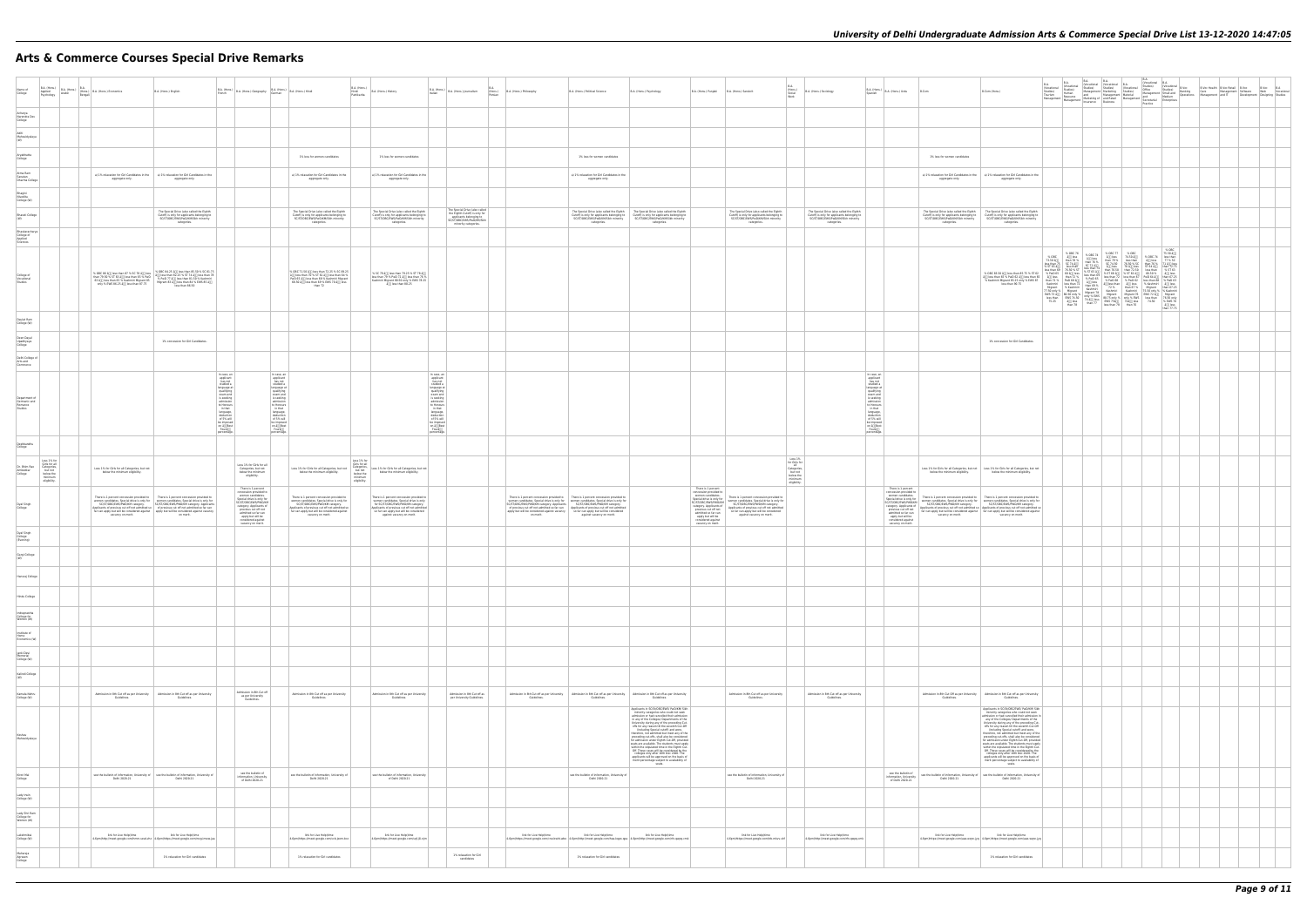# **Arts & Commerce Courses Special Drive Remarks**

| Name of<br>College                                  |                                                                                                | B.A. (Hons.) B.A. (Hons.) B.A. (Hons.) B.A. (Hons.) Economics<br>Psychology Arabic Bengali B.A. (Hons.) Economics                                                                                                                                                  | B.A. (Hons.) English                                                                                                                                                                                                                  |                                                                                                                                                                                                                                           | $\begin{array}{ l l }\hline \text{B.A. (Hons.)} & \text{B.A. (Hons.)} \\\hline \text{French} & \text{B.A. (Hons.)} \\\hline \text{German} & \text{German}\end{array} \quad \begin{array}{ l }\hline \text{B.A. (Hons.)} & \text{B.A. (Hons.)} \\\hline \end{array} \text{Hindi}$ |                                                                                                                                                                                                                                                                                            | B.A. (Hons.)<br>Hindi<br>Patrikarita                                    | B.A. (Hons.) History                                                                                                                                                                                                                                                                             |                                                                                                                                                                                                                                                                                                          | $\left \begin{array}{l}\text{B.A. (Hons.)} \\ \text{train}\end{array}\right \text{B.A. (Hons.)} \text{ journalistm}.$                            | B.A.<br>(Hons.) B.A. (Hons.) Philosophy<br>Persian                                                                                                                                                                            | B.A. (Hons.) Political Science                                                                                                                | B.A. (Hons.) Psychology                                                                                                                                                                                                                                                                                                                                                                                                                                                                                                       | B.A. (Hons.) Punjabi B.A. (Hons.) Sanskrit                                                                                                                                                                                                                                            |                                                                                                                                                                                                                                                                                                      | B.A.<br>(Hons.)<br>Social<br>Work                                                                 | B.A. (Hons.) Sociology                                                                                                                        |                                                                                                                                                                                                                                           | B.A. (Hons.) B.A. (Hons.) Urdu B.Com                                                                         |                                                                                                                                                                                                                              | B.Com (Hons.)                                                                                                                                                                                                                                                                                                                                                                                                        |
|-----------------------------------------------------|------------------------------------------------------------------------------------------------|--------------------------------------------------------------------------------------------------------------------------------------------------------------------------------------------------------------------------------------------------------------------|---------------------------------------------------------------------------------------------------------------------------------------------------------------------------------------------------------------------------------------|-------------------------------------------------------------------------------------------------------------------------------------------------------------------------------------------------------------------------------------------|----------------------------------------------------------------------------------------------------------------------------------------------------------------------------------------------------------------------------------------------------------------------------------|--------------------------------------------------------------------------------------------------------------------------------------------------------------------------------------------------------------------------------------------------------------------------------------------|-------------------------------------------------------------------------|--------------------------------------------------------------------------------------------------------------------------------------------------------------------------------------------------------------------------------------------------------------------------------------------------|----------------------------------------------------------------------------------------------------------------------------------------------------------------------------------------------------------------------------------------------------------------------------------------------------------|--------------------------------------------------------------------------------------------------------------------------------------------------|-------------------------------------------------------------------------------------------------------------------------------------------------------------------------------------------------------------------------------|-----------------------------------------------------------------------------------------------------------------------------------------------|-------------------------------------------------------------------------------------------------------------------------------------------------------------------------------------------------------------------------------------------------------------------------------------------------------------------------------------------------------------------------------------------------------------------------------------------------------------------------------------------------------------------------------|---------------------------------------------------------------------------------------------------------------------------------------------------------------------------------------------------------------------------------------------------------------------------------------|------------------------------------------------------------------------------------------------------------------------------------------------------------------------------------------------------------------------------------------------------------------------------------------------------|---------------------------------------------------------------------------------------------------|-----------------------------------------------------------------------------------------------------------------------------------------------|-------------------------------------------------------------------------------------------------------------------------------------------------------------------------------------------------------------------------------------------|--------------------------------------------------------------------------------------------------------------|------------------------------------------------------------------------------------------------------------------------------------------------------------------------------------------------------------------------------|----------------------------------------------------------------------------------------------------------------------------------------------------------------------------------------------------------------------------------------------------------------------------------------------------------------------------------------------------------------------------------------------------------------------|
| Acharya<br>Narendra Dev<br>College                  |                                                                                                |                                                                                                                                                                                                                                                                    |                                                                                                                                                                                                                                       |                                                                                                                                                                                                                                           |                                                                                                                                                                                                                                                                                  |                                                                                                                                                                                                                                                                                            |                                                                         |                                                                                                                                                                                                                                                                                                  |                                                                                                                                                                                                                                                                                                          |                                                                                                                                                  |                                                                                                                                                                                                                               |                                                                                                                                               |                                                                                                                                                                                                                                                                                                                                                                                                                                                                                                                               |                                                                                                                                                                                                                                                                                       |                                                                                                                                                                                                                                                                                                      |                                                                                                   |                                                                                                                                               |                                                                                                                                                                                                                                           |                                                                                                              |                                                                                                                                                                                                                              |                                                                                                                                                                                                                                                                                                                                                                                                                      |
| Mahavidyalaya<br>(W)                                |                                                                                                |                                                                                                                                                                                                                                                                    |                                                                                                                                                                                                                                       |                                                                                                                                                                                                                                           |                                                                                                                                                                                                                                                                                  |                                                                                                                                                                                                                                                                                            |                                                                         |                                                                                                                                                                                                                                                                                                  |                                                                                                                                                                                                                                                                                                          |                                                                                                                                                  |                                                                                                                                                                                                                               |                                                                                                                                               |                                                                                                                                                                                                                                                                                                                                                                                                                                                                                                                               |                                                                                                                                                                                                                                                                                       |                                                                                                                                                                                                                                                                                                      |                                                                                                   |                                                                                                                                               |                                                                                                                                                                                                                                           |                                                                                                              |                                                                                                                                                                                                                              |                                                                                                                                                                                                                                                                                                                                                                                                                      |
| Aryabhatta<br>College                               |                                                                                                |                                                                                                                                                                                                                                                                    |                                                                                                                                                                                                                                       |                                                                                                                                                                                                                                           |                                                                                                                                                                                                                                                                                  | 1% less for women candidates                                                                                                                                                                                                                                                               |                                                                         | 1% less for women candidates                                                                                                                                                                                                                                                                     |                                                                                                                                                                                                                                                                                                          |                                                                                                                                                  |                                                                                                                                                                                                                               | 1% less for women candidates                                                                                                                  |                                                                                                                                                                                                                                                                                                                                                                                                                                                                                                                               |                                                                                                                                                                                                                                                                                       |                                                                                                                                                                                                                                                                                                      |                                                                                                   |                                                                                                                                               |                                                                                                                                                                                                                                           |                                                                                                              | 1% less for women candidates                                                                                                                                                                                                 |                                                                                                                                                                                                                                                                                                                                                                                                                      |
| Atma Ram<br>Sanatan<br>Dharma College               |                                                                                                | a) 1% relaxation for Girl Candidates in the<br>aggregate only.                                                                                                                                                                                                     | a) 1% relaxation for Girl Candidates in the<br>aggregate only.                                                                                                                                                                        |                                                                                                                                                                                                                                           |                                                                                                                                                                                                                                                                                  | a) 1% relaxation for Girl Candidates in the<br>aggregate only.                                                                                                                                                                                                                             |                                                                         | a) 1% relaxation for Girl Candidates in the<br>aggregate only.                                                                                                                                                                                                                                   |                                                                                                                                                                                                                                                                                                          |                                                                                                                                                  |                                                                                                                                                                                                                               | a) 1% relaxation for Girl Candidates in the<br>aggregate only.                                                                                |                                                                                                                                                                                                                                                                                                                                                                                                                                                                                                                               |                                                                                                                                                                                                                                                                                       |                                                                                                                                                                                                                                                                                                      |                                                                                                   |                                                                                                                                               |                                                                                                                                                                                                                                           |                                                                                                              | a) 1% relaxation for Girl Candidates in the $\qquad$ a) 1% relaxation for Girl Candidates is aggregate only.                                                                                                                 |                                                                                                                                                                                                                                                                                                                                                                                                                      |
| Bhagini<br>Nivedita<br>College (W)                  |                                                                                                |                                                                                                                                                                                                                                                                    |                                                                                                                                                                                                                                       |                                                                                                                                                                                                                                           |                                                                                                                                                                                                                                                                                  |                                                                                                                                                                                                                                                                                            |                                                                         |                                                                                                                                                                                                                                                                                                  |                                                                                                                                                                                                                                                                                                          |                                                                                                                                                  |                                                                                                                                                                                                                               |                                                                                                                                               |                                                                                                                                                                                                                                                                                                                                                                                                                                                                                                                               |                                                                                                                                                                                                                                                                                       |                                                                                                                                                                                                                                                                                                      |                                                                                                   |                                                                                                                                               |                                                                                                                                                                                                                                           |                                                                                                              |                                                                                                                                                                                                                              |                                                                                                                                                                                                                                                                                                                                                                                                                      |
| Bharati College<br>(W)                              |                                                                                                |                                                                                                                                                                                                                                                                    | The Special Drive (also called the Eighth<br>Cutoff) is only for applicants belonging to<br>SC/ST/OBC/EWS/PWD/KM/Sikh minority<br>categories.                                                                                         |                                                                                                                                                                                                                                           |                                                                                                                                                                                                                                                                                  | The Special Drive (also called the Eighth<br>Cutoff) is only for applicants belonging to<br>SC/ST/OBC/EWS/PwD/KM/Sikh minority<br>categories.                                                                                                                                              |                                                                         | The Special Drive (also called the Eighth<br>Cutoff) is only for applicants belonging to<br>SC/ST/OBC/EWS/PwD/KM/Slich minority<br>categories.                                                                                                                                                   |                                                                                                                                                                                                                                                                                                          | The Special Drive (also called<br>the Eighth Cutoff) is only for<br>applicants belonging to<br>SC/ST/OBC/EWS/PwD/KM/Sikh<br>minority categories. |                                                                                                                                                                                                                               | The Special Drive (also called the Eighth<br>Cutoff) is only for applicants belonging to<br>SC/ST/OBC/EWS/PwD/KM/Sikh minority<br>categories. | The Special Drive (also called the Eighth<br>Cutoff) is only for applicants belonging to<br>SC/ST/OBC/EWS/PWD/KM/Sikh minority<br>categories.                                                                                                                                                                                                                                                                                                                                                                                 |                                                                                                                                                                                                                                                                                       | The Special Drive (also called the Eighth<br>Cutoff) is only for applicants belonging to<br>SC/ST/OBC/EWS/PwD/KM/Sikh minority<br>categories.                                                                                                                                                        |                                                                                                   | The Special Drive (also called the Eighth<br>Cutoff) is only for applicants belonging to<br>SC/ST/OBC/EWS/PWD/KM/Sikh minority<br>categories. |                                                                                                                                                                                                                                           |                                                                                                              | The Special Drive (also called the Eighth<br>Cutoff) is only for applicants belonging to<br>SC/ST/OBC/EWS/PwD/KM/Sikh minority<br>categories.                                                                                | The Special Drive (also called the Eightedf) is only for applicants belonging<br>SC/ST/OBC/EWS/PwD/KM/Sikh minor<br>categories.                                                                                                                                                                                                                                                                                      |
| Bhaskaracharya<br>College of<br>Applied<br>Sciences |                                                                                                |                                                                                                                                                                                                                                                                    |                                                                                                                                                                                                                                       |                                                                                                                                                                                                                                           |                                                                                                                                                                                                                                                                                  |                                                                                                                                                                                                                                                                                            |                                                                         |                                                                                                                                                                                                                                                                                                  |                                                                                                                                                                                                                                                                                                          |                                                                                                                                                  |                                                                                                                                                                                                                               |                                                                                                                                               |                                                                                                                                                                                                                                                                                                                                                                                                                                                                                                                               |                                                                                                                                                                                                                                                                                       |                                                                                                                                                                                                                                                                                                      |                                                                                                   |                                                                                                                                               |                                                                                                                                                                                                                                           |                                                                                                              |                                                                                                                                                                                                                              |                                                                                                                                                                                                                                                                                                                                                                                                                      |
| College of<br>Vocational                            |                                                                                                |                                                                                                                                                                                                                                                                    |                                                                                                                                                                                                                                       |                                                                                                                                                                                                                                           |                                                                                                                                                                                                                                                                                  |                                                                                                                                                                                                                                                                                            |                                                                         |                                                                                                                                                                                                                                                                                                  |                                                                                                                                                                                                                                                                                                          |                                                                                                                                                  |                                                                                                                                                                                                                               |                                                                                                                                               |                                                                                                                                                                                                                                                                                                                                                                                                                                                                                                                               |                                                                                                                                                                                                                                                                                       |                                                                                                                                                                                                                                                                                                      |                                                                                                   |                                                                                                                                               |                                                                                                                                                                                                                                           |                                                                                                              |                                                                                                                                                                                                                              |                                                                                                                                                                                                                                                                                                                                                                                                                      |
| Studies                                             |                                                                                                | % OBC 86 $\delta$ []] less than 87 % SC 78 $\delta$ []] less $\frac{1}{100}$ OBC 84.25 $\delta$ []] less than 85.50 % SC 81.75 and than 79.52 % for $\delta$ 31 less than 87.59 % To 4 $\delta$ [] less than 78.25 % ST 4 $\delta$ [] less than 85 % To 4 $\delta$ |                                                                                                                                                                                                                                       |                                                                                                                                                                                                                                           |                                                                                                                                                                                                                                                                                  | % OBC 71.50 Å(J) less than 72.25 % SC 69.25 Å(J) less than 70 % ST 61 Å(J) less than 64 % PwD 65 Å(J) less than 69 % Exv8roiri Migrant 68.50 Å(J) less than 69 % Ew8 70 Å(J) less than 72                                                                                                  |                                                                         | % SC 79 $\frac{1}{3}$ (ii) less than 79.25 % ST 78 $\frac{1}{3}$ less than 79 % PwD 72 $\frac{1}{3}$ (ii) less than 76 % Kashmiri Migrant 80.50 only % EWS 78.25 $\frac{1}{3}$ (ii) less than 80.25                                                                                              |                                                                                                                                                                                                                                                                                                          |                                                                                                                                                  |                                                                                                                                                                                                                               |                                                                                                                                               |                                                                                                                                                                                                                                                                                                                                                                                                                                                                                                                               |                                                                                                                                                                                                                                                                                       |                                                                                                                                                                                                                                                                                                      |                                                                                                   |                                                                                                                                               |                                                                                                                                                                                                                                           |                                                                                                              |                                                                                                                                                                                                                              | % OBC 83.50 $\frac{1}{2}$ less than 85.75 % S<br>$\frac{1}{2}$ less than 65 % PwD 62 $\frac{1}{2}$ less th<br>% Kashmiri Migrant 85.25 only % EW<br>less than 90.75                                                                                                                                                                                                                                                  |
| Daulat Ram<br>College (W)                           |                                                                                                |                                                                                                                                                                                                                                                                    |                                                                                                                                                                                                                                       |                                                                                                                                                                                                                                           |                                                                                                                                                                                                                                                                                  |                                                                                                                                                                                                                                                                                            |                                                                         |                                                                                                                                                                                                                                                                                                  |                                                                                                                                                                                                                                                                                                          |                                                                                                                                                  |                                                                                                                                                                                                                               |                                                                                                                                               |                                                                                                                                                                                                                                                                                                                                                                                                                                                                                                                               |                                                                                                                                                                                                                                                                                       |                                                                                                                                                                                                                                                                                                      |                                                                                                   |                                                                                                                                               |                                                                                                                                                                                                                                           |                                                                                                              |                                                                                                                                                                                                                              |                                                                                                                                                                                                                                                                                                                                                                                                                      |
| Deen Dayal<br>Upadhyaya<br>College                  |                                                                                                |                                                                                                                                                                                                                                                                    | 1% concession for Girl Candidates.                                                                                                                                                                                                    |                                                                                                                                                                                                                                           |                                                                                                                                                                                                                                                                                  |                                                                                                                                                                                                                                                                                            |                                                                         |                                                                                                                                                                                                                                                                                                  |                                                                                                                                                                                                                                                                                                          |                                                                                                                                                  |                                                                                                                                                                                                                               |                                                                                                                                               |                                                                                                                                                                                                                                                                                                                                                                                                                                                                                                                               |                                                                                                                                                                                                                                                                                       |                                                                                                                                                                                                                                                                                                      |                                                                                                   |                                                                                                                                               |                                                                                                                                                                                                                                           |                                                                                                              |                                                                                                                                                                                                                              | 1% concession for Girl Candidates                                                                                                                                                                                                                                                                                                                                                                                    |
| Delhi College of<br>Arts and<br>Commerce            |                                                                                                |                                                                                                                                                                                                                                                                    |                                                                                                                                                                                                                                       |                                                                                                                                                                                                                                           |                                                                                                                                                                                                                                                                                  |                                                                                                                                                                                                                                                                                            |                                                                         |                                                                                                                                                                                                                                                                                                  |                                                                                                                                                                                                                                                                                                          |                                                                                                                                                  |                                                                                                                                                                                                                               |                                                                                                                                               |                                                                                                                                                                                                                                                                                                                                                                                                                                                                                                                               |                                                                                                                                                                                                                                                                                       |                                                                                                                                                                                                                                                                                                      |                                                                                                   |                                                                                                                                               |                                                                                                                                                                                                                                           |                                                                                                              |                                                                                                                                                                                                                              |                                                                                                                                                                                                                                                                                                                                                                                                                      |
| Department of<br>Germanic and<br>Romance<br>Studies |                                                                                                |                                                                                                                                                                                                                                                                    |                                                                                                                                                                                                                                       | In case, an<br>applicant state and the state of applicant<br>state and state and state and state and state and state and state<br>and state and state and state and state and state proceed<br>on a strategy for the proceed for the form | In case, an<br>applicant studied a studied a qualifying examined a qualifying examined<br>a qualifying examination of 5% will be imposed<br>deduction of 5% will be imposed on $\frac{3}{4}$<br>[[Best Four<br>Precentage. Formula proposed]                                     |                                                                                                                                                                                                                                                                                            |                                                                         |                                                                                                                                                                                                                                                                                                  | In case, a<br>In case, an<br>applicant<br>has not<br>studied a<br>singuage at<br>qualifying<br>exam and<br>a sceling<br>admission binder<br>that language,<br>the deduction<br>of 5% will<br>be imposed<br>be diffused at a sceling<br>of 5% will<br>be imposed<br>on à<br>Fourà<br>Fourà<br>percentage. |                                                                                                                                                  |                                                                                                                                                                                                                               |                                                                                                                                               |                                                                                                                                                                                                                                                                                                                                                                                                                                                                                                                               |                                                                                                                                                                                                                                                                                       |                                                                                                                                                                                                                                                                                                      |                                                                                                   |                                                                                                                                               | In case, an<br>applicant studied a base of the studied and spatial space and application<br>and state and admission and be because in that language,<br>deduction of 5% will be imposed to a digiple for space<br>parameter percentage. F |                                                                                                              |                                                                                                                                                                                                                              |                                                                                                                                                                                                                                                                                                                                                                                                                      |
| Deshbandhu<br>College                               |                                                                                                |                                                                                                                                                                                                                                                                    |                                                                                                                                                                                                                                       |                                                                                                                                                                                                                                           |                                                                                                                                                                                                                                                                                  |                                                                                                                                                                                                                                                                                            |                                                                         |                                                                                                                                                                                                                                                                                                  |                                                                                                                                                                                                                                                                                                          |                                                                                                                                                  |                                                                                                                                                                                                                               |                                                                                                                                               |                                                                                                                                                                                                                                                                                                                                                                                                                                                                                                                               |                                                                                                                                                                                                                                                                                       |                                                                                                                                                                                                                                                                                                      |                                                                                                   |                                                                                                                                               |                                                                                                                                                                                                                                           |                                                                                                              |                                                                                                                                                                                                                              |                                                                                                                                                                                                                                                                                                                                                                                                                      |
| Dr. Bhim Rao<br>Ambedkar<br>College                 | Less 1% for<br>Girls for all<br>Categories,<br>but not<br>below the<br>minimum<br>eligibility. | Less 1% for Girls for all Categories, but not<br>below the minimum eligibility.                                                                                                                                                                                    |                                                                                                                                                                                                                                       |                                                                                                                                                                                                                                           | Less 1% for Girls for all<br>Categories, but not<br>below the minimum<br>eligibility.                                                                                                                                                                                            | Less 1% for Girls for all Categories, but not<br>below the minimum eligibility.                                                                                                                                                                                                            | Less $1\%$ for<br>Girls for all<br>below the<br>minimum<br>eligibility. | Categories, Less 1% for Girls for all Categories, but not<br>below the minimum eligibility.                                                                                                                                                                                                      |                                                                                                                                                                                                                                                                                                          |                                                                                                                                                  |                                                                                                                                                                                                                               |                                                                                                                                               |                                                                                                                                                                                                                                                                                                                                                                                                                                                                                                                               |                                                                                                                                                                                                                                                                                       |                                                                                                                                                                                                                                                                                                      | Less 1%<br>for Girls for<br>all<br>Categories,<br>but not<br>below the<br>minimum<br>eligibility. |                                                                                                                                               |                                                                                                                                                                                                                                           |                                                                                                              | Less 1% for Girls for all Categories, but not  <br>below the minimum eligibility. below the minimum eligibility.                                                                                                             |                                                                                                                                                                                                                                                                                                                                                                                                                      |
| Dyal Singh<br>College                               |                                                                                                |                                                                                                                                                                                                                                                                    | There is 1, percent concession provided to $\blacksquare$ There is 1, percent concession envoided to move women candidates. Special drive is expression to a scatter of the specific specific specific specific specific specific spe |                                                                                                                                                                                                                                           | There is 1 percent<br>concession provided to<br>women candidates.<br>women canonastes:<br>Special drive is only for<br>SC/ST/OBC/EWS/PWD/KM<br>category. Applicants of<br>previous cut off not<br>apply but will be<br>considered against<br>vacancy on merit.                   | There is 1 percent concession provided to<br>Inner is 1 percent concession provided to<br>menn candidates. Special drive is only for<br>SC/ST/OBC/EWS/PWD/KM category.<br>Applicants of previous cut off not admitted so<br>far can apply but will be considered against<br>vacancy on mer |                                                                         | There is 1 percent concession provided to<br>women candidates. Special drive is only<br>for SC/ST/OBC/EWS/PWD/KM category.<br>our succession of previous cut off not admitted<br>so far can apply but will be considered<br>so far can apply but will be considered<br>against vacancy on merit. |                                                                                                                                                                                                                                                                                                          |                                                                                                                                                  | There is 1 percent concession provided to There is 1 percent concession provided to move women candidates. Special drive is conjing to scripture in the state of provided to scripture in the scripture of provided to the sc |                                                                                                                                               |                                                                                                                                                                                                                                                                                                                                                                                                                                                                                                                               | There is 1 percent<br>concession provided to<br>women candidates.<br>women canonastes:<br>Special drive is cnty for<br>SC/ST/OBC/EWS/PWD/KM<br>category. Applicants of<br>previous cut off not<br>admitted so far can<br>apply but will be<br>considered against<br>vacancy on merit. | There is 1 percent concession provided to<br>There is 1 percent concession provided to<br>women candidates. Special drive is only for<br>$SC(ST/OBC(EWS)FWD/KM \c{categor}$ .<br>Applicants of previous cut off not admitted<br>so far can apply but will be considered<br>against vacancy on merit. |                                                                                                   |                                                                                                                                               |                                                                                                                                                                                                                                           | There is 1 percent<br>concession provided to<br>women candidates.<br>considered against<br>vacancy on merit. | weren conditions to the main that a percent concession provided to There is 1 percent concession provide Specifical Control of the control of the control of the control of the control of the control of the control of the |                                                                                                                                                                                                                                                                                                                                                                                                                      |
| Dyal Singh<br>College<br>(Evening)                  |                                                                                                |                                                                                                                                                                                                                                                                    |                                                                                                                                                                                                                                       |                                                                                                                                                                                                                                           |                                                                                                                                                                                                                                                                                  |                                                                                                                                                                                                                                                                                            |                                                                         |                                                                                                                                                                                                                                                                                                  |                                                                                                                                                                                                                                                                                                          |                                                                                                                                                  |                                                                                                                                                                                                                               |                                                                                                                                               |                                                                                                                                                                                                                                                                                                                                                                                                                                                                                                                               |                                                                                                                                                                                                                                                                                       |                                                                                                                                                                                                                                                                                                      |                                                                                                   |                                                                                                                                               |                                                                                                                                                                                                                                           |                                                                                                              |                                                                                                                                                                                                                              |                                                                                                                                                                                                                                                                                                                                                                                                                      |
| Gargi College<br>(W)                                |                                                                                                |                                                                                                                                                                                                                                                                    |                                                                                                                                                                                                                                       |                                                                                                                                                                                                                                           |                                                                                                                                                                                                                                                                                  |                                                                                                                                                                                                                                                                                            |                                                                         |                                                                                                                                                                                                                                                                                                  |                                                                                                                                                                                                                                                                                                          |                                                                                                                                                  |                                                                                                                                                                                                                               |                                                                                                                                               |                                                                                                                                                                                                                                                                                                                                                                                                                                                                                                                               |                                                                                                                                                                                                                                                                                       |                                                                                                                                                                                                                                                                                                      |                                                                                                   |                                                                                                                                               |                                                                                                                                                                                                                                           |                                                                                                              |                                                                                                                                                                                                                              |                                                                                                                                                                                                                                                                                                                                                                                                                      |
| Hansraj College                                     |                                                                                                |                                                                                                                                                                                                                                                                    |                                                                                                                                                                                                                                       |                                                                                                                                                                                                                                           |                                                                                                                                                                                                                                                                                  |                                                                                                                                                                                                                                                                                            |                                                                         |                                                                                                                                                                                                                                                                                                  |                                                                                                                                                                                                                                                                                                          |                                                                                                                                                  |                                                                                                                                                                                                                               |                                                                                                                                               |                                                                                                                                                                                                                                                                                                                                                                                                                                                                                                                               |                                                                                                                                                                                                                                                                                       |                                                                                                                                                                                                                                                                                                      |                                                                                                   |                                                                                                                                               |                                                                                                                                                                                                                                           |                                                                                                              |                                                                                                                                                                                                                              |                                                                                                                                                                                                                                                                                                                                                                                                                      |
| Hindu College                                       |                                                                                                |                                                                                                                                                                                                                                                                    |                                                                                                                                                                                                                                       |                                                                                                                                                                                                                                           |                                                                                                                                                                                                                                                                                  |                                                                                                                                                                                                                                                                                            |                                                                         |                                                                                                                                                                                                                                                                                                  |                                                                                                                                                                                                                                                                                                          |                                                                                                                                                  |                                                                                                                                                                                                                               |                                                                                                                                               |                                                                                                                                                                                                                                                                                                                                                                                                                                                                                                                               |                                                                                                                                                                                                                                                                                       |                                                                                                                                                                                                                                                                                                      |                                                                                                   |                                                                                                                                               |                                                                                                                                                                                                                                           |                                                                                                              |                                                                                                                                                                                                                              |                                                                                                                                                                                                                                                                                                                                                                                                                      |
| Indraprastha<br>College for<br>Women (W)            |                                                                                                |                                                                                                                                                                                                                                                                    |                                                                                                                                                                                                                                       |                                                                                                                                                                                                                                           |                                                                                                                                                                                                                                                                                  |                                                                                                                                                                                                                                                                                            |                                                                         |                                                                                                                                                                                                                                                                                                  |                                                                                                                                                                                                                                                                                                          |                                                                                                                                                  |                                                                                                                                                                                                                               |                                                                                                                                               |                                                                                                                                                                                                                                                                                                                                                                                                                                                                                                                               |                                                                                                                                                                                                                                                                                       |                                                                                                                                                                                                                                                                                                      |                                                                                                   |                                                                                                                                               |                                                                                                                                                                                                                                           |                                                                                                              |                                                                                                                                                                                                                              |                                                                                                                                                                                                                                                                                                                                                                                                                      |
| Institute of<br>Home<br>Economics (W)               |                                                                                                |                                                                                                                                                                                                                                                                    |                                                                                                                                                                                                                                       |                                                                                                                                                                                                                                           |                                                                                                                                                                                                                                                                                  |                                                                                                                                                                                                                                                                                            |                                                                         |                                                                                                                                                                                                                                                                                                  |                                                                                                                                                                                                                                                                                                          |                                                                                                                                                  |                                                                                                                                                                                                                               |                                                                                                                                               |                                                                                                                                                                                                                                                                                                                                                                                                                                                                                                                               |                                                                                                                                                                                                                                                                                       |                                                                                                                                                                                                                                                                                                      |                                                                                                   |                                                                                                                                               |                                                                                                                                                                                                                                           |                                                                                                              |                                                                                                                                                                                                                              |                                                                                                                                                                                                                                                                                                                                                                                                                      |
| Janki Devi<br>Memorial<br>College (W)               |                                                                                                |                                                                                                                                                                                                                                                                    |                                                                                                                                                                                                                                       |                                                                                                                                                                                                                                           |                                                                                                                                                                                                                                                                                  |                                                                                                                                                                                                                                                                                            |                                                                         |                                                                                                                                                                                                                                                                                                  |                                                                                                                                                                                                                                                                                                          |                                                                                                                                                  |                                                                                                                                                                                                                               |                                                                                                                                               |                                                                                                                                                                                                                                                                                                                                                                                                                                                                                                                               |                                                                                                                                                                                                                                                                                       |                                                                                                                                                                                                                                                                                                      |                                                                                                   |                                                                                                                                               |                                                                                                                                                                                                                                           |                                                                                                              |                                                                                                                                                                                                                              |                                                                                                                                                                                                                                                                                                                                                                                                                      |
| Kalindi College<br>(W)                              |                                                                                                |                                                                                                                                                                                                                                                                    |                                                                                                                                                                                                                                       |                                                                                                                                                                                                                                           |                                                                                                                                                                                                                                                                                  |                                                                                                                                                                                                                                                                                            |                                                                         |                                                                                                                                                                                                                                                                                                  |                                                                                                                                                                                                                                                                                                          |                                                                                                                                                  |                                                                                                                                                                                                                               |                                                                                                                                               |                                                                                                                                                                                                                                                                                                                                                                                                                                                                                                                               |                                                                                                                                                                                                                                                                                       |                                                                                                                                                                                                                                                                                                      |                                                                                                   |                                                                                                                                               |                                                                                                                                                                                                                                           |                                                                                                              |                                                                                                                                                                                                                              |                                                                                                                                                                                                                                                                                                                                                                                                                      |
| Kamala Nehru<br>College (W)                         |                                                                                                |                                                                                                                                                                                                                                                                    | Admission in 8th Cut off as per University   Admission in 8th Cut off as per University<br>Guidelines. Cuidelines Guidelines                                                                                                          |                                                                                                                                                                                                                                           | Admission in 8th Cut off<br>as per University<br>Guidelines.                                                                                                                                                                                                                     | Admission in 8th Cut off as per University<br>Guidelines.                                                                                                                                                                                                                                  |                                                                         | Admission in 8th Cut off as per University<br>Guidelines.                                                                                                                                                                                                                                        |                                                                                                                                                                                                                                                                                                          | Admission in 8th Cut off as<br>per University Guidelines.                                                                                        | Admission in 8th Cut off as per University   Admission in 8th Cut off as per University   Admission in 8th Cut off as per University Guidelines.<br>Guidelines. Guidelines. Guidelines.                                       |                                                                                                                                               |                                                                                                                                                                                                                                                                                                                                                                                                                                                                                                                               |                                                                                                                                                                                                                                                                                       | Admission in 8th Cut off as per University<br>Guidelines.                                                                                                                                                                                                                                            |                                                                                                   | Admission in 8th Cut off as per University<br>Guidelines.                                                                                     |                                                                                                                                                                                                                                           |                                                                                                              | Admission in 8th Cut Off as per University Admission in 8th Cut off as per University Guidelines.                                                                                                                            |                                                                                                                                                                                                                                                                                                                                                                                                                      |
| Keshav<br>Mahavidyalaya                             |                                                                                                |                                                                                                                                                                                                                                                                    |                                                                                                                                                                                                                                       |                                                                                                                                                                                                                                           |                                                                                                                                                                                                                                                                                  |                                                                                                                                                                                                                                                                                            |                                                                         |                                                                                                                                                                                                                                                                                                  |                                                                                                                                                                                                                                                                                                          |                                                                                                                                                  |                                                                                                                                                                                                                               |                                                                                                                                               | Applicants in SC/St/OBC/EWS/ PwD/KM/ Skh<br>minority categories who could not seek<br>admission or had cancelled their admission<br>admission or had cancelled their admission<br>in any of the Colleges (Depertments of the Universal) during any of the preceding Cut.<br>off the proceding Cut.<br>off (including Special cateff) and were,<br>therefore, not admitted b<br>colleges only after 16th Dec 2020. The<br>applicants will be approved on the basis of<br>merit percentage subject to availability of<br>seats. |                                                                                                                                                                                                                                                                                       |                                                                                                                                                                                                                                                                                                      |                                                                                                   |                                                                                                                                               |                                                                                                                                                                                                                                           |                                                                                                              |                                                                                                                                                                                                                              | Applicants in SC/St/OBC/EWS/ PwD/KM<br>Application in SCSNOBCEWS (PAO)MOND<br>minority categories who could not set and canceled their administration<br>any of the Colleges Departments of the Colleges Departments of<br>our fix ray of the Colleges Departments of<br>our fix<br>colleges only after 16th Dec 2020.1<br>applicants will be approved on the ba<br>merit percentage subject to availabili<br>seats. |
| Kirori Mal<br>College                               |                                                                                                |                                                                                                                                                                                                                                                                    | see the bulletin of information, University of see the bulletin of information, University of Delhi 2020-21                                                                                                                           |                                                                                                                                                                                                                                           | see the bulletin of<br>information, University<br>of Delhi 2020-21                                                                                                                                                                                                               | see the bulletin of information, University of<br>Delhi 2020-21                                                                                                                                                                                                                            |                                                                         | see the bulletin of information, University<br>of Delhi 2020-21                                                                                                                                                                                                                                  |                                                                                                                                                                                                                                                                                                          |                                                                                                                                                  |                                                                                                                                                                                                                               | see the bulletin of information, University of<br>Delhi 2020-21                                                                               |                                                                                                                                                                                                                                                                                                                                                                                                                                                                                                                               |                                                                                                                                                                                                                                                                                       | see the bulletin of information, University of<br>Delhi 2020-21                                                                                                                                                                                                                                      |                                                                                                   |                                                                                                                                               |                                                                                                                                                                                                                                           | see the bulletin of<br>information, University<br>of Delhi 2020-21                                           | see the builetin of information, University of see the builetin of information, University Delhi 2020-21                                                                                                                     |                                                                                                                                                                                                                                                                                                                                                                                                                      |
| Lady Irwin<br>College (W)                           |                                                                                                |                                                                                                                                                                                                                                                                    |                                                                                                                                                                                                                                       |                                                                                                                                                                                                                                           |                                                                                                                                                                                                                                                                                  |                                                                                                                                                                                                                                                                                            |                                                                         |                                                                                                                                                                                                                                                                                                  |                                                                                                                                                                                                                                                                                                          |                                                                                                                                                  |                                                                                                                                                                                                                               |                                                                                                                                               |                                                                                                                                                                                                                                                                                                                                                                                                                                                                                                                               |                                                                                                                                                                                                                                                                                       |                                                                                                                                                                                                                                                                                                      |                                                                                                   |                                                                                                                                               |                                                                                                                                                                                                                                           |                                                                                                              |                                                                                                                                                                                                                              |                                                                                                                                                                                                                                                                                                                                                                                                                      |
| Lady Shri Ram<br>College for<br>Women (W)           |                                                                                                |                                                                                                                                                                                                                                                                    |                                                                                                                                                                                                                                       |                                                                                                                                                                                                                                           |                                                                                                                                                                                                                                                                                  |                                                                                                                                                                                                                                                                                            |                                                                         |                                                                                                                                                                                                                                                                                                  |                                                                                                                                                                                                                                                                                                          |                                                                                                                                                  |                                                                                                                                                                                                                               |                                                                                                                                               |                                                                                                                                                                                                                                                                                                                                                                                                                                                                                                                               |                                                                                                                                                                                                                                                                                       |                                                                                                                                                                                                                                                                                                      |                                                                                                   |                                                                                                                                               |                                                                                                                                                                                                                                           |                                                                                                              |                                                                                                                                                                                                                              |                                                                                                                                                                                                                                                                                                                                                                                                                      |
| Lakshmibal<br>College (W)                           |                                                                                                | link for Live Help(time                                                                                                                                                                                                                                            | link for Live Help(time<br>4-6pm)http://meet.google.com/hmm-sxsd-zhz   4-6pm)https://meet.google.com/mzg-imww-jaa                                                                                                                     |                                                                                                                                                                                                                                           |                                                                                                                                                                                                                                                                                  | link for Live Help(time<br>4-6pm)https://meet.google.com/vcb-jeom-bcz                                                                                                                                                                                                                      |                                                                         | link for Live Help(time<br>4-6pm)https://meet.google.com/sqf-jiii-njm                                                                                                                                                                                                                            |                                                                                                                                                                                                                                                                                                          |                                                                                                                                                  | link for Live Help(time<br>4-6pm)https://meet.google.com/cne-bwht-wbe 4-6pm)http://meet.google.com/hea-kqpo-qpa 4-6pm)http://meet.google.com/rfn-qwpq-cmi                                                                     | link for Live Help(time                                                                                                                       | link for Live Help(time                                                                                                                                                                                                                                                                                                                                                                                                                                                                                                       |                                                                                                                                                                                                                                                                                       | link for Live Help(time<br>4-6pm)https://meet.google.com/trb-mkvv-shf                                                                                                                                                                                                                                |                                                                                                   | link for Live Help(time<br>4-6pm)http://meet.google.com/rfn-qwpq-cml                                                                          |                                                                                                                                                                                                                                           |                                                                                                              | link for Live Help(time<br>4-6pm)https://meet.google.com/aae-wqnc-jyq 4-6pm)https://meet.google.com/aae-wo                                                                                                                   | link for Live Help(time                                                                                                                                                                                                                                                                                                                                                                                              |
| Maharaja<br>Agrasen<br>College                      |                                                                                                |                                                                                                                                                                                                                                                                    | 1% relaxation for Girl candidates                                                                                                                                                                                                     |                                                                                                                                                                                                                                           |                                                                                                                                                                                                                                                                                  | 1% relaxation for Girl candidates                                                                                                                                                                                                                                                          |                                                                         |                                                                                                                                                                                                                                                                                                  |                                                                                                                                                                                                                                                                                                          | $1\%$ relaxation for Girl<br>candidates                                                                                                          |                                                                                                                                                                                                                               | 1% relaxation for Girl candidates                                                                                                             |                                                                                                                                                                                                                                                                                                                                                                                                                                                                                                                               |                                                                                                                                                                                                                                                                                       |                                                                                                                                                                                                                                                                                                      |                                                                                                   |                                                                                                                                               |                                                                                                                                                                                                                                           |                                                                                                              |                                                                                                                                                                                                                              | 1% relaxation for Girl candidates                                                                                                                                                                                                                                                                                                                                                                                    |
|                                                     |                                                                                                |                                                                                                                                                                                                                                                                    |                                                                                                                                                                                                                                       |                                                                                                                                                                                                                                           |                                                                                                                                                                                                                                                                                  |                                                                                                                                                                                                                                                                                            |                                                                         |                                                                                                                                                                                                                                                                                                  |                                                                                                                                                                                                                                                                                                          |                                                                                                                                                  |                                                                                                                                                                                                                               |                                                                                                                                               |                                                                                                                                                                                                                                                                                                                                                                                                                                                                                                                               |                                                                                                                                                                                                                                                                                       |                                                                                                                                                                                                                                                                                                      |                                                                                                   |                                                                                                                                               |                                                                                                                                                                                                                                           |                                                                                                              |                                                                                                                                                                                                                              |                                                                                                                                                                                                                                                                                                                                                                                                                      |

| B.Com (Hons.)                                                                                                                                                                                                                                                                                                                                                         | B.A.<br>Conception<br>Studies)<br>Tourism<br>Management                                                                                                                                                                 | B.A.<br>(Vocational<br>Studies)<br>Human<br>Resource<br>Management                                                                                                                                                                                                        | B.A.<br>(Vocational<br>Studies)<br>Management<br>and<br>Marketing of<br>Insurance                                                                                                                                                        | B.A.<br>(Vocational<br>Studies)<br>Marketing<br>Managemen<br>and Retail<br>Business<br>nt                                                                                                                                      | B.A.<br>(Vocational<br>Studies)<br>Material<br>Management                                                                                                                                                                                                                  | B.A.<br>(Vocational<br>Studies)<br>Office<br>Management<br>and<br>Secretarial<br>Practice                                                                                                                                                                                                          | B.A.<br>(Vocational<br>Studies)<br>Small and<br>Medium<br>Antaranism<br>Enterprises                                                                                                                                                                                                                                                               | B.Voc<br>Banking<br>Operations | B.Voc Health B.Voc Retail<br>Care Management<br>Management and IT | B.Voc B.Voc<br>Software Web<br>Development Designing | B.A<br>Vocational<br>Studies |
|-----------------------------------------------------------------------------------------------------------------------------------------------------------------------------------------------------------------------------------------------------------------------------------------------------------------------------------------------------------------------|-------------------------------------------------------------------------------------------------------------------------------------------------------------------------------------------------------------------------|---------------------------------------------------------------------------------------------------------------------------------------------------------------------------------------------------------------------------------------------------------------------------|------------------------------------------------------------------------------------------------------------------------------------------------------------------------------------------------------------------------------------------|--------------------------------------------------------------------------------------------------------------------------------------------------------------------------------------------------------------------------------|----------------------------------------------------------------------------------------------------------------------------------------------------------------------------------------------------------------------------------------------------------------------------|----------------------------------------------------------------------------------------------------------------------------------------------------------------------------------------------------------------------------------------------------------------------------------------------------|---------------------------------------------------------------------------------------------------------------------------------------------------------------------------------------------------------------------------------------------------------------------------------------------------------------------------------------------------|--------------------------------|-------------------------------------------------------------------|------------------------------------------------------|------------------------------|
|                                                                                                                                                                                                                                                                                                                                                                       |                                                                                                                                                                                                                         |                                                                                                                                                                                                                                                                           |                                                                                                                                                                                                                                          |                                                                                                                                                                                                                                |                                                                                                                                                                                                                                                                            |                                                                                                                                                                                                                                                                                                    |                                                                                                                                                                                                                                                                                                                                                   |                                |                                                                   |                                                      |                              |
|                                                                                                                                                                                                                                                                                                                                                                       |                                                                                                                                                                                                                         |                                                                                                                                                                                                                                                                           |                                                                                                                                                                                                                                          |                                                                                                                                                                                                                                |                                                                                                                                                                                                                                                                            |                                                                                                                                                                                                                                                                                                    |                                                                                                                                                                                                                                                                                                                                                   |                                |                                                                   |                                                      |                              |
|                                                                                                                                                                                                                                                                                                                                                                       |                                                                                                                                                                                                                         |                                                                                                                                                                                                                                                                           |                                                                                                                                                                                                                                          |                                                                                                                                                                                                                                |                                                                                                                                                                                                                                                                            |                                                                                                                                                                                                                                                                                                    |                                                                                                                                                                                                                                                                                                                                                   |                                |                                                                   |                                                      |                              |
| a) 1% relaxation for Girl Candidates in the<br>aggregate only.                                                                                                                                                                                                                                                                                                        |                                                                                                                                                                                                                         |                                                                                                                                                                                                                                                                           |                                                                                                                                                                                                                                          |                                                                                                                                                                                                                                |                                                                                                                                                                                                                                                                            |                                                                                                                                                                                                                                                                                                    |                                                                                                                                                                                                                                                                                                                                                   |                                |                                                                   |                                                      |                              |
|                                                                                                                                                                                                                                                                                                                                                                       |                                                                                                                                                                                                                         |                                                                                                                                                                                                                                                                           |                                                                                                                                                                                                                                          |                                                                                                                                                                                                                                |                                                                                                                                                                                                                                                                            |                                                                                                                                                                                                                                                                                                    |                                                                                                                                                                                                                                                                                                                                                   |                                |                                                                   |                                                      |                              |
| The Special Drive (also called the Eighth<br>Cutoff) is only for applicants belonging to<br>SC/ST/OBC/EWS/PwD/KM/Sikh minority<br>categories.                                                                                                                                                                                                                         |                                                                                                                                                                                                                         |                                                                                                                                                                                                                                                                           |                                                                                                                                                                                                                                          |                                                                                                                                                                                                                                |                                                                                                                                                                                                                                                                            |                                                                                                                                                                                                                                                                                                    |                                                                                                                                                                                                                                                                                                                                                   |                                |                                                                   |                                                      |                              |
|                                                                                                                                                                                                                                                                                                                                                                       |                                                                                                                                                                                                                         |                                                                                                                                                                                                                                                                           |                                                                                                                                                                                                                                          |                                                                                                                                                                                                                                |                                                                                                                                                                                                                                                                            |                                                                                                                                                                                                                                                                                                    |                                                                                                                                                                                                                                                                                                                                                   |                                |                                                                   |                                                      |                              |
| % OBC 83.50 $\frac{1}{2}$ less than 85.75 % ST 62<br>$\frac{1}{2}$ less than 65 % PwD 62 $\frac{1}{2}$ less than 65<br>% Kashmiri Migrant 85.25 only % EWS 87<br>less than 90.75                                                                                                                                                                                      | $%$ OBC<br>73.50 am<br>less than 75<br>% ST 65 am<br>less than 69<br>% PwD 65<br>$\frac{\text{A}}{\text{B}}$ less<br>than 72 %<br>than 72 %<br>Kashmiri<br>Migrant<br>77.50 only %<br>EWS 73 &[J]<br>less than<br>75.25 | % OBC 76<br>$\frac{1}{3}$ [J] less<br>than 78 %<br>SC 74 $\frac{1}{3}$ [J]<br>less than<br>76.50 % ST<br>76.50 % ST<br>68 â[j] less<br>than 72 %<br>PwD 68 â[j] less<br>than 72<br>% Kashmiri<br>Migrant<br>80.50 only %<br>afy 74.50<br>afij] less<br>than 78<br>than 78 | % OBC 74<br>$\frac{\text{diff}}{\text{S}}$ less<br>than 76 %<br>SC 72 $\frac{\text{diff}}{\text{S}}$<br>less than 74<br>% ST 65 å<br>% PwD 65<br>all less<br>than 69 %<br>Kashmiri<br>Migrant 78<br>only % EWS<br>74 all less<br>than 77 | % OBC 77<br>$\frac{3}{2}$ [i] less<br>than 79 %<br>SC 74.50<br>à[]] less<br>than 76.50<br>% ST 68 agg<br>% PWD 68<br>8  Jess than<br>72 %<br>Kashmiri<br>Migrant<br>80.75 only %<br>EWS 758  J<br>lers than 79<br>less than 78 | % OBC<br>74.50 $\frac{1}{4}$ [iss than<br>76.50 % SC<br>70 $\frac{1}{4}$ [j] less<br>than 72.50<br>than 72.50<br>% ST 62 å[]]<br>less than 67<br>% PwD 62<br>% PWD 62<br>all less<br>than 67 %<br>Kashmiri<br>Migrant 76<br>only % EWS<br>72all less<br>than 76<br>than 76 | % OBC 74<br>$\begin{array}{c} \hat{a} \text{[} \text{[} ] \text{] less} \\ \text{than 76 \%} \\ \text{ST 64 } \hat{a} \text{[} \text{]} \end{array}$<br>less than<br>less than<br>66.50 %<br>PwD 64 åjjj<br>less than 68<br>% Kashmiri<br>Migrant<br>75.50 only %<br>EWS 72 åjjj<br>74.50<br>74.50 | % OBC<br>75.50 $\frac{1}{4}$ [[]<br>less than<br>77 % SC<br>71 $\frac{1}{4}$ [[] less<br>than 72.75<br>% ST 63<br>$\frac{1}{4}$ for<br>$\frac{5}{10}$ less<br>than 67.25<br>% PwD 63<br>% PWD 63<br>$\frac{1}{2}$ less<br>than 67.25<br>% Kashmiri<br>Migrant<br>76.50 only<br>% EWS 76<br>KTI lers<br><b>ä</b> <sup>[[]</sup> less<br>than 77.75 |                                |                                                                   |                                                      |                              |
|                                                                                                                                                                                                                                                                                                                                                                       |                                                                                                                                                                                                                         |                                                                                                                                                                                                                                                                           |                                                                                                                                                                                                                                          |                                                                                                                                                                                                                                |                                                                                                                                                                                                                                                                            |                                                                                                                                                                                                                                                                                                    |                                                                                                                                                                                                                                                                                                                                                   |                                |                                                                   |                                                      |                              |
| 1% concession for Girl Candidates.                                                                                                                                                                                                                                                                                                                                    |                                                                                                                                                                                                                         |                                                                                                                                                                                                                                                                           |                                                                                                                                                                                                                                          |                                                                                                                                                                                                                                |                                                                                                                                                                                                                                                                            |                                                                                                                                                                                                                                                                                                    |                                                                                                                                                                                                                                                                                                                                                   |                                |                                                                   |                                                      |                              |
|                                                                                                                                                                                                                                                                                                                                                                       |                                                                                                                                                                                                                         |                                                                                                                                                                                                                                                                           |                                                                                                                                                                                                                                          |                                                                                                                                                                                                                                |                                                                                                                                                                                                                                                                            |                                                                                                                                                                                                                                                                                                    |                                                                                                                                                                                                                                                                                                                                                   |                                |                                                                   |                                                      |                              |
|                                                                                                                                                                                                                                                                                                                                                                       |                                                                                                                                                                                                                         |                                                                                                                                                                                                                                                                           |                                                                                                                                                                                                                                          |                                                                                                                                                                                                                                |                                                                                                                                                                                                                                                                            |                                                                                                                                                                                                                                                                                                    |                                                                                                                                                                                                                                                                                                                                                   |                                |                                                                   |                                                      |                              |
| Less 1% for Girls for all Categories, but not<br>below the minimum eligibility.                                                                                                                                                                                                                                                                                       |                                                                                                                                                                                                                         |                                                                                                                                                                                                                                                                           |                                                                                                                                                                                                                                          |                                                                                                                                                                                                                                |                                                                                                                                                                                                                                                                            |                                                                                                                                                                                                                                                                                                    |                                                                                                                                                                                                                                                                                                                                                   |                                |                                                                   |                                                      |                              |
| There is 1 percent concession provided to<br>women candidates. Special drive is only for<br>SC/ST/OBC/EWS/PWD/KM category.<br>Applicants of previous cut off not admitted so<br>far can apply but will be considered against<br>vacancy on me                                                                                                                         |                                                                                                                                                                                                                         |                                                                                                                                                                                                                                                                           |                                                                                                                                                                                                                                          |                                                                                                                                                                                                                                |                                                                                                                                                                                                                                                                            |                                                                                                                                                                                                                                                                                                    |                                                                                                                                                                                                                                                                                                                                                   |                                |                                                                   |                                                      |                              |
|                                                                                                                                                                                                                                                                                                                                                                       |                                                                                                                                                                                                                         |                                                                                                                                                                                                                                                                           |                                                                                                                                                                                                                                          |                                                                                                                                                                                                                                |                                                                                                                                                                                                                                                                            |                                                                                                                                                                                                                                                                                                    |                                                                                                                                                                                                                                                                                                                                                   |                                |                                                                   |                                                      |                              |
|                                                                                                                                                                                                                                                                                                                                                                       |                                                                                                                                                                                                                         |                                                                                                                                                                                                                                                                           |                                                                                                                                                                                                                                          |                                                                                                                                                                                                                                |                                                                                                                                                                                                                                                                            |                                                                                                                                                                                                                                                                                                    |                                                                                                                                                                                                                                                                                                                                                   |                                |                                                                   |                                                      |                              |
|                                                                                                                                                                                                                                                                                                                                                                       |                                                                                                                                                                                                                         |                                                                                                                                                                                                                                                                           |                                                                                                                                                                                                                                          |                                                                                                                                                                                                                                |                                                                                                                                                                                                                                                                            |                                                                                                                                                                                                                                                                                                    |                                                                                                                                                                                                                                                                                                                                                   |                                |                                                                   |                                                      |                              |
|                                                                                                                                                                                                                                                                                                                                                                       |                                                                                                                                                                                                                         |                                                                                                                                                                                                                                                                           |                                                                                                                                                                                                                                          |                                                                                                                                                                                                                                |                                                                                                                                                                                                                                                                            |                                                                                                                                                                                                                                                                                                    |                                                                                                                                                                                                                                                                                                                                                   |                                |                                                                   |                                                      |                              |
|                                                                                                                                                                                                                                                                                                                                                                       |                                                                                                                                                                                                                         |                                                                                                                                                                                                                                                                           |                                                                                                                                                                                                                                          |                                                                                                                                                                                                                                |                                                                                                                                                                                                                                                                            |                                                                                                                                                                                                                                                                                                    |                                                                                                                                                                                                                                                                                                                                                   |                                |                                                                   |                                                      |                              |
|                                                                                                                                                                                                                                                                                                                                                                       |                                                                                                                                                                                                                         |                                                                                                                                                                                                                                                                           |                                                                                                                                                                                                                                          |                                                                                                                                                                                                                                |                                                                                                                                                                                                                                                                            |                                                                                                                                                                                                                                                                                                    |                                                                                                                                                                                                                                                                                                                                                   |                                |                                                                   |                                                      |                              |
|                                                                                                                                                                                                                                                                                                                                                                       |                                                                                                                                                                                                                         |                                                                                                                                                                                                                                                                           |                                                                                                                                                                                                                                          |                                                                                                                                                                                                                                |                                                                                                                                                                                                                                                                            |                                                                                                                                                                                                                                                                                                    |                                                                                                                                                                                                                                                                                                                                                   |                                |                                                                   |                                                      |                              |
|                                                                                                                                                                                                                                                                                                                                                                       |                                                                                                                                                                                                                         |                                                                                                                                                                                                                                                                           |                                                                                                                                                                                                                                          |                                                                                                                                                                                                                                |                                                                                                                                                                                                                                                                            |                                                                                                                                                                                                                                                                                                    |                                                                                                                                                                                                                                                                                                                                                   |                                |                                                                   |                                                      |                              |
| Admission in 8th Cut off as per University<br>Guidelines.                                                                                                                                                                                                                                                                                                             |                                                                                                                                                                                                                         |                                                                                                                                                                                                                                                                           |                                                                                                                                                                                                                                          |                                                                                                                                                                                                                                |                                                                                                                                                                                                                                                                            |                                                                                                                                                                                                                                                                                                    |                                                                                                                                                                                                                                                                                                                                                   |                                |                                                                   |                                                      |                              |
| Applicants in SC/St/OBC/EWS/ PwD/KM/ Sikh<br>minority categories who could not seek<br>admission or had cancelled their admission in<br>admittation fer had cancelled their admittation fermion and any of the Colleges/Departments of the last term of particular the method of Colleges (Colleges) and were considered to the method cancel of the method cancel of |                                                                                                                                                                                                                         |                                                                                                                                                                                                                                                                           |                                                                                                                                                                                                                                          |                                                                                                                                                                                                                                |                                                                                                                                                                                                                                                                            |                                                                                                                                                                                                                                                                                                    |                                                                                                                                                                                                                                                                                                                                                   |                                |                                                                   |                                                      |                              |
| see the bulletin of information, University of<br>Delhi 2020-21                                                                                                                                                                                                                                                                                                       |                                                                                                                                                                                                                         |                                                                                                                                                                                                                                                                           |                                                                                                                                                                                                                                          |                                                                                                                                                                                                                                |                                                                                                                                                                                                                                                                            |                                                                                                                                                                                                                                                                                                    |                                                                                                                                                                                                                                                                                                                                                   |                                |                                                                   |                                                      |                              |
|                                                                                                                                                                                                                                                                                                                                                                       |                                                                                                                                                                                                                         |                                                                                                                                                                                                                                                                           |                                                                                                                                                                                                                                          |                                                                                                                                                                                                                                |                                                                                                                                                                                                                                                                            |                                                                                                                                                                                                                                                                                                    |                                                                                                                                                                                                                                                                                                                                                   |                                |                                                                   |                                                      |                              |
|                                                                                                                                                                                                                                                                                                                                                                       |                                                                                                                                                                                                                         |                                                                                                                                                                                                                                                                           |                                                                                                                                                                                                                                          |                                                                                                                                                                                                                                |                                                                                                                                                                                                                                                                            |                                                                                                                                                                                                                                                                                                    |                                                                                                                                                                                                                                                                                                                                                   |                                |                                                                   |                                                      |                              |
| link for Live Help(time<br>4-6pm)https://meet.google.com/aae-wqnc-jyq                                                                                                                                                                                                                                                                                                 |                                                                                                                                                                                                                         |                                                                                                                                                                                                                                                                           |                                                                                                                                                                                                                                          |                                                                                                                                                                                                                                |                                                                                                                                                                                                                                                                            |                                                                                                                                                                                                                                                                                                    |                                                                                                                                                                                                                                                                                                                                                   |                                |                                                                   |                                                      |                              |
| 1% relaxation for Girl candidates                                                                                                                                                                                                                                                                                                                                     |                                                                                                                                                                                                                         |                                                                                                                                                                                                                                                                           |                                                                                                                                                                                                                                          |                                                                                                                                                                                                                                |                                                                                                                                                                                                                                                                            |                                                                                                                                                                                                                                                                                                    |                                                                                                                                                                                                                                                                                                                                                   |                                |                                                                   |                                                      |                              |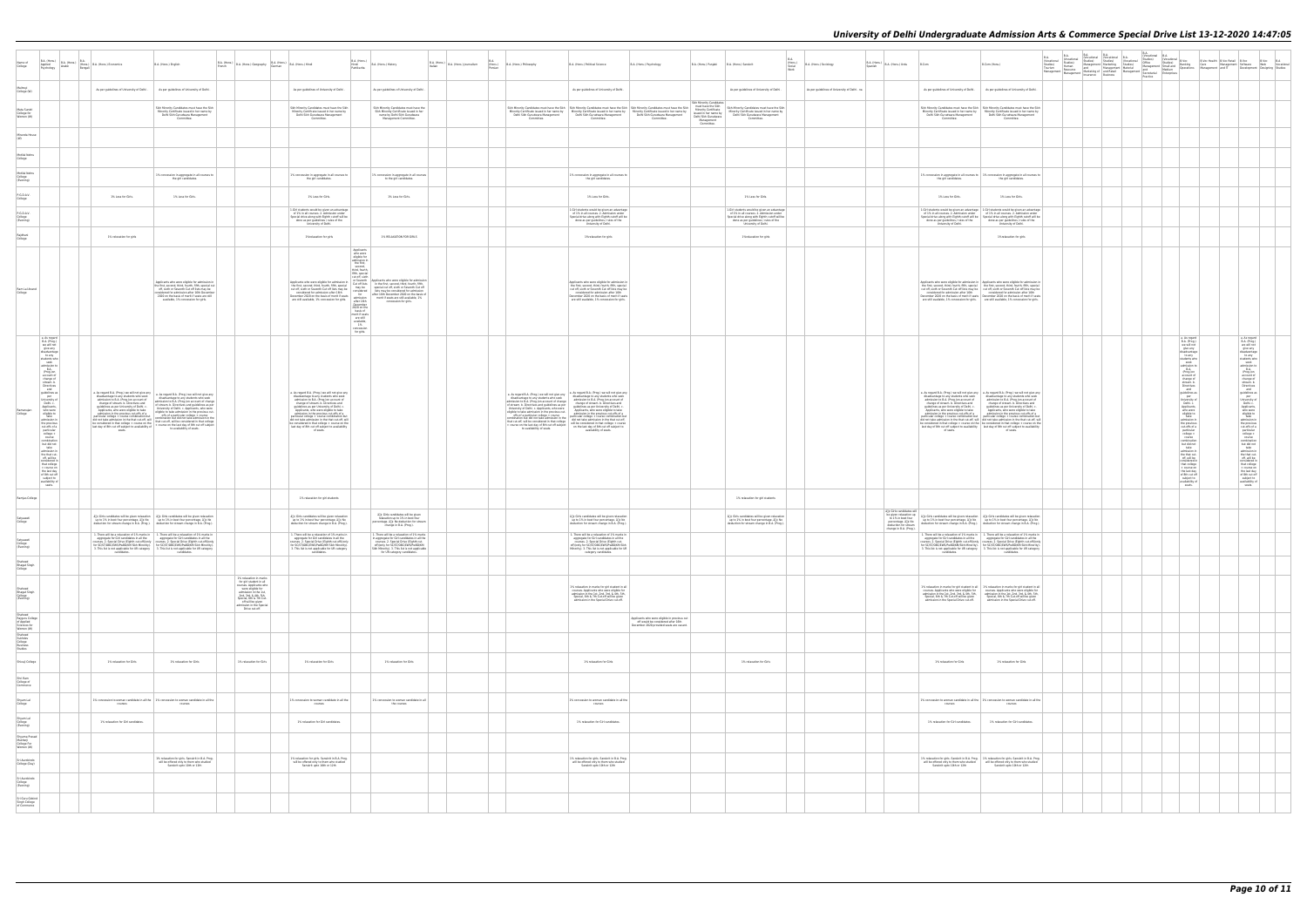| Name of<br>College                                                    |                                                                                                                                                                                                                                                                                            | $\begin{array}{ l l }\hline \text{B.A. (Hons.)} & \text{B.A. (Hons.)} \\ \text{Applied} & \text{Arable} \\ \text{Pvcholow} & \text{Arable} \\ \hline \end{array} \quad \begin{array}{ l } \hline \text{B.A.} & \text{Hons.} \\ \hline \text{Hens.} & \text{B.A. (Hons.)} \\ \text{Bengail} & \text{B.A.} \end{array}$ | B.A. (Hons.) English                                                                                                                                                                                                                                                                                                     | B.A. (Hons.) B.A. (Hons.) Geography B.A. (Hons.) B.A. (Hons.) Hindi<br>German                                                                                                                                                                     |                                                                                                                                                                                                                                                                                                                                                                                                                                                               | B.A. (Hons.)<br>Hindi<br>B.A. (Hons.) History<br>Patrikarita                                                                                                                                                                                                                                          | $\mid$ B.A. (Hons.) $\bigg\vert$ B.A. (Hons.) Journalism | B.A. (Hons.) Philosophy<br>Persian                                                                                                                                                                                                                                                                                                                                                                                                                                                                  | B.A. (Hons.) Political Science                                                                                                                                                                                                                                                          | B.A. (Hons.) Psychology                                                                                                       | B.A. (Hons.) Punjabi                                 | B.A.<br>(Hons.)<br>Social<br>Work<br>B.A. (Hons.) Sanskrit                                                                                                                                                                    | B.A. (Hons.) Sociology                        | $\mathsf B.A.$ (Hons.) $\Big \mathsf B.A.$ (Hons.) Urdu<br>Spanish                                   | B.Com                                                                                                                                                                                                                                                                                                                                                                                                                                                                                                                   | B.Com (Hons.)                                                                                                                                                                                                                                                                                                                                                                                                                                           |  |  |                                                                                                                                                                                                                                                                                                                                                                                                                                                                                                                                                                                                                                                       |                                                                                                                                                                                                                                                                                                                                                                                                                 | B.Voc B.A<br>Web Vocationa<br>Development Designing Studies |
|-----------------------------------------------------------------------|--------------------------------------------------------------------------------------------------------------------------------------------------------------------------------------------------------------------------------------------------------------------------------------------|-----------------------------------------------------------------------------------------------------------------------------------------------------------------------------------------------------------------------------------------------------------------------------------------------------------------------|--------------------------------------------------------------------------------------------------------------------------------------------------------------------------------------------------------------------------------------------------------------------------------------------------------------------------|---------------------------------------------------------------------------------------------------------------------------------------------------------------------------------------------------------------------------------------------------|---------------------------------------------------------------------------------------------------------------------------------------------------------------------------------------------------------------------------------------------------------------------------------------------------------------------------------------------------------------------------------------------------------------------------------------------------------------|-------------------------------------------------------------------------------------------------------------------------------------------------------------------------------------------------------------------------------------------------------------------------------------------------------|----------------------------------------------------------|-----------------------------------------------------------------------------------------------------------------------------------------------------------------------------------------------------------------------------------------------------------------------------------------------------------------------------------------------------------------------------------------------------------------------------------------------------------------------------------------------------|-----------------------------------------------------------------------------------------------------------------------------------------------------------------------------------------------------------------------------------------------------------------------------------------|-------------------------------------------------------------------------------------------------------------------------------|------------------------------------------------------|-------------------------------------------------------------------------------------------------------------------------------------------------------------------------------------------------------------------------------|-----------------------------------------------|------------------------------------------------------------------------------------------------------|-------------------------------------------------------------------------------------------------------------------------------------------------------------------------------------------------------------------------------------------------------------------------------------------------------------------------------------------------------------------------------------------------------------------------------------------------------------------------------------------------------------------------|---------------------------------------------------------------------------------------------------------------------------------------------------------------------------------------------------------------------------------------------------------------------------------------------------------------------------------------------------------------------------------------------------------------------------------------------------------|--|--|-------------------------------------------------------------------------------------------------------------------------------------------------------------------------------------------------------------------------------------------------------------------------------------------------------------------------------------------------------------------------------------------------------------------------------------------------------------------------------------------------------------------------------------------------------------------------------------------------------------------------------------------------------|-----------------------------------------------------------------------------------------------------------------------------------------------------------------------------------------------------------------------------------------------------------------------------------------------------------------------------------------------------------------------------------------------------------------|-------------------------------------------------------------|
| Maltreyi<br>College (W)                                               |                                                                                                                                                                                                                                                                                            | As per quidelines of University of Delhi.                                                                                                                                                                                                                                                                             | As per guidelines of University of Delhi                                                                                                                                                                                                                                                                                 |                                                                                                                                                                                                                                                   | As per guidelines of University of Delhi.                                                                                                                                                                                                                                                                                                                                                                                                                     | As per guidelines of University of Delhi                                                                                                                                                                                                                                                              |                                                          |                                                                                                                                                                                                                                                                                                                                                                                                                                                                                                     | As per guidelines of University of Delhi                                                                                                                                                                                                                                                |                                                                                                                               |                                                      | As per guidelines of University of Delhi                                                                                                                                                                                      | As per quidelines of University of Delhi . na |                                                                                                      | As per guidelines of University of Delhi.                                                                                                                                                                                                                                                                                                                                                                                                                                                                               | As per guidelines of University of Delhi                                                                                                                                                                                                                                                                                                                                                                                                                |  |  |                                                                                                                                                                                                                                                                                                                                                                                                                                                                                                                                                                                                                                                       |                                                                                                                                                                                                                                                                                                                                                                                                                 |                                                             |
| Mata Sundri<br>College for<br>Women (W)                               |                                                                                                                                                                                                                                                                                            |                                                                                                                                                                                                                                                                                                                       | Sikh Minority Candidates must have the Sikh<br>Minority Certificate issued in her name by<br>Delhi Sikh Gurudwara Management<br>Committee.                                                                                                                                                                               |                                                                                                                                                                                                                                                   | Sikh Minority Candidates must have the Sikh<br>Minority Certificate issued in her name by<br>Delhi Sikh Gurudwara Management<br>Committee.                                                                                                                                                                                                                                                                                                                    | Sikh Minority Candidates must have the<br>Sikh Minority Certificate issued in her<br>name by Delhi Sikh Gurudwara<br>Management Committee.                                                                                                                                                            |                                                          |                                                                                                                                                                                                                                                                                                                                                                                                                                                                                                     |                                                                                                                                                                                                                                                                                         |                                                                                                                               | Sikh Minority Candidates<br>Management<br>Committee. | Sähktering profession and the relations (profession and have been profession methods and methods and the relations of the relations of the relations of the relations of the relations of the relations of the relations of t |                                               |                                                                                                      | Delhi Sikh Gurudwara Management                                                                                                                                                                                                                                                                                                                                                                                                                                                                                         | Sikh Minority Candidates must have the Sikh Sikh Minority Candidates must have the Sikh<br>Minority Certificate issued in her name by   Minority Certificate issued in her name by<br>Delhi Sikh Gurudwara Management<br>Committee.                                                                                                                                                                                                                     |  |  |                                                                                                                                                                                                                                                                                                                                                                                                                                                                                                                                                                                                                                                       |                                                                                                                                                                                                                                                                                                                                                                                                                 |                                                             |
| Miranda House                                                         |                                                                                                                                                                                                                                                                                            |                                                                                                                                                                                                                                                                                                                       |                                                                                                                                                                                                                                                                                                                          |                                                                                                                                                                                                                                                   |                                                                                                                                                                                                                                                                                                                                                                                                                                                               |                                                                                                                                                                                                                                                                                                       |                                                          |                                                                                                                                                                                                                                                                                                                                                                                                                                                                                                     |                                                                                                                                                                                                                                                                                         |                                                                                                                               |                                                      |                                                                                                                                                                                                                               |                                               |                                                                                                      |                                                                                                                                                                                                                                                                                                                                                                                                                                                                                                                         |                                                                                                                                                                                                                                                                                                                                                                                                                                                         |  |  |                                                                                                                                                                                                                                                                                                                                                                                                                                                                                                                                                                                                                                                       |                                                                                                                                                                                                                                                                                                                                                                                                                 |                                                             |
| Motilal Nehru<br>College                                              |                                                                                                                                                                                                                                                                                            |                                                                                                                                                                                                                                                                                                                       |                                                                                                                                                                                                                                                                                                                          |                                                                                                                                                                                                                                                   |                                                                                                                                                                                                                                                                                                                                                                                                                                                               |                                                                                                                                                                                                                                                                                                       |                                                          |                                                                                                                                                                                                                                                                                                                                                                                                                                                                                                     |                                                                                                                                                                                                                                                                                         |                                                                                                                               |                                                      |                                                                                                                                                                                                                               |                                               |                                                                                                      |                                                                                                                                                                                                                                                                                                                                                                                                                                                                                                                         |                                                                                                                                                                                                                                                                                                                                                                                                                                                         |  |  |                                                                                                                                                                                                                                                                                                                                                                                                                                                                                                                                                                                                                                                       |                                                                                                                                                                                                                                                                                                                                                                                                                 |                                                             |
| Motilal Nehru<br>College<br>(Evening)                                 |                                                                                                                                                                                                                                                                                            |                                                                                                                                                                                                                                                                                                                       | 1% concession in aggregate in all courses to<br>the girl candidates.                                                                                                                                                                                                                                                     |                                                                                                                                                                                                                                                   | 1% concession in aggregate in all courses to<br>the girl candidates.                                                                                                                                                                                                                                                                                                                                                                                          | 1% concession in aggregate in all courses<br>to the girl candidates.                                                                                                                                                                                                                                  |                                                          |                                                                                                                                                                                                                                                                                                                                                                                                                                                                                                     | 1% concession in aggregate in all courses to<br>the girl candidates.                                                                                                                                                                                                                    |                                                                                                                               |                                                      |                                                                                                                                                                                                                               |                                               |                                                                                                      | 1% concession in aggregate in all courses to   1% o<br>the girl candidates.                                                                                                                                                                                                                                                                                                                                                                                                                                             | cession in aggregate in all courses to<br>the girl candidates.                                                                                                                                                                                                                                                                                                                                                                                          |  |  |                                                                                                                                                                                                                                                                                                                                                                                                                                                                                                                                                                                                                                                       |                                                                                                                                                                                                                                                                                                                                                                                                                 |                                                             |
| P.G.D.A.V.<br>College                                                 |                                                                                                                                                                                                                                                                                            | 1% Less for Girls.                                                                                                                                                                                                                                                                                                    | 1% Less for Girls.                                                                                                                                                                                                                                                                                                       |                                                                                                                                                                                                                                                   | 1% Less for Girls.                                                                                                                                                                                                                                                                                                                                                                                                                                            | 1% Less for Girls.                                                                                                                                                                                                                                                                                    |                                                          |                                                                                                                                                                                                                                                                                                                                                                                                                                                                                                     | 1% Less for Girls.                                                                                                                                                                                                                                                                      |                                                                                                                               |                                                      | 1% Less for Girls.                                                                                                                                                                                                            |                                               |                                                                                                      | 1% Less for Girls.                                                                                                                                                                                                                                                                                                                                                                                                                                                                                                      | 1% Less for Girls.                                                                                                                                                                                                                                                                                                                                                                                                                                      |  |  |                                                                                                                                                                                                                                                                                                                                                                                                                                                                                                                                                                                                                                                       |                                                                                                                                                                                                                                                                                                                                                                                                                 |                                                             |
| P.G.D.A.V.<br>College<br>(Evening)                                    |                                                                                                                                                                                                                                                                                            |                                                                                                                                                                                                                                                                                                                       |                                                                                                                                                                                                                                                                                                                          |                                                                                                                                                                                                                                                   | 1.Girl students would be given an advantage<br>of 1% in all courses. 2. Admission under<br>Special drive along with Eighth cutoff will be<br>done as per guidelines / rules of the<br>University of Delhi.                                                                                                                                                                                                                                                    |                                                                                                                                                                                                                                                                                                       |                                                          |                                                                                                                                                                                                                                                                                                                                                                                                                                                                                                     | 1. Girl students would be given an advantage<br>of 1% in all courses. 2. Admission under<br>Special drive along with Eighth cutoff will be<br>done as per guidelines / rules of the<br>University of Delhi.                                                                             |                                                                                                                               |                                                      | 1.Girl students would be given an advantage<br>of 1% in all courses. 2. Admission under<br>Special drive along with Eighth cutoff will be<br>done as per guidelines / rules of the<br>University of Delhi.                    |                                               |                                                                                                      | 1. Girl students would be given an advantage 1. Girl students would be given an advantage<br>of 1% in all courses. 2. Admission under the fil% in all courses. 2. Admission under<br>Special drive along with Eighth cutoff will be<br>done as per guidelines / rules of the<br>University of Delhi.                                                                                                                                                                                                                    | done as per guidelines / rules of the<br>University of Delhi.                                                                                                                                                                                                                                                                                                                                                                                           |  |  |                                                                                                                                                                                                                                                                                                                                                                                                                                                                                                                                                                                                                                                       |                                                                                                                                                                                                                                                                                                                                                                                                                 |                                                             |
| Rajdhani<br>College                                                   |                                                                                                                                                                                                                                                                                            | 1% relexation for girls                                                                                                                                                                                                                                                                                               |                                                                                                                                                                                                                                                                                                                          |                                                                                                                                                                                                                                                   | 1%relaxation for girls                                                                                                                                                                                                                                                                                                                                                                                                                                        | 1% RELAXATION FOR GIRLS                                                                                                                                                                                                                                                                               |                                                          |                                                                                                                                                                                                                                                                                                                                                                                                                                                                                                     | 1%relaxation for girls                                                                                                                                                                                                                                                                  |                                                                                                                               |                                                      | 1%relaxation for girls                                                                                                                                                                                                        |                                               |                                                                                                      |                                                                                                                                                                                                                                                                                                                                                                                                                                                                                                                         | 1%relaxation for girls                                                                                                                                                                                                                                                                                                                                                                                                                                  |  |  |                                                                                                                                                                                                                                                                                                                                                                                                                                                                                                                                                                                                                                                       |                                                                                                                                                                                                                                                                                                                                                                                                                 |                                                             |
| Ram Lal Anand<br>College                                              |                                                                                                                                                                                                                                                                                            |                                                                                                                                                                                                                                                                                                                       | Applicants who were eligible for admission in<br>the first, second, third, fourth, fifth, special cut<br>off, sixth or Seventh Cut off lists may be<br>considered for admission after 16th December<br>2020 on the basis of merit if seats are still<br>available, 1% concession for girls.                              |                                                                                                                                                                                                                                                   | Applicants who were eligible for admission in or Seventh Applicants who were eligible for admission in Coventh Applicants who were eligible for admission in Cut off lists in the first, second, third, fourth, fifth,<br>The first, accords thris figure that the space<br>of Figure 1. Could the first, second that the space can be contributed by the first accords that is special cost off, sixth or Separath Could<br>contributed for administration o | Applicants<br>who were<br>eligible for<br>admission in<br>the first,<br>second,<br>third, fourth,<br>fifth, special<br>cut off, sixth<br>2020 on the<br>basis of<br>merit if seats<br>are still<br>available,<br>1%<br>concession<br>for girls.                                                       |                                                          |                                                                                                                                                                                                                                                                                                                                                                                                                                                                                                     | Applicants who were eligible for admission<br>the first, second, third, fourth, fifth, special<br>cut off, sixth or Seventh Cut off lists may be<br>considered for admission after 16th<br>December 2020 on the basis of merit if seats<br>are still available, 1% concession for girls |                                                                                                                               |                                                      |                                                                                                                                                                                                                               |                                               |                                                                                                      |                                                                                                                                                                                                                                                                                                                                                                                                                                                                                                                         | Applicants who were eligible for admission in Applicants who were eligible for admission in                                                                                                                                                                                                                                                                                                                                                             |  |  |                                                                                                                                                                                                                                                                                                                                                                                                                                                                                                                                                                                                                                                       |                                                                                                                                                                                                                                                                                                                                                                                                                 |                                                             |
| Ramanujan<br>College                                                  | a. As regard to the set of the set of the set of the set of the set of the set of the set of the set of the set of the set of the set of the set of the set of the set of the set of the set of the set of the set of the set<br>of 8th cut off<br>subject to<br>availability of<br>seats. | seats.                                                                                                                                                                                                                                                                                                                | a. As regard B.A. (Prog.) we will not give any a. As regard B.A. (Prog.) we will not give any<br>to availability of seats.                                                                                                                                                                                               |                                                                                                                                                                                                                                                   | a. As regard B.A. (Prog.) we will not give any<br>disadvantage to any students who seek<br>admission to B.A. (Prog.)on account of<br>admission to B.A. (Prog.) on account of<br>change of stream. b. Directives and<br>guidelines as per University of Delhi. c.<br>Applicants, who were eligible to take<br>admission in the previous cut-offs of a<br>guideline control of the p<br>of seats.                                                               |                                                                                                                                                                                                                                                                                                       |                                                          | a. As regard B.A. (Prog.) we will not give any<br>disadvantage to any students who seek<br>disadvantage to any students who seek<br>admission to B.A. (Prog.)on account of<br>admission to B.A. (Prog.)on account of stream. b. Directives and guidelines as per<br>of the same b. Distribution and guidelines as per $\mu$ $\mu$ pulsations as per university of Delhi. C. Applicants, who were considered by the state of the state of the state of the state of the state of the state of the st | a. As regard B.A. (Prog.) we will not give any<br>disadvantage to any students who seek<br>availability of seats.                                                                                                                                                                       |                                                                                                                               |                                                      |                                                                                                                                                                                                                               |                                               |                                                                                                      | a. As regard B.A. (Prog.) we will not give any   a. As regard B.A. (Prog.) we will not give any<br>disadvantage to any students who seek<br>admission to B.A. (Prog.)on account of<br>change of stream. b. Directives and<br>guidelines as per University of Delhi. c.<br>guarantee as per contenting at users. C. guarantee as per conventing to users, c.<br>September 1988 and the convention of the set of the set of the set of the set of the set of the set of the set of the set of the set of the<br>of seats. | disadvantage to any students who seel<br>admission to B.A. (Prog.)on account of<br>change of stream. b. Directives and<br>guidelines as per University of Delhi. c.<br>of seats.                                                                                                                                                                                                                                                                        |  |  | a. As regard<br>$R = R \times R$ and $R = R \times R$<br>we will not the state of the state of the state<br>$R = R \times R$ and $R = R \times R$<br>$R = R \times R$<br>$R = R \times R$<br>$R = R \times R$<br>$R = R \times R$<br>$R = R \times R$<br>$R = R \times R$<br>$R = R \times R$<br>$R = R \times R$<br>$R = R \times R$<br>$R = R \times R$<br>$R = R \times R$<br>$R$<br>particular<br>college +<br>course<br>combination<br>comonasion<br>but did not<br>take<br>admission in<br>the that cut-<br>ornsidered in<br>that college<br>+ course on<br>the last day<br>did to<br>of 8th cut off<br>subject to<br>availability of<br>seats. | $\begin{tabular}{l c c c c} \hline \textbf{a.} & \textbf{a.} & \textbf{b.} & \textbf{b.} & \textbf{c.} \\ \hline \textbf{a.} & \textbf{b.} & \textbf{c.} & \textbf{c.} & \textbf{c.} \\ \hline \textbf{a.} & \textbf{b.} & \textbf{c.} & \textbf{c.} & \textbf{c.} \\ \hline \textbf{a.} & \textbf{b.} & \textbf{c.} & \textbf{c.} & \textbf{c.} \\ \hline \textbf{a.} & \textbf{b.} & \textbf{c.} & \textbf{c$ |                                                             |
| Ramjas College                                                        |                                                                                                                                                                                                                                                                                            |                                                                                                                                                                                                                                                                                                                       |                                                                                                                                                                                                                                                                                                                          |                                                                                                                                                                                                                                                   | 1% relaxation for girl students                                                                                                                                                                                                                                                                                                                                                                                                                               |                                                                                                                                                                                                                                                                                                       |                                                          |                                                                                                                                                                                                                                                                                                                                                                                                                                                                                                     |                                                                                                                                                                                                                                                                                         |                                                                                                                               |                                                      | 1% relaxation for girl students                                                                                                                                                                                               |                                               |                                                                                                      |                                                                                                                                                                                                                                                                                                                                                                                                                                                                                                                         |                                                                                                                                                                                                                                                                                                                                                                                                                                                         |  |  |                                                                                                                                                                                                                                                                                                                                                                                                                                                                                                                                                                                                                                                       |                                                                                                                                                                                                                                                                                                                                                                                                                 |                                                             |
| Satvawat<br>College                                                   |                                                                                                                                                                                                                                                                                            |                                                                                                                                                                                                                                                                                                                       | and Girls candidates will be given relaxation   and Girls candidates will be given relaxation<br>up to 1% in best four percentage. 8 (c No per cent and set that the percentage. 8 (c No deduction for stream change in B.A. (Prog.). deduction for stream change in B.A. (Prog.).                                       |                                                                                                                                                                                                                                                   | ADr Girls candidates will be given relaxation<br>up to 1% in best four percentage. à l'e No<br>deduction for stream change in B.A. (Prog.).                                                                                                                                                                                                                                                                                                                   | $\frac{\text{d}}{\text{d}}\left\{\begin{matrix} \text{G}\text{ in}\text{d}\text{ is candidates will be given} \\ \text{relaxation up to 1\% in best four} \\ \text{percentage. } \text{d}\left\ \text{f}\right\ \text{No deduction for stream} \\ \text{change in B.A. (Prog.)}. \end{matrix}\right.$ |                                                          |                                                                                                                                                                                                                                                                                                                                                                                                                                                                                                     | âlic Girls candidates will be given relaxation<br>up to 1% in best four percentage. \$[]¢ No<br>deduction for stream change in B.A. (Prog.).                                                                                                                                            |                                                                                                                               |                                                      | âlic Girls candidates will be given relaxation<br>up to 1% in best four percentage. à jit No<br>deduction for stream change in B.A. (Prog.).                                                                                  |                                               | à[]¢ Girls candidates will<br>percentage. à je No<br>deduction for stream<br>change in B.A. (Prog.). | be given relaxation up<br>to 1% in best four<br>to 1% in best four<br>that in the best four to 1% in the best four to the best four to the first file of the 1% in best four to the first file<br>up to 1% in best four percentage. Aft No up to 1% in best four percentage. Aft No<br>deduction for stream change in B.A. (Prog.). deduction for stream change in B.A. (Prog.).                                                                                                                                        |                                                                                                                                                                                                                                                                                                                                                                                                                                                         |  |  |                                                                                                                                                                                                                                                                                                                                                                                                                                                                                                                                                                                                                                                       |                                                                                                                                                                                                                                                                                                                                                                                                                 |                                                             |
| Satyawati<br>College<br>(Evening)                                     |                                                                                                                                                                                                                                                                                            |                                                                                                                                                                                                                                                                                                                       | 1. There will be a relaxation of 1% marks in 1. There will be a relaxation of 1% marks in<br>aggregate for Girl candidates in all the aggregate for Girl candidates in all the courses. 2. Special Drive (Eighth cut-off)(only courses. 2. Special Drive (Eighth cut-off)(only for SC/ST/OBC/EWS/PWBD)(XM Sikh Minority) |                                                                                                                                                                                                                                                   | 1. There will be a relaxation of 1% marks in<br>aggregate for Girl candidates in all the<br>courses. 2. Special Drive (Eighth cut-off)(only<br>for SC/ST/DBC/EWS/PwBD/KM Sikh Minority).<br>3. This list is not expeliente for UR category                                                                                                                                                                                                                    | 1. There will be a relaxation of 1% marks<br>in aggregate for Girl candidates in all the<br>courses. 2. Special Drive (Eighth cut-<br>off)(only for SC/ST/DBC/EWS/PwBD/KM<br>Slich Minority). 3. This list is not applicable<br>for UR category candidates.                                           |                                                          |                                                                                                                                                                                                                                                                                                                                                                                                                                                                                                     | 1. There will be a relaxation of 1% marks in<br>aggregate for Girl candidates in all the<br>courses. 2. Special Drive (Eighth cut-<br>off)(only for SC/ST/OBC/EWS/PwBD/KM Sikh<br>Minority). 3. This list is not applicable for UR                                                      |                                                                                                                               |                                                      |                                                                                                                                                                                                                               |                                               |                                                                                                      | aggregate for Girl candidates in all the<br>courses. 2. Special Drive (Eighth cut-off)(only courses. 2. Special Drive (Eighth cut-off)<br>(only courses. 2. Special Drive (Eighth cut-off)(only<br>for SC/ST/OBCEWS(PwBD)(WASikh Minor                                                                                                                                                                                                                                                                                  | 1. There will be a relaxation of 1% marks in 1. There will be a relaxation of 1% marks in                                                                                                                                                                                                                                                                                                                                                               |  |  |                                                                                                                                                                                                                                                                                                                                                                                                                                                                                                                                                                                                                                                       |                                                                                                                                                                                                                                                                                                                                                                                                                 |                                                             |
| Shaheed<br>Bhagat Singh<br>College                                    |                                                                                                                                                                                                                                                                                            |                                                                                                                                                                                                                                                                                                                       |                                                                                                                                                                                                                                                                                                                          |                                                                                                                                                                                                                                                   | candidates.                                                                                                                                                                                                                                                                                                                                                                                                                                                   |                                                                                                                                                                                                                                                                                                       |                                                          |                                                                                                                                                                                                                                                                                                                                                                                                                                                                                                     | category candidates.                                                                                                                                                                                                                                                                    |                                                                                                                               |                                                      |                                                                                                                                                                                                                               |                                               |                                                                                                      |                                                                                                                                                                                                                                                                                                                                                                                                                                                                                                                         |                                                                                                                                                                                                                                                                                                                                                                                                                                                         |  |  |                                                                                                                                                                                                                                                                                                                                                                                                                                                                                                                                                                                                                                                       |                                                                                                                                                                                                                                                                                                                                                                                                                 |                                                             |
| Shaheed<br>Bhagat Singh<br>College<br>(Evening)                       |                                                                                                                                                                                                                                                                                            |                                                                                                                                                                                                                                                                                                                       |                                                                                                                                                                                                                                                                                                                          | 1% relaxation in marks<br>for girl student in all<br>courses. Applicants who<br>were eligible for<br>admission in the 1st,<br>2nd, 3rd, & 4th, 5th,<br>Special, 6th & 7th Cut-<br>off will be given<br>admission in the Special<br>Drive cut-off. |                                                                                                                                                                                                                                                                                                                                                                                                                                                               |                                                                                                                                                                                                                                                                                                       |                                                          |                                                                                                                                                                                                                                                                                                                                                                                                                                                                                                     | 1% relaxation in marks for girl student in all<br>courses. Applicants who were eligible for<br>admission in the 1st, 2nd, 3rd, & 4th, 5th,<br>Special Ath & 7th Cut-off will be given<br>dmission in the Special Drive cut-off.                                                         |                                                                                                                               |                                                      |                                                                                                                                                                                                                               |                                               |                                                                                                      |                                                                                                                                                                                                                                                                                                                                                                                                                                                                                                                         | 1% relaxation in marks for girl student in all 1% relaxation in marks for girl student in all<br>courses. Applicants who were eligible for courses. Applicants who were eligible for<br>admission in the 1st, 2nd, 3rd, & 4th, 5th, admission in the 1st, 2nd, 3rd, & 4th, 5th,<br>Special, 6th & 7th Cut-off will be given Special, 6th & 7th Cut-off will be given<br>admission in the Special Drive cut-off. admission in the Special Drive cut-off. |  |  |                                                                                                                                                                                                                                                                                                                                                                                                                                                                                                                                                                                                                                                       |                                                                                                                                                                                                                                                                                                                                                                                                                 |                                                             |
| Shaheed<br>Rajguru College<br>of Applied<br>Sciences for<br>Women (W) |                                                                                                                                                                                                                                                                                            |                                                                                                                                                                                                                                                                                                                       |                                                                                                                                                                                                                                                                                                                          |                                                                                                                                                                                                                                                   |                                                                                                                                                                                                                                                                                                                                                                                                                                                               |                                                                                                                                                                                                                                                                                                       |                                                          |                                                                                                                                                                                                                                                                                                                                                                                                                                                                                                     |                                                                                                                                                                                                                                                                                         | Applicants who were eligible in previous cut<br>off would be considered after 16th<br>December 2020 provided seats are vacant |                                                      |                                                                                                                                                                                                                               |                                               |                                                                                                      |                                                                                                                                                                                                                                                                                                                                                                                                                                                                                                                         |                                                                                                                                                                                                                                                                                                                                                                                                                                                         |  |  |                                                                                                                                                                                                                                                                                                                                                                                                                                                                                                                                                                                                                                                       |                                                                                                                                                                                                                                                                                                                                                                                                                 |                                                             |
| Shaheed<br>Sukhdev<br>College<br>Business<br>Studies                  |                                                                                                                                                                                                                                                                                            |                                                                                                                                                                                                                                                                                                                       |                                                                                                                                                                                                                                                                                                                          |                                                                                                                                                                                                                                                   |                                                                                                                                                                                                                                                                                                                                                                                                                                                               |                                                                                                                                                                                                                                                                                                       |                                                          |                                                                                                                                                                                                                                                                                                                                                                                                                                                                                                     |                                                                                                                                                                                                                                                                                         |                                                                                                                               |                                                      |                                                                                                                                                                                                                               |                                               |                                                                                                      |                                                                                                                                                                                                                                                                                                                                                                                                                                                                                                                         |                                                                                                                                                                                                                                                                                                                                                                                                                                                         |  |  |                                                                                                                                                                                                                                                                                                                                                                                                                                                                                                                                                                                                                                                       |                                                                                                                                                                                                                                                                                                                                                                                                                 |                                                             |
| Shivaji College                                                       |                                                                                                                                                                                                                                                                                            | 1% relaxation for Girls                                                                                                                                                                                                                                                                                               | 1% relaxation for Girls                                                                                                                                                                                                                                                                                                  | 1% relaxation for Girls                                                                                                                                                                                                                           | 1% relaxation for Girls                                                                                                                                                                                                                                                                                                                                                                                                                                       | 1% relaxation for Girls                                                                                                                                                                                                                                                                               |                                                          |                                                                                                                                                                                                                                                                                                                                                                                                                                                                                                     | 1% relaxation for Girls                                                                                                                                                                                                                                                                 |                                                                                                                               |                                                      | 1% relaxation for Girls                                                                                                                                                                                                       |                                               |                                                                                                      | 1% relaxation for Girls                                                                                                                                                                                                                                                                                                                                                                                                                                                                                                 | 1% relaxation for Girls                                                                                                                                                                                                                                                                                                                                                                                                                                 |  |  |                                                                                                                                                                                                                                                                                                                                                                                                                                                                                                                                                                                                                                                       |                                                                                                                                                                                                                                                                                                                                                                                                                 |                                                             |
| Shri Ram<br>College of<br>Commerce                                    |                                                                                                                                                                                                                                                                                            |                                                                                                                                                                                                                                                                                                                       |                                                                                                                                                                                                                                                                                                                          |                                                                                                                                                                                                                                                   |                                                                                                                                                                                                                                                                                                                                                                                                                                                               |                                                                                                                                                                                                                                                                                                       |                                                          |                                                                                                                                                                                                                                                                                                                                                                                                                                                                                                     |                                                                                                                                                                                                                                                                                         |                                                                                                                               |                                                      |                                                                                                                                                                                                                               |                                               |                                                                                                      |                                                                                                                                                                                                                                                                                                                                                                                                                                                                                                                         |                                                                                                                                                                                                                                                                                                                                                                                                                                                         |  |  |                                                                                                                                                                                                                                                                                                                                                                                                                                                                                                                                                                                                                                                       |                                                                                                                                                                                                                                                                                                                                                                                                                 |                                                             |
| Shyam Lal<br>College                                                  |                                                                                                                                                                                                                                                                                            | courses                                                                                                                                                                                                                                                                                                               | 1% concession to woman candidate in all the 1% concession to woman candidate in all the<br>courses                                                                                                                                                                                                                       |                                                                                                                                                                                                                                                   | 1% concession to woman candidate in all the<br>courses                                                                                                                                                                                                                                                                                                                                                                                                        | 1% concession to woman candidate in all<br>the courses                                                                                                                                                                                                                                                |                                                          |                                                                                                                                                                                                                                                                                                                                                                                                                                                                                                     | 1% concession to woman candidate in all the<br>courses                                                                                                                                                                                                                                  |                                                                                                                               |                                                      |                                                                                                                                                                                                                               |                                               |                                                                                                      | 1% concession to woman candidate in all the 1% concession to woman candidate in all the<br>courses                                                                                                                                                                                                                                                                                                                                                                                                                      | courses                                                                                                                                                                                                                                                                                                                                                                                                                                                 |  |  |                                                                                                                                                                                                                                                                                                                                                                                                                                                                                                                                                                                                                                                       |                                                                                                                                                                                                                                                                                                                                                                                                                 |                                                             |
| Shyam Lal<br>College<br>(Evening)                                     |                                                                                                                                                                                                                                                                                            | 1% relaxation for Girl candidates.                                                                                                                                                                                                                                                                                    |                                                                                                                                                                                                                                                                                                                          |                                                                                                                                                                                                                                                   | 1% relaxation for Girl candidates.                                                                                                                                                                                                                                                                                                                                                                                                                            |                                                                                                                                                                                                                                                                                                       |                                                          |                                                                                                                                                                                                                                                                                                                                                                                                                                                                                                     | 1% relaxation for Girl candidates.                                                                                                                                                                                                                                                      |                                                                                                                               |                                                      |                                                                                                                                                                                                                               |                                               |                                                                                                      | 1% relaxation for Girl candidates.                                                                                                                                                                                                                                                                                                                                                                                                                                                                                      | 1% relaxation for Girl candidates                                                                                                                                                                                                                                                                                                                                                                                                                       |  |  |                                                                                                                                                                                                                                                                                                                                                                                                                                                                                                                                                                                                                                                       |                                                                                                                                                                                                                                                                                                                                                                                                                 |                                                             |
| Shyama Prasad<br>Mukherji<br>College For<br>Women (W)                 |                                                                                                                                                                                                                                                                                            |                                                                                                                                                                                                                                                                                                                       |                                                                                                                                                                                                                                                                                                                          |                                                                                                                                                                                                                                                   |                                                                                                                                                                                                                                                                                                                                                                                                                                                               |                                                                                                                                                                                                                                                                                                       |                                                          |                                                                                                                                                                                                                                                                                                                                                                                                                                                                                                     |                                                                                                                                                                                                                                                                                         |                                                                                                                               |                                                      |                                                                                                                                                                                                                               |                                               |                                                                                                      |                                                                                                                                                                                                                                                                                                                                                                                                                                                                                                                         |                                                                                                                                                                                                                                                                                                                                                                                                                                                         |  |  |                                                                                                                                                                                                                                                                                                                                                                                                                                                                                                                                                                                                                                                       |                                                                                                                                                                                                                                                                                                                                                                                                                 |                                                             |
| Sri Aurobindo<br>College (Day)                                        |                                                                                                                                                                                                                                                                                            |                                                                                                                                                                                                                                                                                                                       | 1% relaxation for girls. Sanskrit in B.A. Prog.<br>will be offered only to them who studied<br>Sanskrit upto 10th or 12th                                                                                                                                                                                                |                                                                                                                                                                                                                                                   | 1% relaxation for girls. Sanskrit in B.A. Prog.<br>will be offered only to them who studied<br>Sanskrit upto 10th or 12th                                                                                                                                                                                                                                                                                                                                     |                                                                                                                                                                                                                                                                                                       |                                                          |                                                                                                                                                                                                                                                                                                                                                                                                                                                                                                     | $1\%$ relaxation for girls. Sanskrit in B.A. Prog.<br>will be offered only to them who studied<br>Sanskrit upto 10th or 12th                                                                                                                                                            |                                                                                                                               |                                                      |                                                                                                                                                                                                                               |                                               |                                                                                                      | $1\%$ relaxation for girls. Sanskrit in B.A. Prog. $\,$ all the offered only to the model of the model of the model of the model of the model of the Studied will be offered only to them who studied Studied Studies of the                                                                                                                                                                                                                                                                                            |                                                                                                                                                                                                                                                                                                                                                                                                                                                         |  |  |                                                                                                                                                                                                                                                                                                                                                                                                                                                                                                                                                                                                                                                       |                                                                                                                                                                                                                                                                                                                                                                                                                 |                                                             |
| Sri Aurobindo<br>College<br>(Evening)                                 |                                                                                                                                                                                                                                                                                            |                                                                                                                                                                                                                                                                                                                       |                                                                                                                                                                                                                                                                                                                          |                                                                                                                                                                                                                                                   |                                                                                                                                                                                                                                                                                                                                                                                                                                                               |                                                                                                                                                                                                                                                                                                       |                                                          |                                                                                                                                                                                                                                                                                                                                                                                                                                                                                                     |                                                                                                                                                                                                                                                                                         |                                                                                                                               |                                                      |                                                                                                                                                                                                                               |                                               |                                                                                                      |                                                                                                                                                                                                                                                                                                                                                                                                                                                                                                                         |                                                                                                                                                                                                                                                                                                                                                                                                                                                         |  |  |                                                                                                                                                                                                                                                                                                                                                                                                                                                                                                                                                                                                                                                       |                                                                                                                                                                                                                                                                                                                                                                                                                 |                                                             |
| Sri Guru Gobind<br>Singh College<br>of Commerce                       |                                                                                                                                                                                                                                                                                            |                                                                                                                                                                                                                                                                                                                       |                                                                                                                                                                                                                                                                                                                          |                                                                                                                                                                                                                                                   |                                                                                                                                                                                                                                                                                                                                                                                                                                                               |                                                                                                                                                                                                                                                                                                       |                                                          |                                                                                                                                                                                                                                                                                                                                                                                                                                                                                                     |                                                                                                                                                                                                                                                                                         |                                                                                                                               |                                                      |                                                                                                                                                                                                                               |                                               |                                                                                                      |                                                                                                                                                                                                                                                                                                                                                                                                                                                                                                                         |                                                                                                                                                                                                                                                                                                                                                                                                                                                         |  |  |                                                                                                                                                                                                                                                                                                                                                                                                                                                                                                                                                                                                                                                       |                                                                                                                                                                                                                                                                                                                                                                                                                 |                                                             |